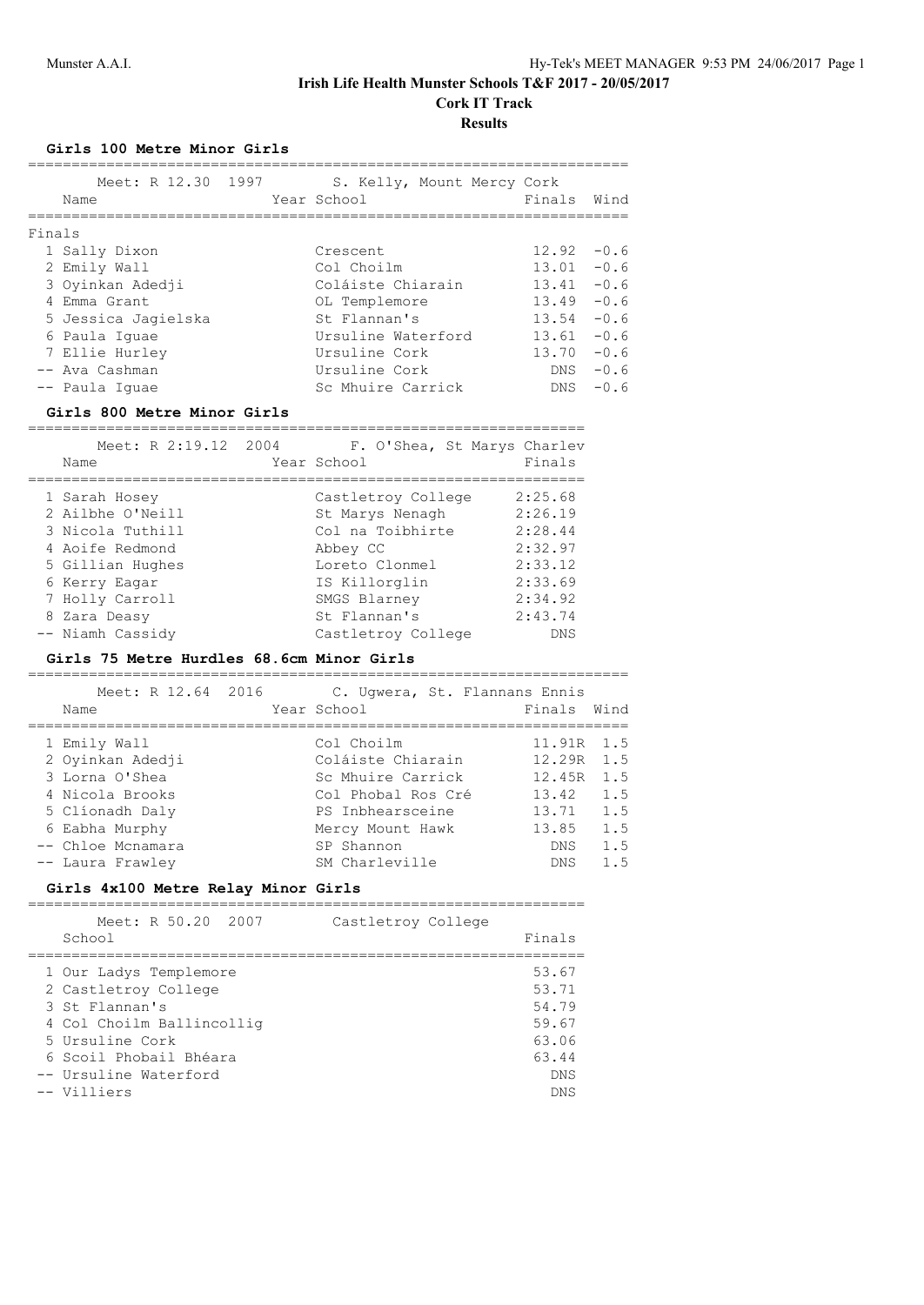**Cork IT Track**

**Results**

### **Girls 100 Metre Minor Girls**

|        | Meet: R 12.30<br>Name | 1997 | S. Kelly, Mount Mercy Cork<br>Year School | Finals | Wind   |
|--------|-----------------------|------|-------------------------------------------|--------|--------|
| Finals |                       |      |                                           |        |        |
|        | 1 Sally Dixon         |      | Crescent.                                 | 12.92  | $-0.6$ |
|        | 2 Emily Wall          |      | Col Choilm                                | 13.01  | $-0.6$ |
|        | 3 Oyinkan Adedii      |      | Coláiste Chiarain                         | 13.41  | $-0.6$ |
|        | 4 Emma Grant          |      | OL Templemore                             | 13.49  | $-0.6$ |
|        | 5 Jessica Jagielska   |      | St. Flannan's                             | 13.54  | $-0.6$ |
|        | 6 Paula Iquae         |      | Ursuline Waterford                        | 13.61  | $-0.6$ |
|        | 7 Ellie Hurley        |      | Ursuline Cork                             | 13.70  | $-0.6$ |
|        | -- Ava Cashman        |      | Ursuline Cork                             | DNS.   | $-0.6$ |
|        | -- Paula Iquae        |      | Sc Mhuire Carrick                         | DNS.   | $-0.6$ |

#### **Girls 800 Metre Minor Girls**

| Meet: R 2:19.12 2004<br>Name | F. O'Shea, St Marys Charlev<br>Year School | Finals     |
|------------------------------|--------------------------------------------|------------|
| 1 Sarah Hosey                | Castletroy College                         | 2:25.68    |
| 2 Ailbhe O'Neill             | St Marys Nenagh                            | 2:26.19    |
| 3 Nicola Tuthill             | Col na Toibhirte                           | 2:28.44    |
| 4 Aoife Redmond              | Abbey CC                                   | 2:32.97    |
| 5 Gillian Hughes             | Loreto Clonmel                             | 2:33.12    |
| 6 Kerry Eagar                | IS Killorglin                              | 2:33.69    |
| 7 Holly Carroll              | SMGS Blarney                               | 2:34.92    |
| 8 Zara Deasy                 | St. Flannan's                              | 2:43.74    |
| -- Niamh Cassidy             | Castletroy College                         | <b>DNS</b> |

#### **Girls 75 Metre Hurdles 68.6cm Minor Girls**

| Meet: R 12.64 2016 | C. Uqwera, St. Flannans Ennis |            |      |
|--------------------|-------------------------------|------------|------|
| Name               | Year School                   | Finals     | Wind |
|                    |                               |            |      |
| 1 Emily Wall       | Col Choilm                    | 11.91R 1.5 |      |
| 2 Oyinkan Adedji   | Coláiste Chiarain             | 12.29R     | 1.5  |
| 3 Lorna O'Shea     | Sc Mhuire Carrick             | 12.45R     | 1.5  |
| 4 Nicola Brooks    | Col Phobal Ros Cré            | 13.42      | 1.5  |
| 5 Clíonadh Daly    | PS Inbhearsceine              | 13.71      | 1.5  |
| 6 Eabha Murphy     | Mercy Mount Hawk              | 13.85      | 1.5  |
| -- Chloe Mcnamara  | SP Shannon                    | <b>DNS</b> | 1.5  |
| -- Laura Frawley   | SM Charleville                | DNS        | 1.5  |

#### **Girls 4x100 Metre Relay Minor Girls**

| Meet: R 50.20 2007        | Castletroy College |            |
|---------------------------|--------------------|------------|
| School                    |                    | Finals     |
| 1 Our Ladys Templemore    |                    | 53.67      |
| 2 Castletroy College      |                    | 53.71      |
| 3 St Flannan's            |                    | 54.79      |
| 4 Col Choilm Ballincollig |                    | 59.67      |
| 5 Ursuline Cork           |                    | 63.06      |
| 6 Scoil Phobail Bhéara    |                    | 63.44      |
| -- Ursuline Waterford     |                    | <b>DNS</b> |
| $--$ Villiers             |                    | DNS        |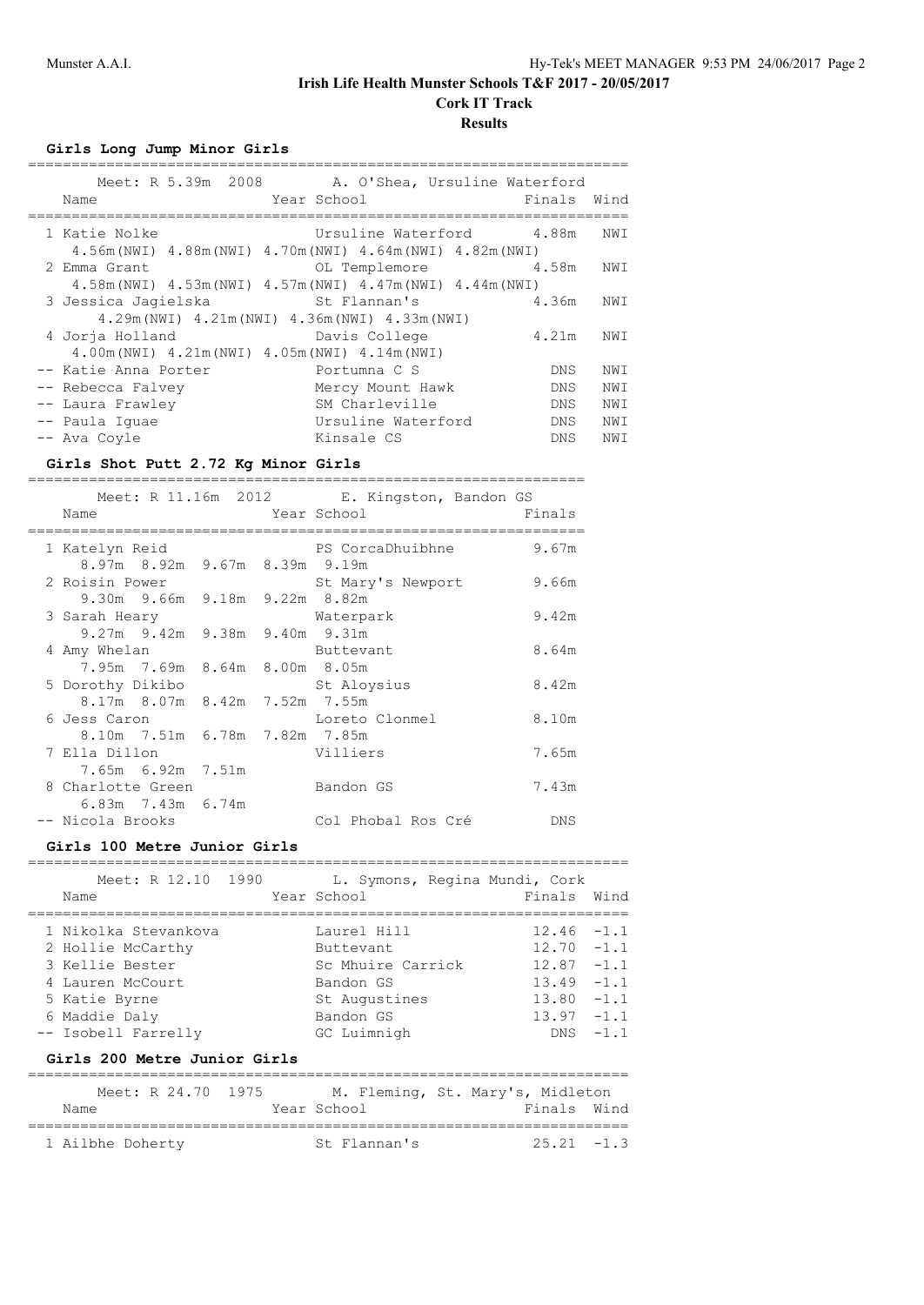# **Cork IT Track**

# **Results**

#### **Girls Long Jump Minor Girls**

| Meet: R 5.39m 2008<br>Name                          | A. O'Shea, Ursuline Waterford<br>Year School                | Finals     | Wind |
|-----------------------------------------------------|-------------------------------------------------------------|------------|------|
| 1 Katie Nolke                                       | Ursuline Waterford 4.88m                                    |            | NWI  |
|                                                     | 4.56m (NWI) 4.88m (NWI) 4.70m (NWI) 4.64m (NWI) 4.82m (NWI) |            |      |
| 2 Emma Grant                                        | OL Templemore                                               | 4.58m      | NWI  |
|                                                     | 4.58m (NWI) 4.53m (NWI) 4.57m (NWI) 4.47m (NWI) 4.44m (NWI) |            |      |
| 3 Jessica Jagielska                                 | St Flannan's                                                | 4.36m      | NWI  |
|                                                     | 4.29m (NWI) 4.21m (NWI) 4.36m (NWI) 4.33m (NWI)             |            |      |
| 4 Jorja Holland                                     | Davis College                                               | 4.21m      | NWI  |
| $4.00m(NWI)$ $4.21m(NWI)$ $4.05m(NWI)$ $4.14m(NWI)$ |                                                             |            |      |
| -- Katie Anna Porter                                | Portumna C S                                                | <b>DNS</b> | NWI  |
| -- Rebecca Falvey                                   | Mercy Mount Hawk                                            | <b>DNS</b> | NWI  |
| -- Laura Frawley                                    | SM Charleville                                              | DNS.       | NWI  |
| -- Paula Iquae                                      | Ursuline Waterford                                          | <b>DNS</b> | NWI  |
| -- Ava Coyle                                        | Kinsale CS                                                  | <b>DNS</b> | NWI  |
|                                                     |                                                             |            |      |

#### **Girls Shot Putt 2.72 Kg Minor Girls**

================================================================ Meet: R 11.16m 2012 E. Kingston, Bandon GS

| Name                                            |  | Year School        | Finals |
|-------------------------------------------------|--|--------------------|--------|
| 1 Katelyn Reid<br>8.97m 8.92m 9.67m 8.39m 9.19m |  | PS CorcaDhuibhne   | 9.67m  |
| 2 Roisin Power                                  |  | St Mary's Newport  | 9.66m  |
| 9.30m 9.66m 9.18m 9.22m 8.82m                   |  |                    |        |
| 3 Sarah Heary                                   |  | Waterpark          | 9.42m  |
| 9.27m 9.42m 9.38m 9.40m 9.31m                   |  |                    |        |
| 4 Amy Whelan                                    |  | Buttevant          | 8.64m  |
| 7.95m 7.69m 8.64m 8.00m 8.05m                   |  |                    |        |
| 5 Dorothy Dikibo                                |  | St Aloysius        | 8.42m  |
| 8.17m 8.07m 8.42m 7.52m 7.55m                   |  |                    |        |
| 6 Jess Caron                                    |  | Loreto Clonmel     | 8.10m  |
| 8.10m 7.51m 6.78m 7.82m 7.85m                   |  |                    |        |
| 7 Ella Dillon                                   |  | Villiers           | 7.65m  |
| 7.65m 6.92m 7.51m                               |  |                    |        |
| 8 Charlotte Green                               |  | Bandon GS          | 7.43m  |
| 6.83m 7.43m 6.74m                               |  |                    |        |
| -- Nicola Brooks                                |  | Col Phobal Ros Cré | DNS    |

#### **Girls 100 Metre Junior Girls**

===================================================================== Meet: R 12.10 1990 L. Symons, Regina Mundi, Cork Name **Year School** Finals Wind ===================================================================== 1 Nikolka Stevankova Laurel Hill 12.46 -1.1 2 Hollie McCarthy **Buttevant** 12.70 -1.1 3 Kellie Bester Sc Mhuire Carrick 12.87 -1.1 4 Lauren McCourt Bandon GS 13.49 -1.1 5 Katie Byrne St Augustines 13.80 -1.1 6 Maddie Daly Bandon GS 13.97 -1.1 -- Isobell Farrelly GC Luimnigh DNS -1.1

# **Girls 200 Metre Junior Girls**

| Meet: R 24.70 1975 |              | M. Fleming, St. Mary's, Midleton |
|--------------------|--------------|----------------------------------|
| Name               | Year School  | Finals Wind                      |
| 1 Ailbhe Doherty   | St Flannan's | $25.21 - 1.3$                    |

=====================================================================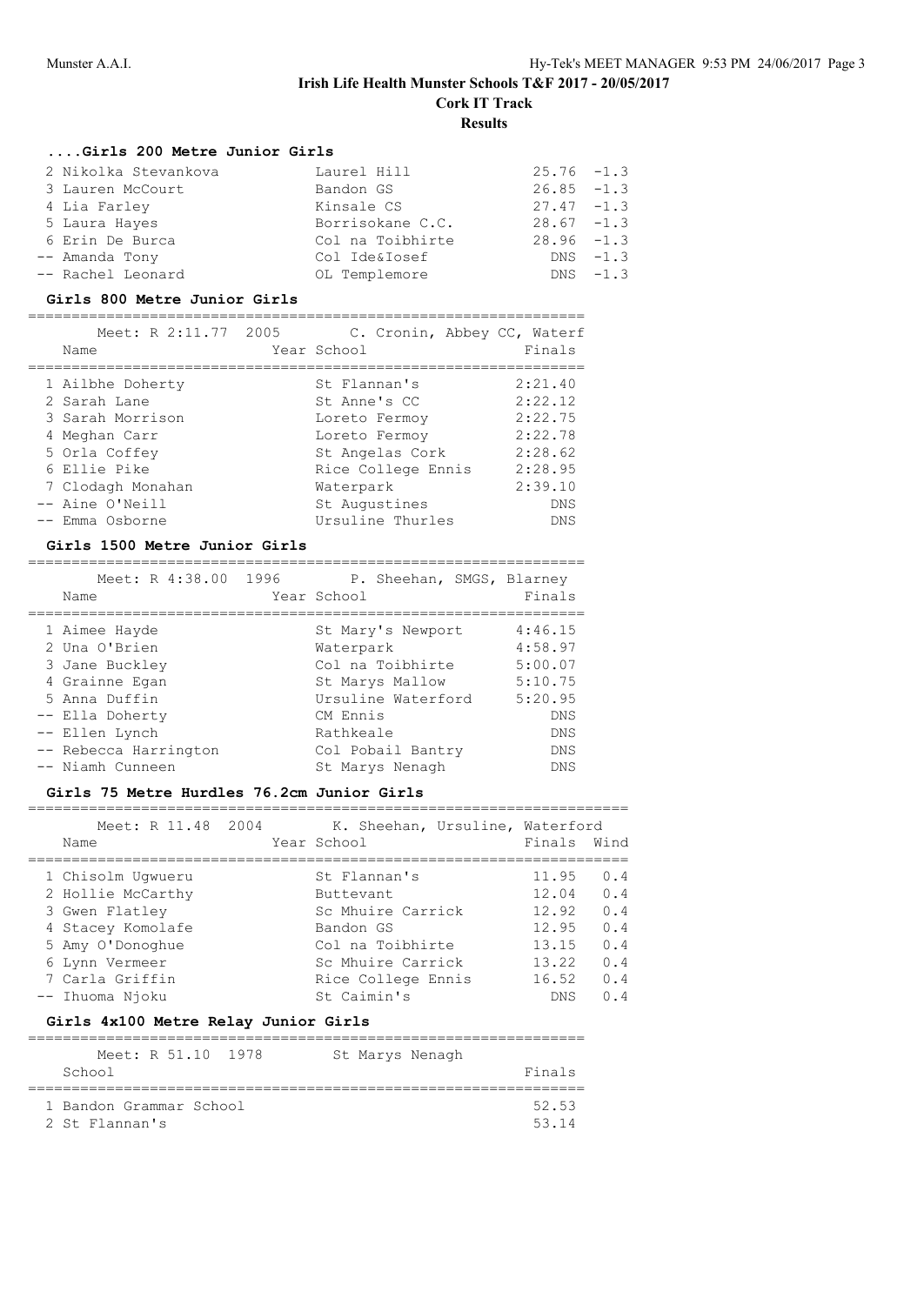**Cork IT Track**

**Results**

=====================================================================

#### **....Girls 200 Metre Junior Girls**

| 2 Nikolka Stevankova | Laurel Hill      | $25.76 - 1.3$ |            |
|----------------------|------------------|---------------|------------|
| 3 Lauren McCourt     | Bandon GS        | $26.85 -1.3$  |            |
| 4 Lia Farley         | Kinsale CS       | $27.47 - 1.3$ |            |
| 5 Laura Hayes        | Borrisokane C.C. | $28.67 - 1.3$ |            |
| 6 Erin De Burca      | Col na Toibhirte | $28.96 - 1.3$ |            |
| -- Amanda Tony       | Col Ide&Iosef    |               | $DNS -1.3$ |
| -- Rachel Leonard    | OL Templemore    |               | $DNS -1.3$ |

#### **Girls 800 Metre Junior Girls**

#### ================================================================

|  | Meet: R 2:11.77 2005 | C. Cronin, Abbey CC, Waterf |            |
|--|----------------------|-----------------------------|------------|
|  | Name                 | Year School                 | Finals     |
|  |                      |                             |            |
|  | 1 Ailbhe Doherty     | St Flannan's                | 2:21.40    |
|  | 2 Sarah Lane         | St Anne's CC                | 2:22.12    |
|  | 3 Sarah Morrison     | Loreto Fermoy               | 2:22.75    |
|  | 4 Meghan Carr        | Loreto Fermoy               | 2:22.78    |
|  | 5 Orla Coffey        | St Angelas Cork             | 2:28.62    |
|  | 6 Ellie Pike         | Rice College Ennis          | 2:28.95    |
|  | 7 Clodagh Monahan    | Waterpark                   | 2:39.10    |
|  | -- Aine O'Neill      | St Augustines               | <b>DNS</b> |
|  | -- Emma Osborne      | Ursuline Thurles            | <b>DNS</b> |
|  |                      |                             |            |

#### **Girls 1500 Metre Junior Girls**

| Meet: R 4:38.00 1996<br>Name | P. Sheehan, SMGS, Blarney<br>Year School | Finals     |
|------------------------------|------------------------------------------|------------|
|                              |                                          |            |
| 1 Aimee Hayde                | St Mary's Newport                        | 4:46.15    |
| 2 Una O'Brien                | Waterpark                                | 4:58.97    |
| 3 Jane Buckley               | Col na Toibhirte                         | 5:00.07    |
| 4 Grainne Egan               | St Marys Mallow                          | 5:10.75    |
| 5 Anna Duffin                | Ursuline Waterford                       | 5:20.95    |
| -- Ella Doherty              | CM Ennis                                 | <b>DNS</b> |
| -- Ellen Lynch               | Rathkeale                                | <b>DNS</b> |
| -- Rebecca Harrington        | Col Pobail Bantry                        | <b>DNS</b> |
| -- Niamh Cunneen             | St Marys Nenagh                          | <b>DNS</b> |

#### **Girls 75 Metre Hurdles 76.2cm Junior Girls**

| Meet: R 11.48 2004<br>Name | K. Sheehan, Ursuline, Waterford<br>Year School | Finals     | Wind |
|----------------------------|------------------------------------------------|------------|------|
| 1 Chisolm Uqwueru          | St Flannan's                                   | 11.95      | 0.4  |
| 2 Hollie McCarthy          | Buttevant                                      | 12.04      | 0.4  |
| 3 Gwen Flatley             | Sc Mhuire Carrick                              | 12.92      | 0.4  |
| 4 Stacey Komolafe          | Bandon GS                                      | 12.95      | 0.4  |
| 5 Amy O'Donoghue           | Col na Toibhirte                               | 13.15      | 0.4  |
| 6 Lynn Vermeer             | Sc Mhuire Carrick                              | 13.22      | 0.4  |
| 7 Carla Griffin            | Rice College Ennis                             | 16.52      | 0.4  |
| -- Ihuoma Njoku            | St Caimin's                                    | <b>DNS</b> | 0.4  |

#### **Girls 4x100 Metre Relay Junior Girls**

| Meet: R 51.10                             | 1978 | St Marys Nenagh |                |
|-------------------------------------------|------|-----------------|----------------|
| School                                    |      |                 | Finals         |
| 1 Bandon Grammar School<br>2 St Flannan's |      |                 | 52.53<br>53 14 |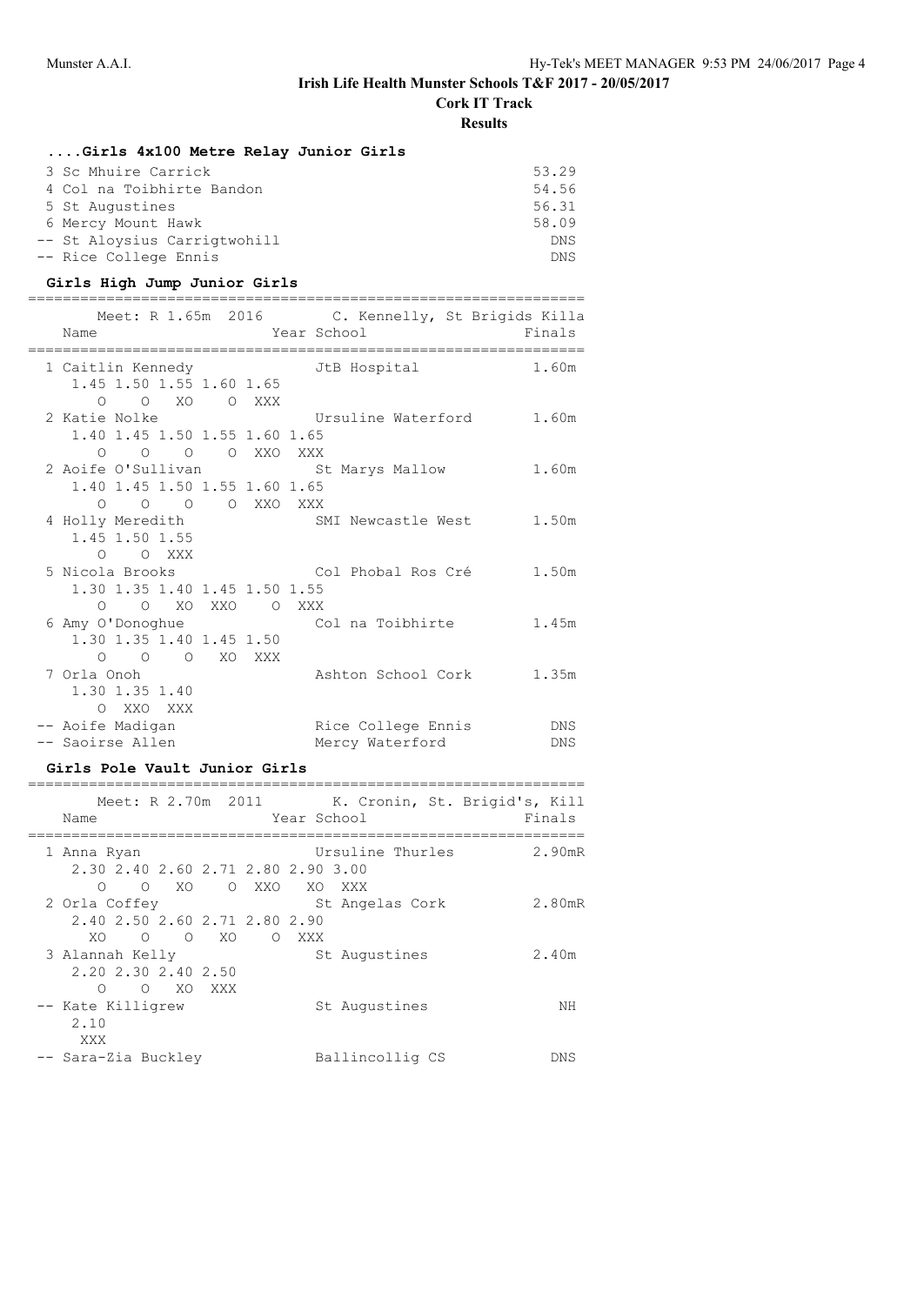**Cork IT Track**

**Results**

| Girls 4x100 Metre Relay Junior Girls |            |
|--------------------------------------|------------|
| 3 Sc Mhuire Carrick                  | 53.29      |
| 4 Col na Toibhirte Bandon            | 54.56      |
| 5 St Augustines                      | 56.31      |
| 6 Mercy Mount Hawk                   | 58.09      |
| -- St Aloysius Carrigtwohill         | <b>DNS</b> |
| -- Rice College Ennis                | <b>DNS</b> |

# **Girls High Jump Junior Girls**

| Meet: R 1.65m 2016 C. Kennelly, St Brigids Killa                                                     |                                 |        |  |  |
|------------------------------------------------------------------------------------------------------|---------------------------------|--------|--|--|
| Name                                                                                                 | <b>Example 2018</b> Year School | Finals |  |  |
| 1 Caitlin Kennedy<br>1.45 1.50 1.55 1.60 1.65                                                        | JtB Hospital                    | 1.60m  |  |  |
| O O XO O XXX<br>2 Katie Nolke<br>1.40 1.45 1.50 1.55 1.60 1.65<br>O O O O XXO XXX                    | Ursuline Waterford 1.60m        |        |  |  |
| 2 Aoife O'Sullivan but St Marys Mallow<br>1.40 1.45 1.50 1.55 1.60 1.65<br>O O O XXO XXX<br>$\Omega$ |                                 | 1.60m  |  |  |
| 4 Holly Meredith SMI Newcastle West 1.50m<br>1.45 1.50 1.55<br>O O XXX                               |                                 |        |  |  |
| 5 Nicola Brooks<br>1.30 1.35 1.40 1.45 1.50 1.55<br>O O XO XXO O XXX                                 | Col Phobal Ros Cré 1.50m        |        |  |  |
| 6 Amy O'Donoghue Col na Toibhirte<br>1.30 1.35 1.40 1.45 1.50<br>O O O XO XXX                        |                                 | 1.45m  |  |  |
| 7 Orla Onoh<br>1.30 1.35 1.40<br>O XXO XXX                                                           | Ashton School Cork 1.35m        |        |  |  |
| -- Aoife Madigan                                                                                     | Rice College Ennis              | DNS    |  |  |
| -- Saoirse Allen                                                                                     | Mercy Waterford                 | DNS    |  |  |

# **Girls Pole Vault Junior Girls**

| Meet: R 2.70m 2011<br>Name                                                           | K. Cronin, St. Brigid's, Kill<br>Year School | Finals |
|--------------------------------------------------------------------------------------|----------------------------------------------|--------|
| 1 Anna Ryan<br>2.30 2.40 2.60 2.71 2.80 2.90 3.00<br>XOOXXO<br>$\circ$<br>$\bigcirc$ | Ursuline Thurles<br>XO<br>XXX                | 2.90mR |
| 2 Orla Coffey<br>2.40 2.50 2.60 2.71 2.80 2.90<br>XOOOXO                             | St Angelas Cork<br>O XXX                     | 2.80mR |
| 3 Alannah Kelly<br>2.20 2.30 2.40 2.50<br>O XO XXX<br>∩                              | St Augustines                                | 2.40m  |
| -- Kate Killigrew<br>2.10<br>XXX                                                     | St Augustines                                | NΗ     |
| -- Sara-Zia Buckley                                                                  | Ballincollig CS                              | DNS    |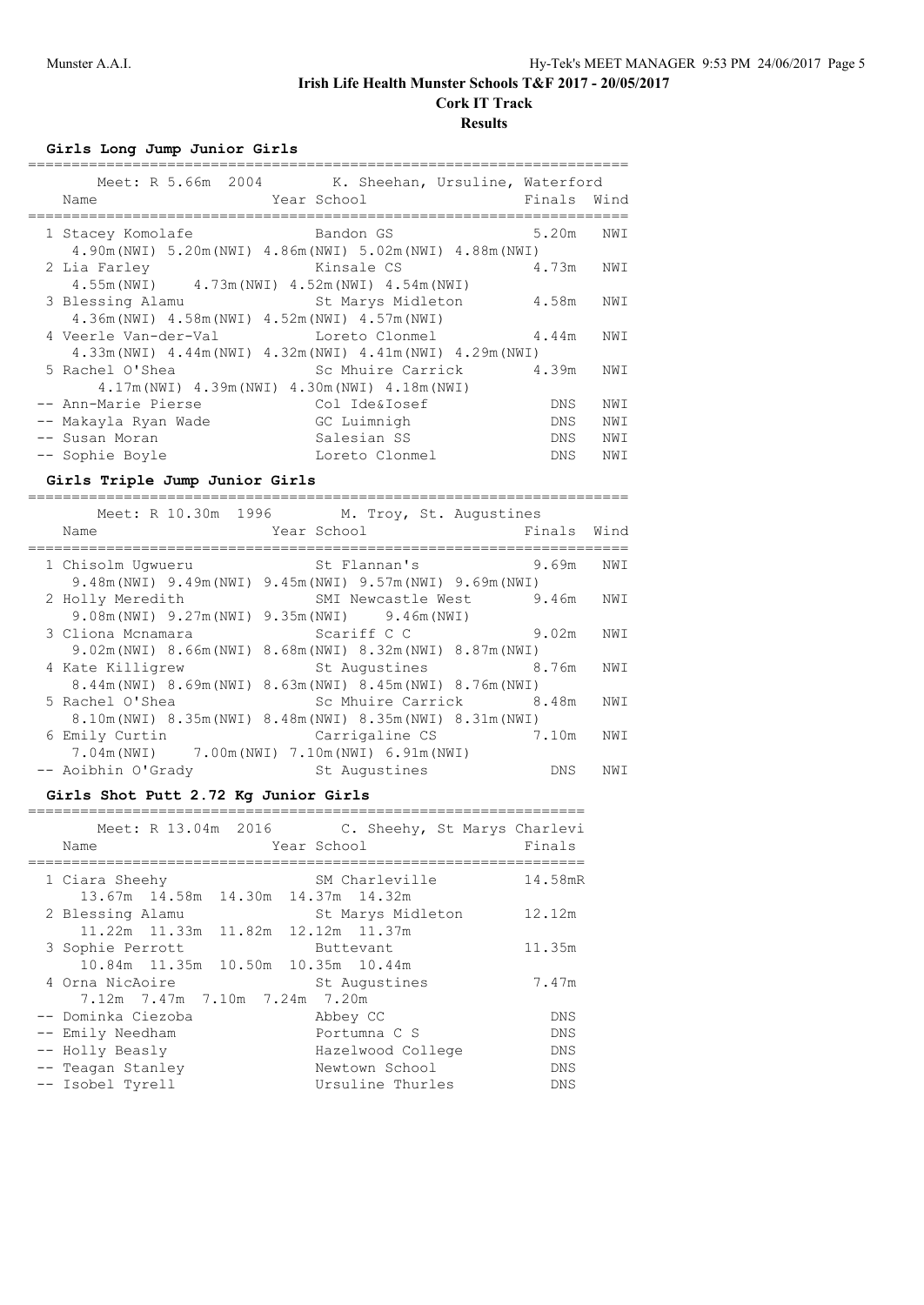# **Cork IT Track**

# **Results**

# **Girls Long Jump Junior Girls**

|                                                 | Meet: R 5.66m 2004 K. Sheehan, Ursuline, Waterford               |            |      |
|-------------------------------------------------|------------------------------------------------------------------|------------|------|
| Name                                            | Year School                                                      | Finals     | Wind |
| 1 Stacey Komolafe                               | Bandon GS                                                        | 5.20m      | NWI  |
|                                                 | 4.90m(NWI) 5.20m(NWI) 4.86m(NWI) 5.02m(NWI) 4.88m(NWI)           |            |      |
| 2 Lia Farley                                    | Kinsale CS                                                       | 4.73m      | NWI  |
|                                                 | $4.55m(NW1)$ $4.73m(NW1)$ $4.52m(NW1)$ $4.54m(NW1)$              |            |      |
| 3 Blessing Alamu                                | St Marys Midleton                                                | 4.58m      | NWI  |
| 4.36m (NWI) 4.58m (NWI) 4.52m (NWI) 4.57m (NWI) |                                                                  |            |      |
| 4 Veerle Van-der-Val                            | Loreto Clonmel 4.44m                                             |            | NWI  |
|                                                 | $4.33m(NWI)$ $4.44m(NWI)$ $4.32m(NWI)$ $4.41m(NWI)$ $4.29m(NWI)$ |            |      |
| 5 Rachel O'Shea                                 | Sc Mhuire Carrick 4.39m                                          |            | NWI  |
|                                                 | 4.17m (NWI) 4.39m (NWI) 4.30m (NWI) 4.18m (NWI)                  |            |      |
| -- Ann-Marie Pierse                             | Col Ide&Iosef                                                    | DNS.       | NWI  |
| -- Makayla Ryan Wade                            | GC Luimnigh                                                      | DNS.       | NWI  |
| -- Susan Moran                                  | Salesian SS                                                      | DNS        | NWI  |
| -- Sophie Boyle                                 | Loreto Clonmel                                                   | <b>DNS</b> | NWI  |
|                                                 |                                                                  |            |      |

# **Girls Triple Jump Junior Girls**

===================================================================== Meet: R 10.30m 1996 M. Troy, St. Augustines

| 1100 <b>.</b> It IV . JUIL | 1.11.11.100                                                           |                         |      |
|----------------------------|-----------------------------------------------------------------------|-------------------------|------|
| Name                       | Year School                                                           | Finals                  | Wind |
| 1 Chisolm Uqwueru          | St Flannan's                                                          | 9.69m                   | NWI  |
|                            | 9.48m (NWI) 9.49m (NWI) 9.45m (NWI) 9.57m (NWI) 9.69m (NWI)           |                         |      |
| 2 Holly Meredith           | SMI Newcastle West                                                    | 9.46m                   | NWI  |
|                            | 9.08m (NWI) 9.27m (NWI) 9.35m (NWI) 9.46m (NWI)                       |                         |      |
| 3 Cliona Mcnamara          | Scariff C C                                                           | 9.02m                   | NWI  |
|                            | $9.02$ m(NWI) $8.66$ m(NWI) $8.68$ m(NWI) $8.32$ m(NWI) $8.87$ m(NWI) |                         |      |
| 4 Kate Killigrew           | St Augustines 8.76m                                                   |                         | NWI  |
|                            | 8.44m(NWI) 8.69m(NWI) 8.63m(NWI) 8.45m(NWI) 8.76m(NWI)                |                         |      |
| 5 Rachel O'Shea            |                                                                       | Sc Mhuire Carrick 8.48m | NWI  |
|                            | 8.10m (NWI) 8.35m (NWI) 8.48m (NWI) 8.35m (NWI) 8.31m (NWI)           |                         |      |
| 6 Emily Curtin             | Carrigaline CS                                                        | 7.10m                   | NWI  |
|                            | $7.04$ m (NWI) $7.00$ m (NWI) $7.10$ m (NWI) $6.91$ m (NWI)           |                         |      |
| -- Aoibhin O'Grady         | St Augustines                                                         | <b>DNS</b>              | NWI  |

### **Girls Shot Putt 2.72 Kg Junior Girls**

| Meet: R 13.04m 2016<br>Name                              | C. Sheehy, St Marys Charlevi<br>Year School | Finals     |
|----------------------------------------------------------|---------------------------------------------|------------|
| 1 Ciara Sheehy<br>13.67m  14.58m  14.30m  14.37m  14.32m | SM Charleville                              | 14.58mR    |
| 2 Blessing Alamu<br>11.22m 11.33m 11.82m 12.12m 11.37m   | St Marys Midleton                           | 12.12m     |
| 3 Sophie Perrott<br>10.84m 11.35m 10.50m 10.35m 10.44m   | Buttevant                                   | 11.35m     |
| 4 Orna NicAoire<br>7.12m 7.47m 7.10m 7.24m 7.20m         | St Augustines                               | 7.47m      |
| -- Dominka Ciezoba                                       | Abbey CC                                    | DNS        |
| -- Emily Needham                                         | Portumna C S                                | <b>DNS</b> |
| -- Holly Beasly                                          | Hazelwood College                           | <b>DNS</b> |
| -- Teagan Stanley                                        | Newtown School                              | DNS        |
| -- Isobel Tyrell                                         | Ursuline Thurles                            | <b>DNS</b> |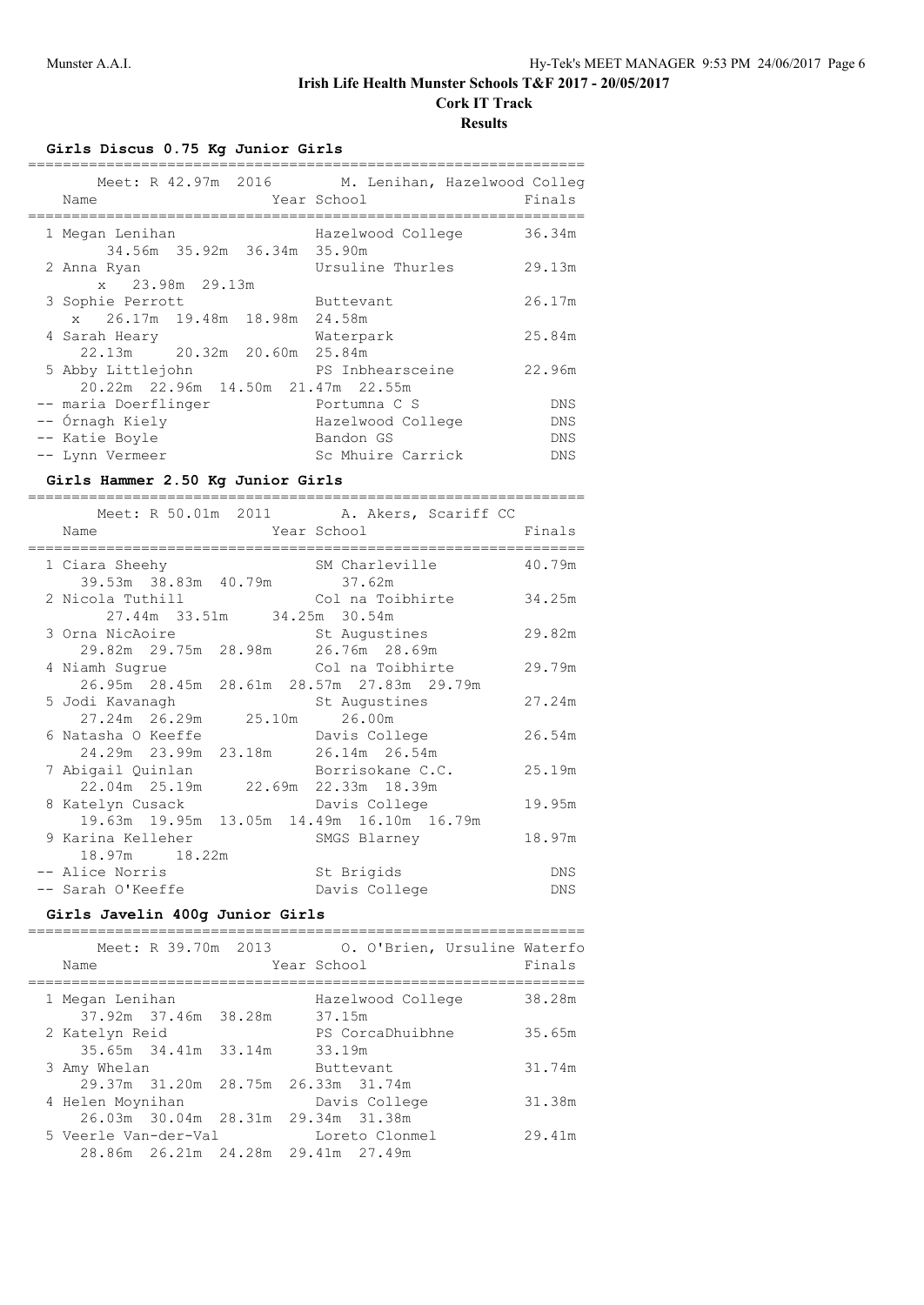**Cork IT Track**

# **Results**

================================================================

# **Girls Discus 0.75 Kg Junior Girls**

| Meet: R 42.97m 2016 M. Lenihan, Hazelwood Colleg<br>Name | Year School       | Finals     |
|----------------------------------------------------------|-------------------|------------|
| 1 Megan Lenihan<br>34.56m 35.92m 36.34m 35.90m           | Hazelwood College | 36.34m     |
| 2 Anna Ryan                                              | Ursuline Thurles  | 29.13m     |
| x 23.98m 29.13m                                          |                   |            |
| 3 Sophie Perrott                                         | Buttevant         | 26.17m     |
| x 26.17m 19.48m 18.98m 24.58m                            |                   |            |
| 4 Sarah Heary                                            | Waterpark         | 25.84m     |
| 22.13m 20.32m 20.60m 25.84m                              |                   |            |
| 5 Abby Littlejohn                                        | PS Inbhearsceine  | 22.96m     |
| 20.22m 22.96m 14.50m 21.47m 22.55m                       |                   |            |
| -- maria Doerflinger                                     | Portumna C S      | <b>DNS</b> |
| -- Órnagh Kiely                                          | Hazelwood College | <b>DNS</b> |
| -- Katie Boyle                                           | Bandon GS         | <b>DNS</b> |
| -- Lynn Vermeer                                          | Sc Mhuire Carrick | DNS        |
|                                                          |                   |            |

# **Girls Hammer 2.50 Kg Junior Girls**

================================================================

|                                                                          | Meet: R 50.01m 2011 A. Akers, Scariff CC                      |            |
|--------------------------------------------------------------------------|---------------------------------------------------------------|------------|
| Name                                                                     | Year School                                                   | Finals     |
| 1 Ciara Sheehy<br>39.53m 38.83m 40.79m                                   | SM Charleville                                                | 40.79m     |
| 2 Nicola Tuthill<br>27.44m 33.51m 34.25m 30.54m                          | 37.62m<br>Col na Toibhirte                                    | 34.25m     |
| 3 Orna NicAoire<br>29.82m 29.75m 28.98m 26.76m 28.69m                    | St Augustines                                                 | 29.82m     |
| 4 Niamh Sugrue                                                           | Col na Toibhirte<br>26.95m 28.45m 28.61m 28.57m 27.83m 29.79m | 29.79m     |
| 5 Jodi Kavanagh<br>27.24m  26.29m  25.10m                                | St Augustines<br>26.00m                                       | 27.24m     |
| 6 Natasha O Keeffe<br>24.29m 23.99m 23.18m 26.14m 26.54m                 | Davis College                                                 | 26.54m     |
| 7 Abigail Quinlan Borrisokane C.C.<br>22.04m 25.19m 22.69m 22.33m 18.39m |                                                               | 25.19m     |
| 8 Katelyn Cusack                                                         | Davis College<br>19.63m 19.95m 13.05m 14.49m 16.10m 16.79m    | 19.95m     |
| 9 Karina Kelleher<br>18.97m 18.22m                                       | SMGS Blarney                                                  | 18.97m     |
| -- Alice Norris<br>-- Sarah O'Keeffe                                     | St Brigids<br>Davis College                                   | DNS<br>DNS |

# **Girls Javelin 400g Junior Girls**

| Name                 | Meet: R 39.70m 2013                    | Year School |        | O. O'Brien, Ursuline Waterfo | Finals |
|----------------------|----------------------------------------|-------------|--------|------------------------------|--------|
| 1 Megan Lenihan      | 37.92m 37.46m 38.28m                   |             | 37.15m | Hazelwood College            | 38.28m |
| 2 Katelyn Reid       |                                        |             |        | PS CorcaDhuibhne             | 35.65m |
| 3 Amy Whelan         | 35.65m 34.41m 33.14m                   |             | 33.19m | Buttevant                    | 31.74m |
| 4 Helen Moynihan     | 29.37m 31.20m 28.75m 26.33m 31.74m     |             |        | Davis College                | 31.38m |
| 5 Veerle Van-der-Val | 26.03m 30.04m 28.31m 29.34m 31.38m     |             |        | Loreto Clonmel               | 29.41m |
|                      | 28.86m  26.21m  24.28m  29.41m  27.49m |             |        |                              |        |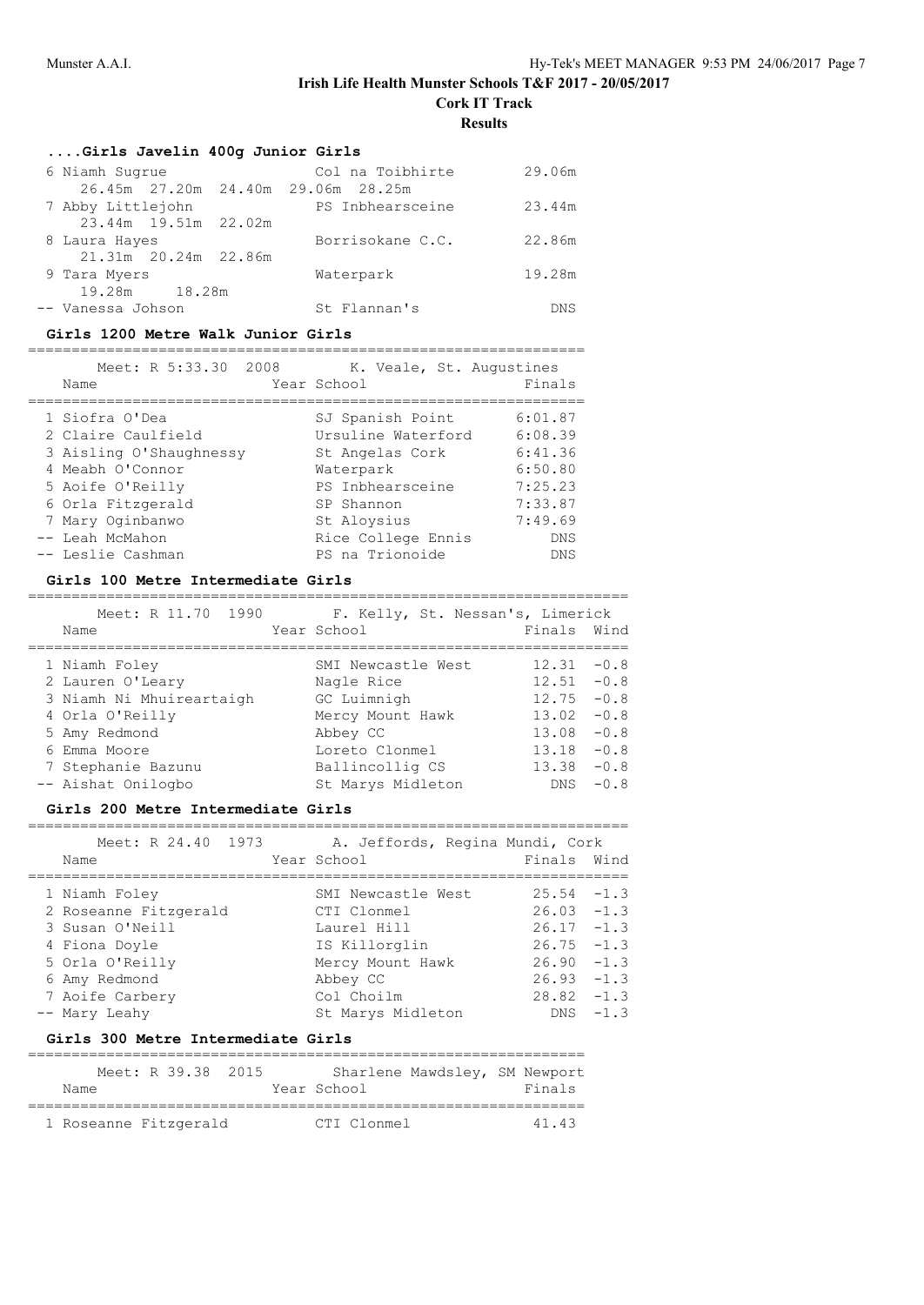**Cork IT Track**

**Results**

# **....Girls Javelin 400g Junior Girls**

| 6 Niamh Sugrue                     | Col na Toibhirte | 29.06m     |
|------------------------------------|------------------|------------|
| 26.45m 27.20m 24.40m 29.06m 28.25m |                  |            |
| 7 Abby Littlejohn                  | PS Inbhearsceine | 23.44m     |
| 23.44m 19.51m 22.02m               |                  |            |
| 8 Laura Hayes                      | Borrisokane C.C. | 22.86m     |
| 21.31m 20.24m 22.86m               |                  |            |
| 9 Tara Myers                       | Waterpark        | 19.28m     |
| 19.28m 18.28m                      |                  |            |
| -- Vanessa Johson                  | St Flannan's     | <b>DNS</b> |

#### **Girls 1200 Metre Walk Junior Girls**

| Meet: R 5:33.30<br>2008<br>Name | K. Veale, St. Augustines<br>Year School | Finals     |
|---------------------------------|-----------------------------------------|------------|
|                                 |                                         |            |
| 1 Siofra O'Dea                  | SJ Spanish Point                        | 6:01.87    |
| 2 Claire Caulfield              | Ursuline Waterford                      | 6:08.39    |
| 3 Aisling O'Shaughnessy         | St Angelas Cork                         | 6:41.36    |
| 4 Meabh O'Connor                | Waterpark                               | 6:50.80    |
| 5 Aoife O'Reilly                | PS Inbhearsceine                        | 7:25.23    |
| 6 Orla Fitzgerald               | SP Shannon                              | 7:33.87    |
| 7 Mary Oginbanwo                | St Aloysius                             | 7:49.69    |
| -- Leah McMahon                 | Rice College Ennis                      | <b>DNS</b> |
| -- Leslie Cashman               | PS na Trionoide                         | <b>DNS</b> |

# **Girls 100 Metre Intermediate Girls**

| Meet: R 11.70 1990       | F. Kelly, St. Nessan's, Limerick |             |        |
|--------------------------|----------------------------------|-------------|--------|
| Name                     | Year School                      | Finals Wind |        |
|                          |                                  |             |        |
| 1 Niamh Foley            | SMI Newcastle West               | 12.31       | $-0.8$ |
| 2 Lauren O'Leary         | Nagle Rice                       | 12.51       | $-0.8$ |
| 3 Niamh Ni Mhuireartaigh | GC Luimnigh                      | 12.75       | $-0.8$ |
| 4 Orla O'Reilly          | Mercy Mount Hawk                 | 13.02       | $-0.8$ |
| 5 Amy Redmond            | Abbey CC                         | 13.08       | $-0.8$ |
| 6 Emma Moore             | Loreto Clonmel                   | 13.18       | $-0.8$ |
| 7 Stephanie Bazunu       | Ballincollig CS                  | 13.38       | $-0.8$ |
| -- Aishat Onilogbo       | St Marys Midleton                | <b>DNS</b>  | $-0.8$ |

#### **Girls 200 Metre Intermediate Girls**

| Meet: R 24.40 1973    | A. Jeffords, Regina Mundi, Cork |               |        |
|-----------------------|---------------------------------|---------------|--------|
| Name                  | Year School                     | Finals Wind   |        |
|                       |                                 |               |        |
| 1 Niamh Foley         | SMI Newcastle West              | $25.54 - 1.3$ |        |
| 2 Roseanne Fitzgerald | CTI Clonmel                     | $26.03 - 1.3$ |        |
| 3 Susan O'Neill       | Laurel Hill                     | $26.17 - 1.3$ |        |
| 4 Fiona Doyle         | IS Killorglin                   | $26.75 - 1.3$ |        |
| 5 Orla O'Reilly       | Mercy Mount Hawk                | $26.90 - 1.3$ |        |
| 6 Amy Redmond         | Abbey CC                        | $26.93 - 1.3$ |        |
| 7 Aoife Carbery       | Col Choilm                      | $28.82 - 1.3$ |        |
| -- Mary Leahy         | St Marys Midleton               | DNS.          | $-1.3$ |

#### **Girls 300 Metre Intermediate Girls**

|                       | Meet: R 39.38 2015 |  |             | Sharlene Mawdsley, SM Newport |        |
|-----------------------|--------------------|--|-------------|-------------------------------|--------|
| Name                  |                    |  | Year School |                               | Finals |
|                       |                    |  |             |                               |        |
| 1 Roseanne Fitzgerald |                    |  | CTI Clonmel |                               | 41 43  |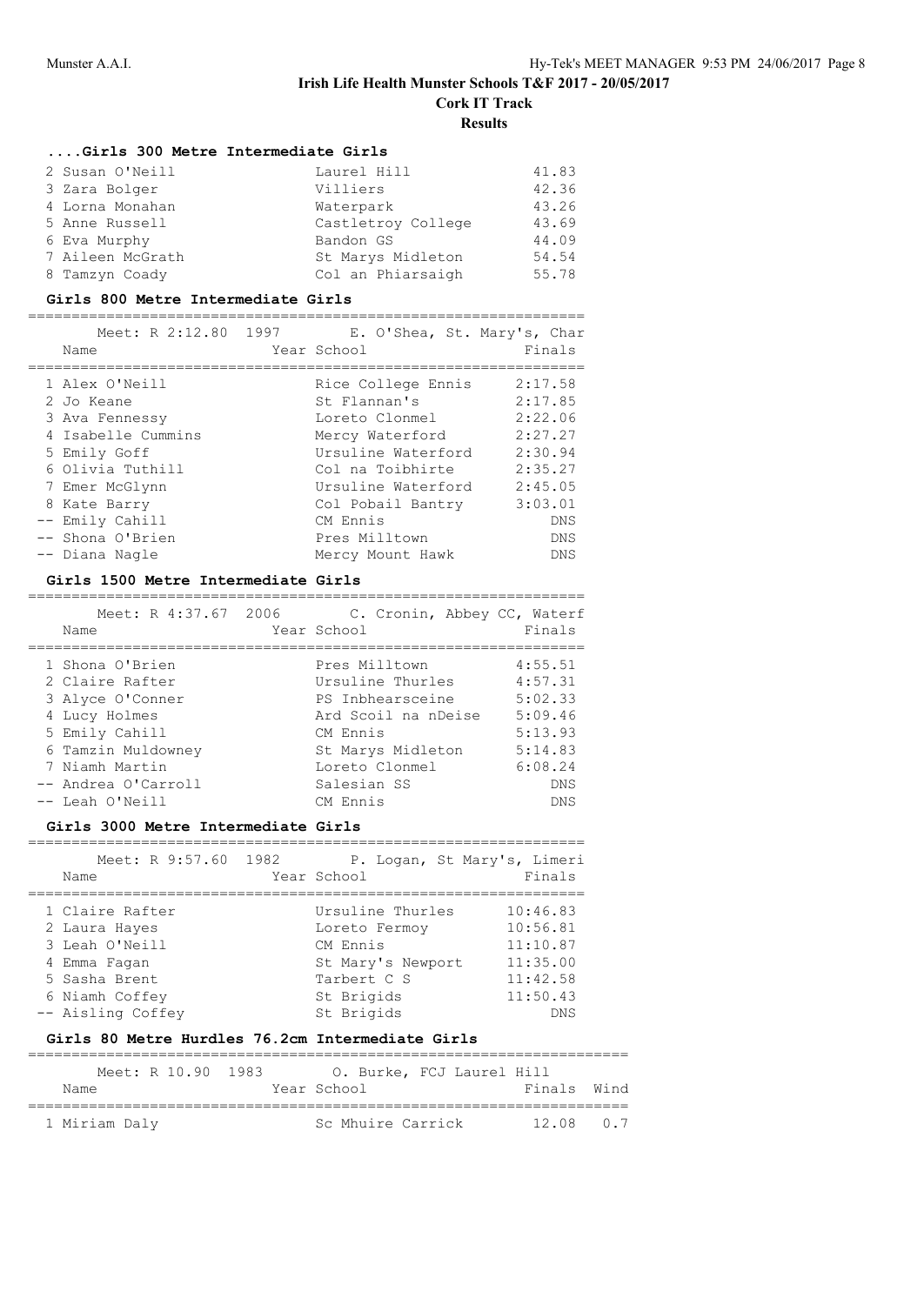**Cork IT Track**

**Results**

#### **....Girls 300 Metre Intermediate Girls**

| 2 Susan O'Neill  | Laurel Hill        | 41.83 |
|------------------|--------------------|-------|
| 3 Zara Bolger    | Villiers           | 42.36 |
| 4 Lorna Monahan  | Waterpark          | 43.26 |
| 5 Anne Russell   | Castletroy College | 43.69 |
| 6 Eva Murphy     | Bandon GS          | 44.09 |
| 7 Aileen McGrath | St Marys Midleton  | 54.54 |
| 8 Tamzyn Coady   | Col an Phiarsaigh  | 55.78 |

#### **Girls 800 Metre Intermediate Girls**

| Meet: R 2:12.80 1997<br>E. O'Shea, St. Mary's, Char<br>Finals<br>Year School<br>Name<br>2:17.58<br>1 Alex O'Neill<br>Rice College Ennis<br>2:17.85<br>St Flannan's<br>2 Jo Keane<br>2:22.06<br>3 Ava Fennessy<br>Loreto Clonmel<br>2:27.27<br>4 Isabelle Cummins<br>Mercy Waterford<br>2:30.94<br>Ursuline Waterford<br>5 Emily Goff<br>2:35.27<br>6 Olivia Tuthill<br>Col na Toibhirte<br>2:45.05<br>7 Emer McGlynn<br>Ursuline Waterford<br>3:03.01<br>Col Pobail Bantry<br>8 Kate Barry<br>-- Emily Cahill<br>CM Ennis<br>DNS |                  |               |            |
|----------------------------------------------------------------------------------------------------------------------------------------------------------------------------------------------------------------------------------------------------------------------------------------------------------------------------------------------------------------------------------------------------------------------------------------------------------------------------------------------------------------------------------|------------------|---------------|------------|
|                                                                                                                                                                                                                                                                                                                                                                                                                                                                                                                                  |                  |               |            |
|                                                                                                                                                                                                                                                                                                                                                                                                                                                                                                                                  | -- Shona O'Brien | Pres Milltown | <b>DNS</b> |

# **Girls 1500 Metre Intermediate Girls**

| Meet: R 4:37.67 2006<br>Name | C. Cronin, Abbey CC, Waterf<br>Year School | Finals     |
|------------------------------|--------------------------------------------|------------|
| 1 Shona O'Brien              | Pres Milltown                              | 4:55.51    |
| 2 Claire Rafter              | Ursuline Thurles                           | 4:57.31    |
| 3 Alyce O'Conner             | PS Inbhearsceine                           | 5:02.33    |
| 4 Lucy Holmes                | Ard Scoil na nDeise                        | 5:09.46    |
| 5 Emily Cahill               | CM Ennis                                   | 5:13.93    |
| 6 Tamzin Muldowney           | St Marys Midleton                          | 5:14.83    |
| 7 Niamh Martin               | Loreto Clonmel                             | 6:08.24    |
| -- Andrea O'Carroll          | Salesian SS                                | <b>DNS</b> |
| -- Leah O'Neill              | CM Ennis                                   | <b>DNS</b> |

#### **Girls 3000 Metre Intermediate Girls**

|                   | Meet: R 9:57.60 1982 |                   | P. Logan, St Mary's, Limeri |
|-------------------|----------------------|-------------------|-----------------------------|
| Name              |                      | Year School       | Finals                      |
|                   |                      |                   |                             |
| 1 Claire Rafter   |                      | Ursuline Thurles  | 10:46.83                    |
| 2 Laura Hayes     |                      | Loreto Fermoy     | 10:56.81                    |
| 3 Leah O'Neill    |                      | CM Ennis          | 11:10.87                    |
| 4 Emma Faqan      |                      | St Mary's Newport | 11:35.00                    |
| 5 Sasha Brent     |                      | Tarbert C S       | 11:42.58                    |
| 6 Niamh Coffey    |                      | St Brigids        | 11:50.43                    |
| -- Aisling Coffey |                      | St Brigids        | <b>DNS</b>                  |

### **Girls 80 Metre Hurdles 76.2cm Intermediate Girls**

| Meet: R 10.90 1983 | O. Burke, FCJ Laurel Hill |             |     |
|--------------------|---------------------------|-------------|-----|
| Name               | Year School               | Finals Wind |     |
|                    |                           |             |     |
| 1 Miriam Daly      | Sc Mhuire Carrick         | 12 O.R      | 0.7 |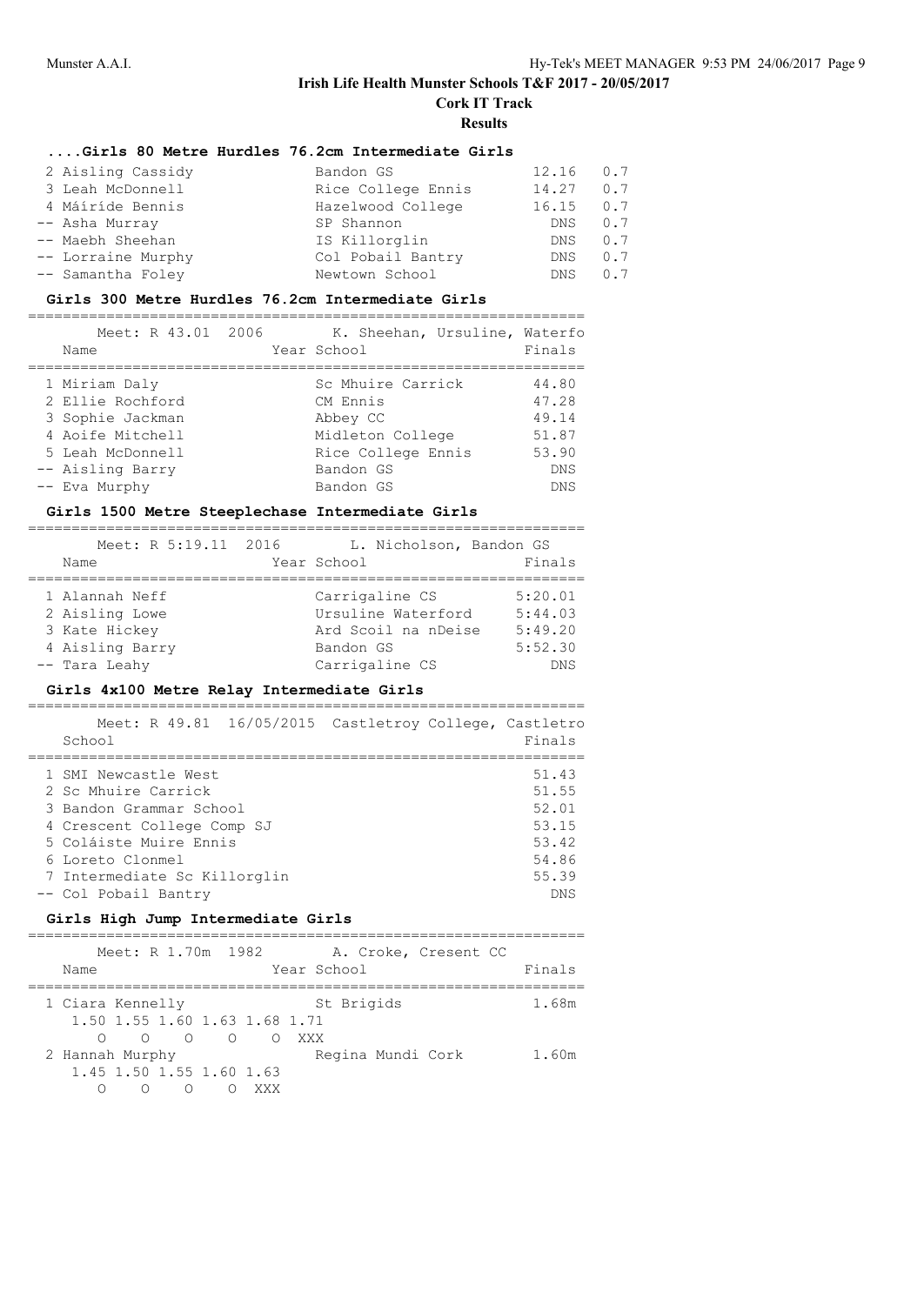**Cork IT Track**

**Results**

#### **....Girls 80 Metre Hurdles 76.2cm Intermediate Girls**

| 2 Aisling Cassidy  | Bandon GS          | 12.16 | 0.7 |
|--------------------|--------------------|-------|-----|
| 3 Leah McDonnell   | Rice College Ennis | 14.27 | 0.7 |
| 4 Máiríde Bennis   | Hazelwood College  | 16.15 | 0.7 |
| -- Asha Murray     | SP Shannon         | DNS.  | 0.7 |
| -- Maebh Sheehan   | IS Killorglin      | DNS.  | 0.7 |
| -- Lorraine Murphy | Col Pobail Bantry  | DNS.  | 0.7 |
| -- Samantha Foley  | Newtown School     | DNS.  | 0.7 |

#### **Girls 300 Metre Hurdles 76.2cm Intermediate Girls**

| Meet: R 43.01 2006<br>Name | K. Sheehan, Ursuline, Waterfo<br>Year School | Finals     |
|----------------------------|----------------------------------------------|------------|
|                            |                                              |            |
| 1 Miriam Daly              | Sc Mhuire Carrick                            | 44.80      |
| 2 Ellie Rochford           | CM Ennis                                     | 47.28      |
| 3 Sophie Jackman           | Abbey CC                                     | 49.14      |
| 4 Aoife Mitchell           | Midleton College                             | 51.87      |
| 5 Leah McDonnell           | Rice College Ennis                           | 53.90      |
| -- Aisling Barry           | Bandon GS                                    | <b>DNS</b> |
| -- Eva Murphy              | Bandon GS                                    | <b>DNS</b> |

#### **Girls 1500 Metre Steeplechase Intermediate Girls**

| Meet: R 5:19.11 2016<br>Name                      | L. Nicholson, Bandon GS<br>Year School                      | Finals                        |
|---------------------------------------------------|-------------------------------------------------------------|-------------------------------|
| 1 Alannah Neff<br>2 Aisling Lowe<br>3 Kate Hickey | Carrigaline CS<br>Ursuline Waterford<br>Ard Scoil na nDeise | 5:20.01<br>5:44.03<br>5:49.20 |
| 4 Aisling Barry<br>-- Tara Leahy                  | Bandon GS<br>Carrigaline CS                                 | 5:52.30<br><b>DNS</b>         |

#### **Girls 4x100 Metre Relay Intermediate Girls**

| Meet: R 49.81 16/05/2015 Castletroy College, Castletro<br>School |  |  |  | Finals     |
|------------------------------------------------------------------|--|--|--|------------|
| 1 SMI Newcastle West                                             |  |  |  | 51.43      |
|                                                                  |  |  |  |            |
| 2 Sc Mhuire Carrick                                              |  |  |  | 51.55      |
| 3 Bandon Grammar School                                          |  |  |  | 52.01      |
| 4 Crescent College Comp SJ                                       |  |  |  | 53.15      |
| 5 Coláiste Muire Ennis                                           |  |  |  |            |
| 6 Loreto Clonmel                                                 |  |  |  | 54.86      |
| 7 Intermediate Sc Killorglin                                     |  |  |  | 55.39      |
| -- Col Pobail Bantry                                             |  |  |  | <b>DNS</b> |

#### **Girls High Jump Intermediate Girls**

================================================================ Meet: R 1.70m 1982 A. Croke, Cresent CC

| Name                                              |  |                         |     | Year School       | Finals |
|---------------------------------------------------|--|-------------------------|-----|-------------------|--------|
| 1 Ciara Kennelly<br>1.50 1.55 1.60 1.63 1.68 1.71 |  |                         |     | St Brigids        | 1.68m  |
|                                                   |  | $\circ$ $\circ$ $\circ$ |     | XXX X             |        |
| 2 Hannah Murphy                                   |  |                         |     | Regina Mundi Cork | 1.60m  |
| 1.45 1.50 1.55 1.60 1.63                          |  |                         |     |                   |        |
|                                                   |  |                         | XXX |                   |        |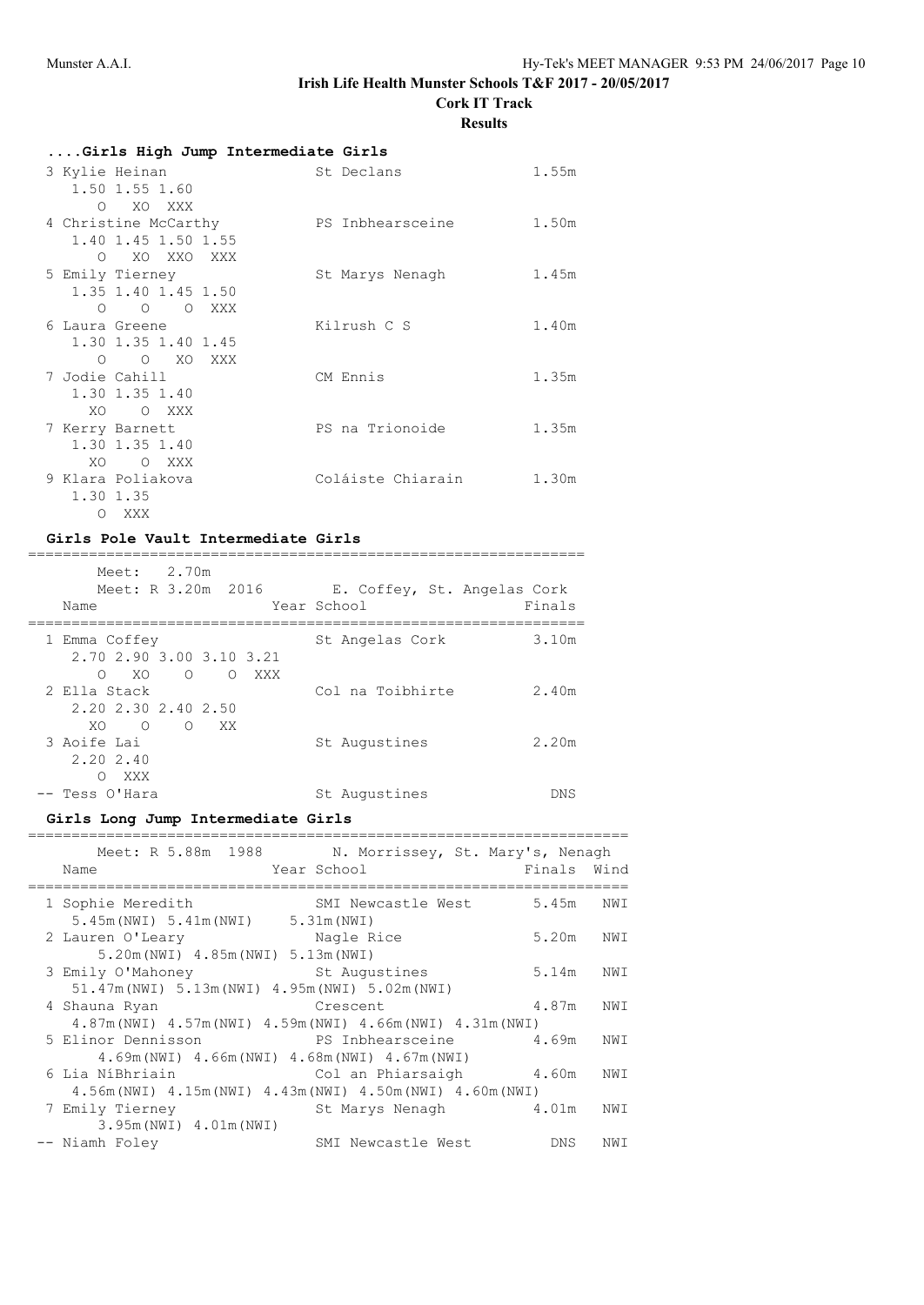**Results**

| Girls High Jump Intermediate Girls |                   |       |
|------------------------------------|-------------------|-------|
| 3 Kylie Heinan<br>1.50 1.55 1.60   | St Declans        | 1.55m |
| O XO XXX                           |                   |       |
| 4 Christine McCarthy               | PS Inbhearsceine  | 1.50m |
| 1.40 1.45 1.50 1.55                |                   |       |
| O XO XXO XXX                       |                   |       |
| 5 Emily Tierney                    | St Marys Nenagh   | 1.45m |
| 1.35 1.40 1.45 1.50                |                   |       |
| $O$ $O$ $O$ XXX                    |                   |       |
| 6 Laura Greene                     | Kilrush C S       | 1.40m |
| 1.30 1.35 1.40 1.45                |                   |       |
| O O XO XXX                         |                   |       |
| 7 Jodie Cahill                     | CM Ennis          | 1.35m |
| 1.30 1.35 1.40                     |                   |       |
| XO OXXX                            |                   |       |
| 7 Kerry Barnett                    | PS na Trionoide   | 1.35m |
| 1.30 1.35 1.40                     |                   |       |
| XO OXXX                            |                   |       |
| 9 Klara Poliakova                  | Coláiste Chiarain | 1.30m |
| 1.30 1.35                          |                   |       |
| O XXX                              |                   |       |

#### **Girls Pole Vault Intermediate Girls**

| 2.70m<br>Meet:<br>Meet: R 3.20m 2016                                                | E. Coffey, St. Angelas Cork<br>Finals |  |
|-------------------------------------------------------------------------------------|---------------------------------------|--|
| Name                                                                                | Year School                           |  |
| 1 Emma Coffey<br>2.70 2.90 3.00 3.10 3.21<br>XO.<br>$\circ$<br>$\Omega$<br>XXX<br>∩ | 3.10m<br>St Angelas Cork              |  |
| 2 Ella Stack<br>2.20 2.30 2.40 2.50<br>$\bigcirc$<br>XO.<br>∩<br>XX                 | Col na Toibhirte<br>2.40m             |  |
| 3 Aoife Lai<br>2.20 2.40<br>XXX<br>∩                                                | 2.20m<br>St Augustines                |  |
| -- Tess O'Hara                                                                      | St Augustines<br>DNS                  |  |

================================================================

# **Girls Long Jump Intermediate Girls**

| Name                                                                                   | Meet: R 5.88m 1988 N. Morrissey, St. Mary's, Nenagh<br>Year School         | Finals | Wind |
|----------------------------------------------------------------------------------------|----------------------------------------------------------------------------|--------|------|
| 1 Sophie Meredith<br>5.45m(NWI) 5.41m(NWI) 5.31m(NWI)                                  | SMI Newcastle West                                                         | 5.45m  | NWI  |
| 2 Lauren O'Leary                                                                       | Nagle Rice                                                                 | 5.20m  | NWI  |
| 5.20m (NWI) 4.85m (NWI) 5.13m (NWI)<br>3 Emily O'Mahoney                               | St Augustines                                                              | 5.14m  | NWI  |
| $51.47m(NWI)$ 5.13m (NWI) 4.95m (NWI) 5.02m (NWI)<br>4 Shauna Ryan                     | Crescent                                                                   | 4.87m  | NWI  |
| $4.87m(NWI)$ $4.57m(NWI)$ $4.59m(NWI)$ $4.66m(NWI)$ $4.31m(NWI)$<br>5 Elinor Dennisson | PS Inbhearsceine 4.69m                                                     |        | NWI  |
| 6 Lia NíBhriain                                                                        | 4.69m (NWI) 4.66m (NWI) 4.68m (NWI) 4.67m (NWI)<br>Col an Phiarsaigh 4.60m |        | NWI  |
| $4.56m(NWI)$ $4.15m(NWI)$ $4.43m(NWI)$ $4.50m(NWI)$ $4.60m(NWI)$<br>7 Emily Tierney    | St Marys Nenagh                                                            | 4.01m  | NWI  |
| 3.95m (NWI) 4.01m (NWI)<br>-- Niamh Foley                                              | SMI Newcastle West                                                         | DNS    | NWI  |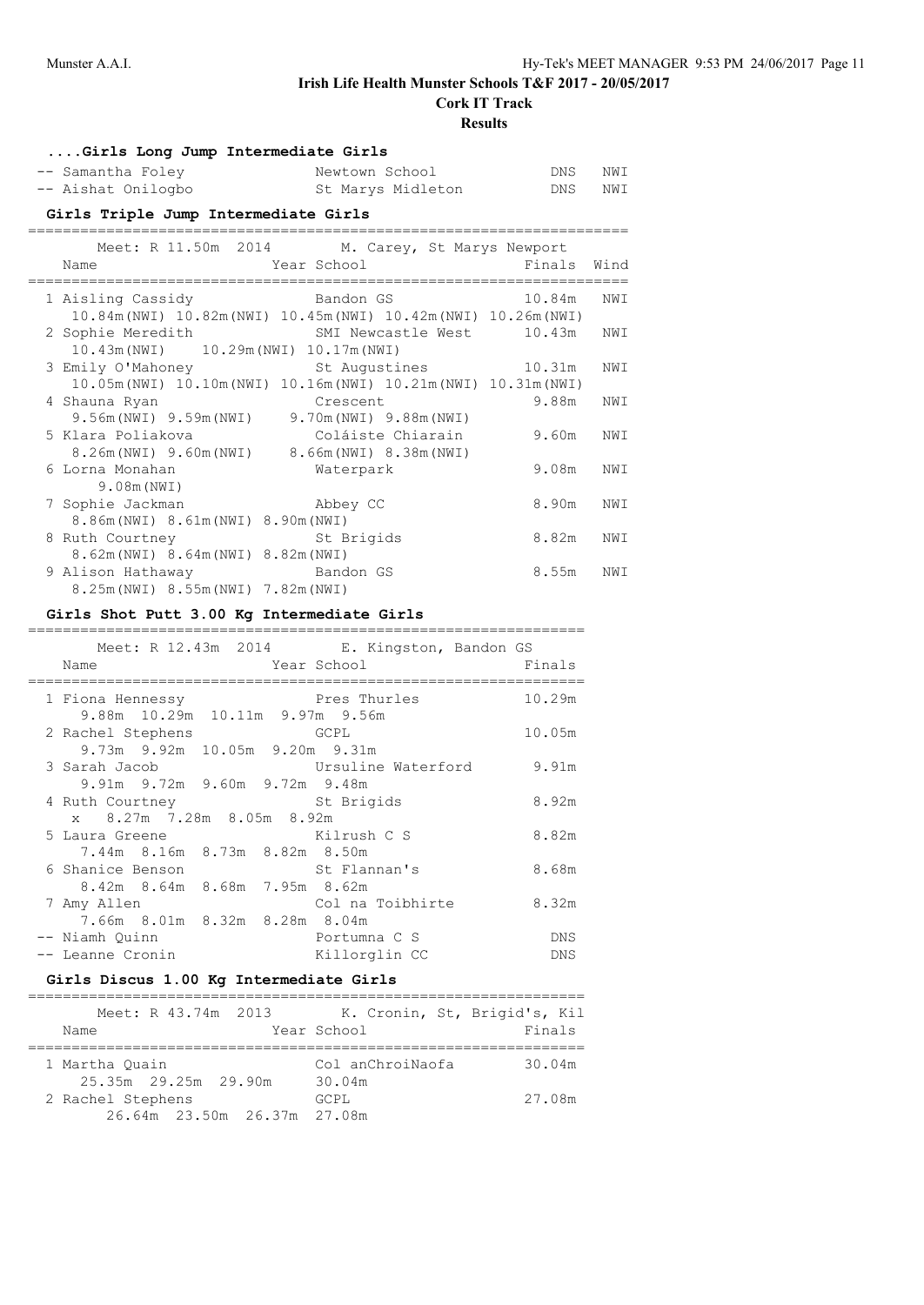**Cork IT Track**

# **Results**

| Girls Long Jump Intermediate Girls                                                                                                                                                                                                                                                                                                                                                                                    |                   |             |     |  |  |  |
|-----------------------------------------------------------------------------------------------------------------------------------------------------------------------------------------------------------------------------------------------------------------------------------------------------------------------------------------------------------------------------------------------------------------------|-------------------|-------------|-----|--|--|--|
| -- Samantha Foley                                                                                                                                                                                                                                                                                                                                                                                                     | Newtown School    | DNS         | NWI |  |  |  |
| -- Aishat Onilogbo                                                                                                                                                                                                                                                                                                                                                                                                    | St Marys Midleton | DNS         | NWI |  |  |  |
| Girls Triple Jump Intermediate Girls                                                                                                                                                                                                                                                                                                                                                                                  |                   |             |     |  |  |  |
|                                                                                                                                                                                                                                                                                                                                                                                                                       |                   |             |     |  |  |  |
| Meet: R 11.50m 2014 M. Carey, St Marys Newport                                                                                                                                                                                                                                                                                                                                                                        |                   |             |     |  |  |  |
| Name                                                                                                                                                                                                                                                                                                                                                                                                                  | Year School       | Finals Wind |     |  |  |  |
|                                                                                                                                                                                                                                                                                                                                                                                                                       |                   |             |     |  |  |  |
| 1 Aisling Cassidy                                                                                                                                                                                                                                                                                                                                                                                                     | Bandon GS 10.84m  |             | NWI |  |  |  |
| $10.84$ m (NWI) $10.82$ m (NWI) $10.45$ m (NWI) $10.42$ m (NWI) $10.26$ m (NWI)                                                                                                                                                                                                                                                                                                                                       |                   |             |     |  |  |  |
| 2 Sophie Meredith . SMI Newcastle West 10.43m NWI                                                                                                                                                                                                                                                                                                                                                                     |                   |             |     |  |  |  |
| 10.43m (NWI)    10.29m (NWI)    10.17m (NWI)                                                                                                                                                                                                                                                                                                                                                                          |                   |             |     |  |  |  |
| 3 Emily O'Mahoney 6 St Augustines 10.31m                                                                                                                                                                                                                                                                                                                                                                              |                   |             | NWI |  |  |  |
| 10.05m (NWI) 10.10m (NWI) 10.16m (NWI) 10.21m (NWI) 10.31m (NWI)                                                                                                                                                                                                                                                                                                                                                      |                   |             |     |  |  |  |
| 4 Shauna Ryan                                                                                                                                                                                                                                                                                                                                                                                                         | Crescent          | 9.88m       | NWI |  |  |  |
| 9.56m (NWI) 9.59m (NWI) 9.70m (NWI) 9.88m (NWI)                                                                                                                                                                                                                                                                                                                                                                       |                   |             |     |  |  |  |
| 5 Klara Poliakova                                                                                                                                                                                                                                                                                                                                                                                                     | Coláiste Chiarain | 9.60m       | NWI |  |  |  |
| 8.26m (NWI) 9.60m (NWI) 8.66m (NWI) 8.38m (NWI)                                                                                                                                                                                                                                                                                                                                                                       |                   |             |     |  |  |  |
| 6 Lorna Monahan                                                                                                                                                                                                                                                                                                                                                                                                       | Waterpark         | 9.08m       | NWI |  |  |  |
| 9.08m (NWI)<br>Abbey CC                                                                                                                                                                                                                                                                                                                                                                                               |                   | 8.90m       | NWI |  |  |  |
| 7 Sophie Jackman<br>8.86m (NWI) 8.61m (NWI) 8.90m (NWI)                                                                                                                                                                                                                                                                                                                                                               |                   |             |     |  |  |  |
| 8 Ruth Courtney                                                                                                                                                                                                                                                                                                                                                                                                       | St Brigids        | 8.82m NWI   |     |  |  |  |
| 8.62m (NWI) 8.64m (NWI) 8.82m (NWI)                                                                                                                                                                                                                                                                                                                                                                                   |                   |             |     |  |  |  |
| 9 Alison Hathaway 68 Bandon GS                                                                                                                                                                                                                                                                                                                                                                                        |                   | 8.55m       | NWI |  |  |  |
| 8.25m (NWI) 8.55m (NWI) 7.82m (NWI)                                                                                                                                                                                                                                                                                                                                                                                   |                   |             |     |  |  |  |
|                                                                                                                                                                                                                                                                                                                                                                                                                       |                   |             |     |  |  |  |
| Girls Shot Putt 3.00 Kg Intermediate Girls                                                                                                                                                                                                                                                                                                                                                                            |                   |             |     |  |  |  |
| $M_{\odot}$ $\rightarrow$ $R_{\odot}$ $\rightarrow$ $R_{\odot}$ $\rightarrow$ $R_{\odot}$ $\rightarrow$ $R_{\odot}$ $\rightarrow$ $R_{\odot}$ $\rightarrow$ $R_{\odot}$ $\rightarrow$ $R_{\odot}$ $\rightarrow$ $R_{\odot}$ $\rightarrow$ $R_{\odot}$ $\rightarrow$ $R_{\odot}$ $\rightarrow$ $R_{\odot}$ $\rightarrow$ $R_{\odot}$ $\rightarrow$ $R_{\odot}$ $\rightarrow$ $R_{\odot}$ $\rightarrow$ $R_{\odot}$ $\$ |                   |             |     |  |  |  |

|                                                     | Meet: R 12.43m 2014 E. Kingston, Bandon GS |        |
|-----------------------------------------------------|--------------------------------------------|--------|
| Name                                                | Year School                                | Finals |
| 1 Fiona Hennessy<br>9.88m 10.29m 10.11m 9.97m 9.56m | Pres Thurles                               | 10.29m |
| 2 Rachel Stephens                                   | <b>GCPL</b>                                | 10.05m |
| 9.73m 9.92m 10.05m 9.20m 9.31m                      |                                            |        |
| 3 Sarah Jacob                                       | Ursuline Waterford                         | 9.91m  |
| 9.91m 9.72m 9.60m 9.72m 9.48m                       |                                            |        |
| 4 Ruth Courtney St Brigids                          |                                            | 8.92m  |
| x 8.27m 7.28m 8.05m 8.92m                           |                                            |        |
| 5 Laura Greene                                      | Kilrush C S                                | 8.82m  |
| 7.44m 8.16m 8.73m 8.82m 8.50m                       |                                            |        |
| 6 Shanice Benson                                    | St Flannan's                               | 8.68m  |
| 8.42m 8.64m 8.68m 7.95m 8.62m                       |                                            |        |
| 7 Amy Allen                                         | Col na Toibhirte                           | 8.32m  |
| 7.66m 8.01m 8.32m 8.28m 8.04m                       |                                            |        |
| -- Niamh Quinn                                      | Portumna C S                               | DNS    |
| -- Leanne Cronin                                    | Killorglin CC                              | DNS    |

# **Girls Discus 1.00 Kg Intermediate Girls**

| Meet: R 43.74m 2013<br>K. Cronin, St, Brigid's, Kil<br>Finals<br>Year School<br>Name<br>30.04m<br>1 Martha Ouain<br>Col anChroiNaofa<br>25.35m 29.25m 29.90m<br>30.04m<br>2 Rachel Stephens<br>27.08m<br>GCPL.<br>26.64m 23.50m 26.37m 27.08m |  |  |  |
|-----------------------------------------------------------------------------------------------------------------------------------------------------------------------------------------------------------------------------------------------|--|--|--|
|                                                                                                                                                                                                                                               |  |  |  |
|                                                                                                                                                                                                                                               |  |  |  |
|                                                                                                                                                                                                                                               |  |  |  |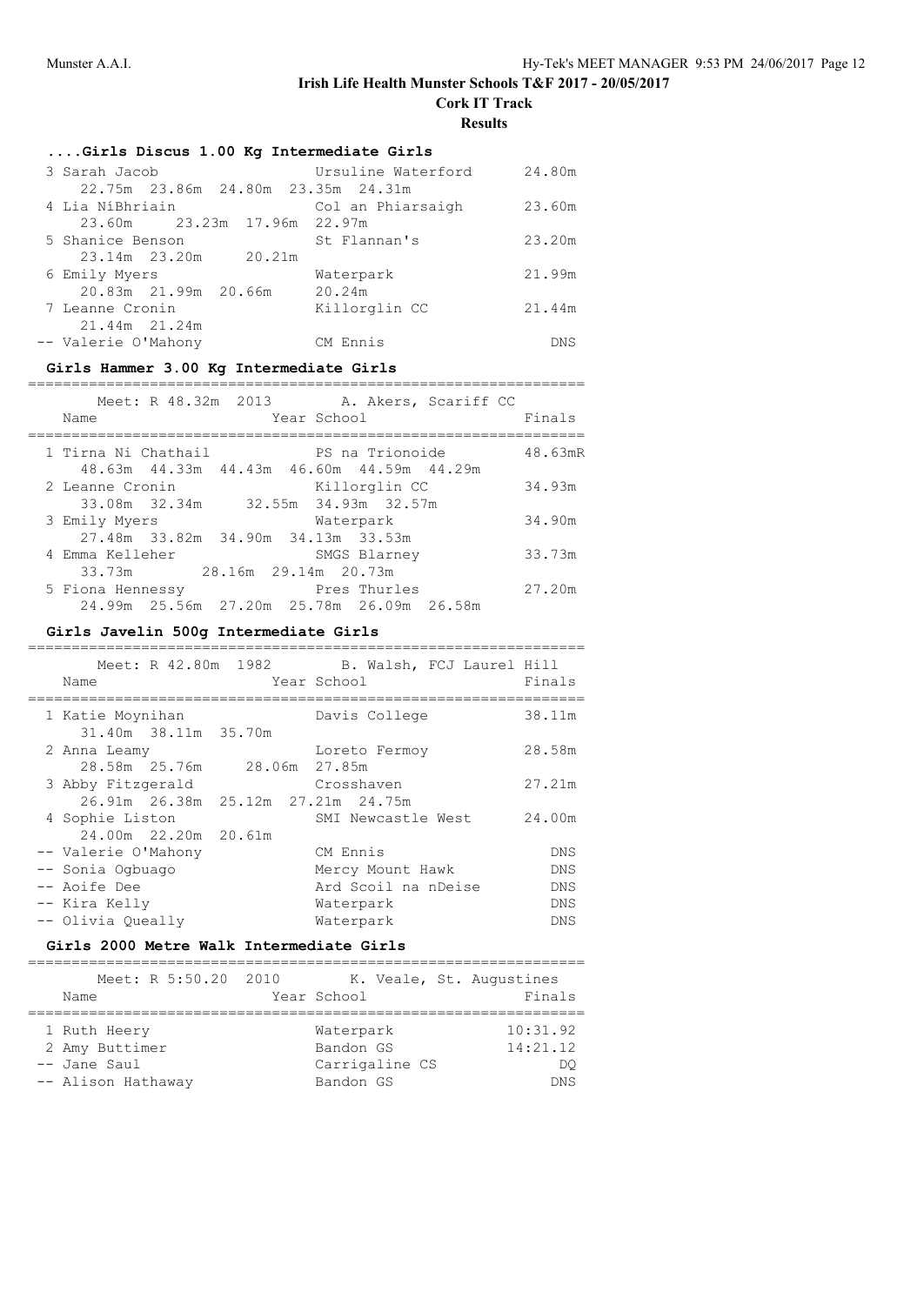**Cork IT Track**

# **Results**

# **....Girls Discus 1.00 Kg Intermediate Girls**

| 3 Sarah Jacob                      | Ursuline Waterford | 24.80m |
|------------------------------------|--------------------|--------|
| 22.75m 23.86m 24.80m 23.35m 24.31m |                    |        |
| 4 Lia NíBhriain                    | Col an Phiarsaigh  | 23.60m |
| 23.60m 23.23m 17.96m 22.97m        |                    |        |
| 5 Shanice Benson                   | St Flannan's       | 23.20m |
| 23.14m 23.20m<br>20.21m            |                    |        |
| 6 Emily Myers                      | Waterpark          | 21.99m |
| 20.83m 21.99m 20.66m               | 20.24m             |        |
| 7 Leanne Cronin                    | Killorglin CC      | 21.44m |
| 21.44m 21.24m                      |                    |        |
| -- Valerie O'Mahony                | CM Ennis           | DNS    |

# **Girls Hammer 3.00 Kg Intermediate Girls**

| Name                                                                  | Meet: R 48.32m 2013  | Year School |                 | A. Akers, Scariff CC | Finals  |
|-----------------------------------------------------------------------|----------------------|-------------|-----------------|----------------------|---------|
| 1 Tirna Ni Chathail<br>48.63m  44.33m  44.43m  46.60m  44.59m  44.29m |                      |             | PS na Trionoide |                      | 48.63mR |
| 2 Leanne Cronin<br>33.08m 32.34m                                      | 32.55m 34.93m 32.57m |             | Killorglin CC   |                      | 34.93m  |
| 3 Emily Myers<br>27.48m 33.82m 34.90m 34.13m 33.53m                   |                      | Waterpark   |                 |                      | 34.90m  |
| 4 Emma Kelleher<br>33.73m 28.16m 29.14m 20.73m                        |                      |             | SMGS Blarney    |                      | 33.73m  |
| 5 Fiona Hennessy<br>24.99m 25.56m 27.20m 25.78m 26.09m 26.58m         |                      |             | Pres Thurles    |                      | 27.20m  |

# **Girls Javelin 500g Intermediate Girls**

| Meet: R 42.80m 1982<br>Name              | B. Walsh, FCJ Laurel Hill<br>Year School | Finals     |
|------------------------------------------|------------------------------------------|------------|
| 1 Katie Moynihan<br>31.40m 38.11m 35.70m | Davis College                            | 38.11m     |
| 2 Anna Leamy                             | Loreto Fermoy                            | 28.58m     |
| 28.58m 25.76m 28.06m 27.85m              |                                          |            |
| 3 Abby Fitzgerald                        | Crosshaven                               | 27.21m     |
| 26.91m 26.38m 25.12m 27.21m 24.75m       |                                          |            |
| 4 Sophie Liston                          | SMI Newcastle West                       | 24.00m     |
| 24.00m 22.20m 20.61m                     |                                          |            |
| -- Valerie O'Mahony                      | CM Ennis                                 | <b>DNS</b> |
| -- Sonia Ogbuago                         | Mercy Mount Hawk                         | <b>DNS</b> |
| -- Aoife Dee                             | Ard Scoil na nDeise                      | DNS        |
| -- Kira Kelly                            | Waterpark                                | <b>DNS</b> |
| -- Olivia Queally                        | Waterpark                                | <b>DNS</b> |

# **Girls 2000 Metre Walk Intermediate Girls**

| Meet: R 5:50.20 2010<br>Name | K. Veale, St. Augustines<br>Year School | Finals     |
|------------------------------|-----------------------------------------|------------|
| 1 Ruth Heery                 | Waterpark                               | 10:31.92   |
| 2 Amy Buttimer               | Bandon GS                               | 14:21.12   |
| -- Jane Saul                 | Carrigaline CS                          | DO         |
| -- Alison Hathaway           | Bandon GS                               | <b>DNS</b> |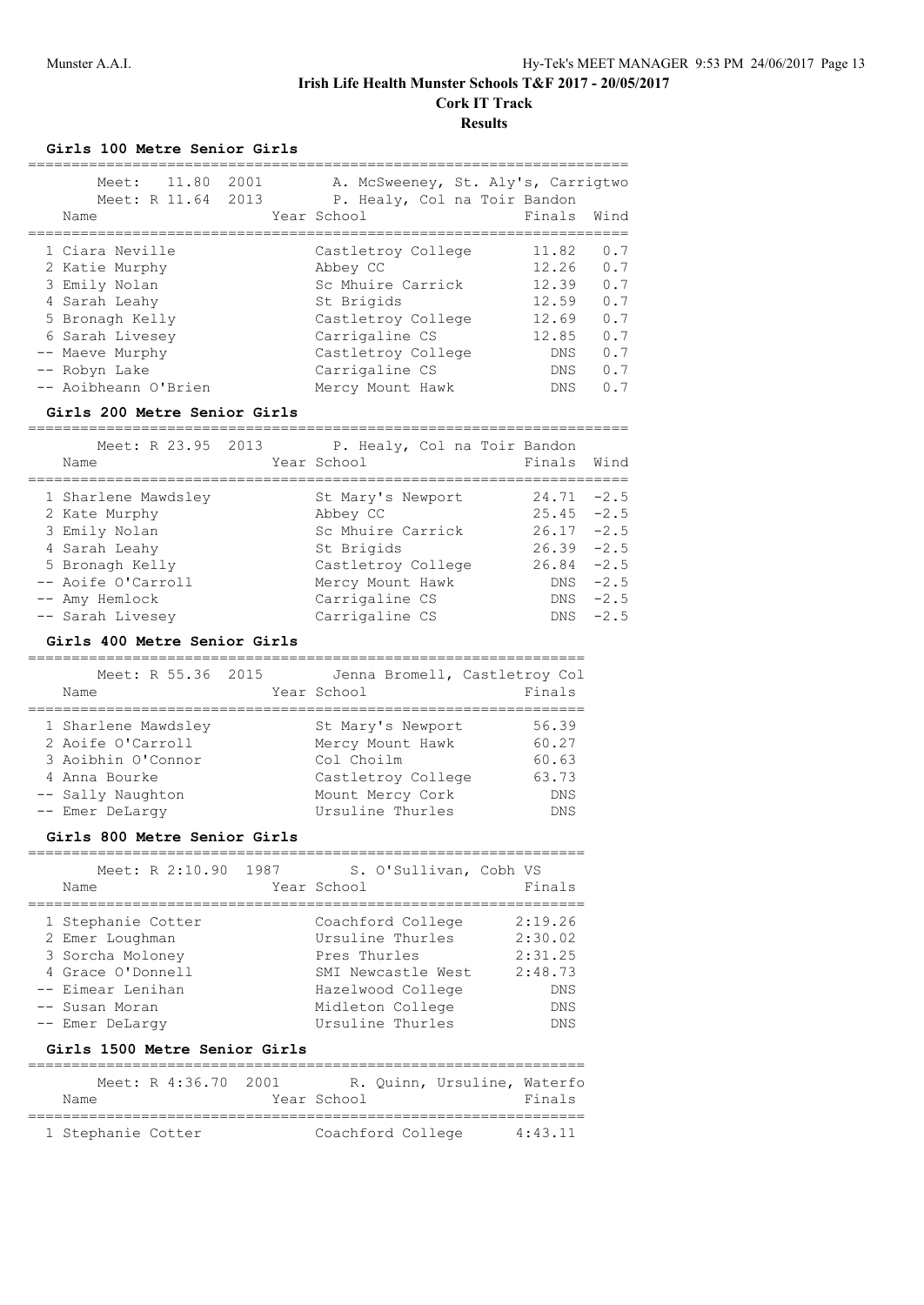**Cork IT Track**

**Results**

================================================================

#### **Girls 100 Metre Senior Girls**

| Meet: 11.80<br>Meet: R 11.64 2013                                                                                                                                     | 2001 | A. McSweeney, St. Aly's, Carrigtwo<br>P. Healy, Col na Toir Bandon                                                                                                    |                                                                          |                                                             |
|-----------------------------------------------------------------------------------------------------------------------------------------------------------------------|------|-----------------------------------------------------------------------------------------------------------------------------------------------------------------------|--------------------------------------------------------------------------|-------------------------------------------------------------|
| Name                                                                                                                                                                  |      | Year School                                                                                                                                                           | Finals                                                                   | Wind                                                        |
| 1 Ciara Neville<br>2 Katie Murphy<br>3 Emily Nolan<br>4 Sarah Leahy<br>5 Bronagh Kelly<br>6 Sarah Livesey<br>-- Maeve Murphy<br>-- Robyn Lake<br>-- Aoibheann O'Brien |      | Castletroy College<br>Abbey CC<br>Sc Mhuire Carrick<br>St Brigids<br>Castletroy College<br>Carrigaline CS<br>Castletroy College<br>Carrigaline CS<br>Mercy Mount Hawk | 11.82<br>12.26<br>12.39<br>12.59<br>12.69<br>12.85<br>DNS<br>DNS<br>DNS. | 0.7<br>0.7<br>0.7<br>0.7<br>0.7<br>0.7<br>0.7<br>0.7<br>0.7 |
| Girls 200 Metre Senior Girls                                                                                                                                          |      |                                                                                                                                                                       |                                                                          |                                                             |
| Name                                                                                                                                                                  |      | Meet: R 23.95 2013 P. Healy, Col na Toir Bandon<br>Year School                                                                                                        | Finals                                                                   | Wind                                                        |
| 1 Sharlene Mawdsley<br>2 Kate Murphy<br>3 Emily Nolan                                                                                                                 |      | St Mary's Newport<br>Abbey CC<br>Sc Mhuire Carrick                                                                                                                    | $24.71 - 2.5$<br>$25.45 - 2.5$<br>26.17                                  | $-2.5$                                                      |

 5 Bronagh Kelly Castletroy College 26.84 -2.5 -- Aoife O'Carroll Mercy Mount Hawk DNS -2.5 -- Amy Hemlock Carrigaline CS DNS -2.5 -- Sarah Livesey Carrigaline CS DNS -2.5

4 Sarah Leahy St Brigids 26.39 -2.5

#### **Girls 400 Metre Senior Girls**

| Meet: R 55.36 2015<br>Name                                     |  | Jenna Bromell, Castletroy Col<br>Year School               | Finals                            |
|----------------------------------------------------------------|--|------------------------------------------------------------|-----------------------------------|
| 1 Sharlene Mawdsley<br>2 Aoife O'Carroll<br>3 Aoibhin O'Connor |  | St Mary's Newport<br>Mercy Mount Hawk<br>Col Choilm        | 56.39<br>60.27<br>60.63           |
| 4 Anna Bourke<br>-- Sally Naughton<br>-- Emer DeLargy          |  | Castletroy College<br>Mount Mercy Cork<br>Ursuline Thurles | 63.73<br><b>DNS</b><br><b>DNS</b> |

#### **Girls 800 Metre Senior Girls**

| Meet: R 2:10.90 1987<br>Name                              | S. O'Sullivan, Cobh VS<br>Year School                 | Finals                        |
|-----------------------------------------------------------|-------------------------------------------------------|-------------------------------|
| 1 Stephanie Cotter<br>2 Emer Loughman<br>3 Sorcha Moloney | Coachford College<br>Ursuline Thurles<br>Pres Thurles | 2:19.26<br>2:30.02<br>2:31.25 |
| 4 Grace O'Donnell<br>-- Eimear Lenihan                    | SMI Newcastle West<br>Hazelwood College               | 2:48.73<br>DNS                |
| -- Susan Moran<br>-- Emer DeLargy                         | Midleton College<br>Ursuline Thurles                  | DNS<br><b>DNS</b>             |

### **Girls 1500 Metre Senior Girls**

| Meet: R 4:36.70 2001 |                   | R. Quinn, Ursuline, Waterfo |         |
|----------------------|-------------------|-----------------------------|---------|
| Name                 | Year School       |                             | Finals  |
|                      |                   |                             |         |
| 1 Stephanie Cotter   | Coachford College |                             | 4:43.11 |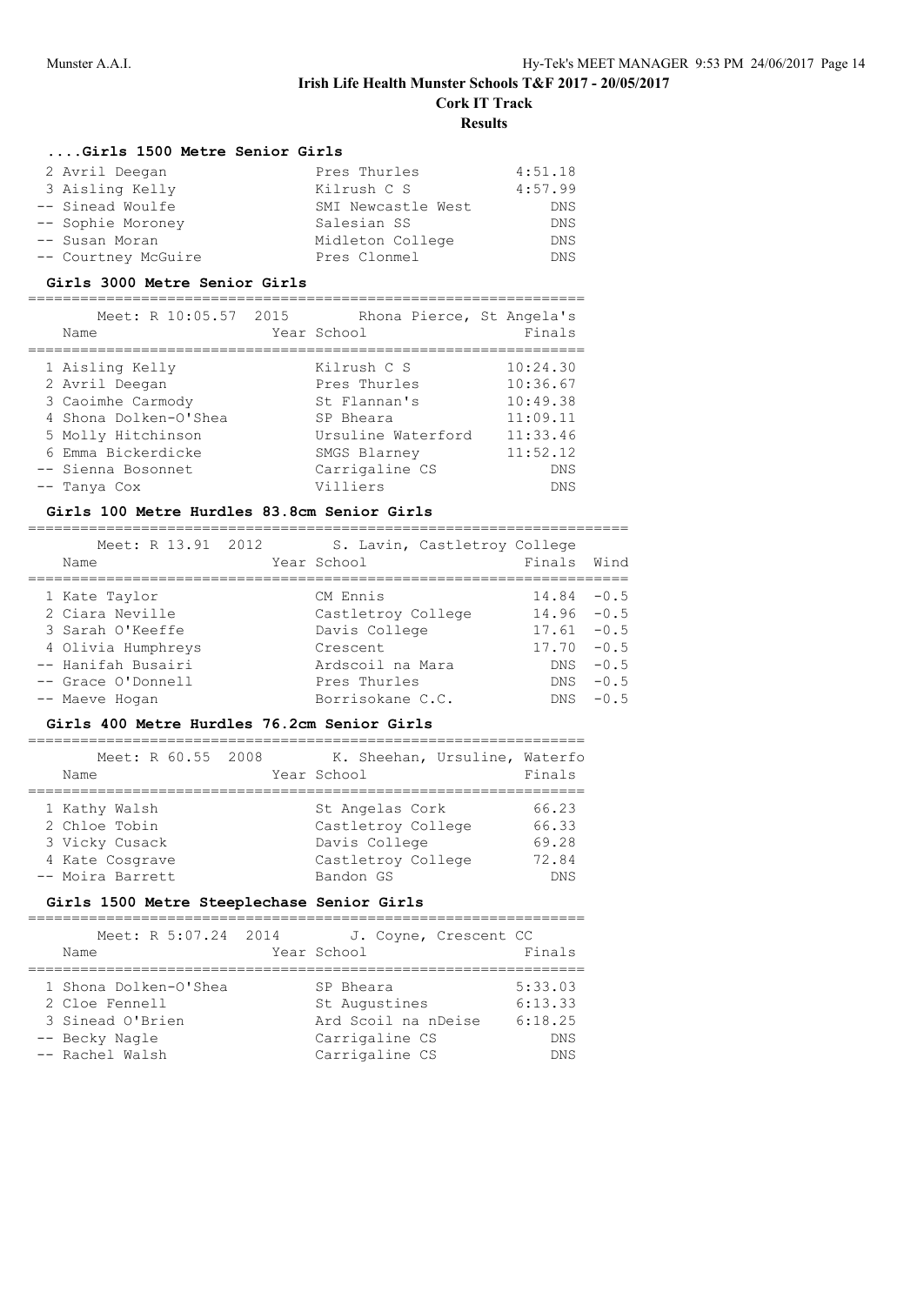# **Cork IT Track**

**Results**

================================================================

#### **....Girls 1500 Metre Senior Girls**

| 2 Avril Deegan      | Pres Thurles       | 4:51.18    |
|---------------------|--------------------|------------|
| 3 Aisling Kelly     | Kilrush C S        | 4:57.99    |
| -- Sinead Woulfe    | SMI Newcastle West | DNS        |
| -- Sophie Moroney   | Salesian SS        | <b>DNS</b> |
| -- Susan Moran      | Midleton College   | DNS        |
| -- Courtney McGuire | Pres Clonmel       | DNS        |

#### **Girls 3000 Metre Senior Girls**

| Meet: R 10:05.57 2015<br>Name | Rhona Pierce, St Angela's<br>Year School | Finals     |
|-------------------------------|------------------------------------------|------------|
| 1 Aisling Kelly               | Kilrush C S                              | 10:24.30   |
| 2 Avril Deegan                | Pres Thurles                             | 10:36.67   |
| 3 Caoimhe Carmody             | St. Flannan's                            | 10:49.38   |
| 4 Shona Dolken-O'Shea         | SP Bheara                                | 11:09.11   |
| 5 Molly Hitchinson            | Ursuline Waterford                       | 11:33.46   |
| 6 Emma Bickerdicke            | SMGS Blarney                             | 11:52.12   |
| -- Sienna Bosonnet            | Carrigaline CS                           | <b>DNS</b> |
| -- Tanya Cox                  | Villiers                                 | <b>DNS</b> |

#### **Girls 100 Metre Hurdles 83.8cm Senior Girls**

| Meet: R 13.91 2012<br>Name | S. Lavin, Castletroy College<br>Year School | Finals Wind   |        |
|----------------------------|---------------------------------------------|---------------|--------|
| 1 Kate Taylor              | CM Ennis                                    | $14.84 - 0.5$ |        |
| 2 Ciara Neville            | Castletroy College                          | $14.96 - 0.5$ |        |
| 3 Sarah O'Keeffe           | Davis College                               | $17.61 - 0.5$ |        |
| 4 Olivia Humphreys         | Crescent                                    | $17.70 - 0.5$ |        |
| -- Hanifah Busairi         | Ardscoil na Mara                            | DNS           | $-0.5$ |
| -- Grace O'Donnell         | Pres Thurles                                | DNS           | $-0.5$ |
| -- Maeve Hogan             | Borrisokane C.C.                            | DNS           | $-0.5$ |

=====================================================================

# **Girls 400 Metre Hurdles 76.2cm Senior Girls**

| Meet: R 60.55 2008<br>Name                                                              | K. Sheehan, Ursuline, Waterfo<br>Year School                                              | Finals                                         |
|-----------------------------------------------------------------------------------------|-------------------------------------------------------------------------------------------|------------------------------------------------|
| 1 Kathy Walsh<br>2 Chloe Tobin<br>3 Vicky Cusack<br>4 Kate Cosgrave<br>-- Moira Barrett | St Angelas Cork<br>Castletroy College<br>Davis College<br>Castletroy College<br>Bandon GS | 66.23<br>66.33<br>69.28<br>72.84<br><b>DNS</b> |

#### **Girls 1500 Metre Steeplechase Senior Girls**

| Meet: R 5:07.24 2014<br>Name                                                                     | Year School |                                                                                       | J. Coyne, Crescent CC | Finals                                                    |
|--------------------------------------------------------------------------------------------------|-------------|---------------------------------------------------------------------------------------|-----------------------|-----------------------------------------------------------|
| 1 Shona Dolken-O'Shea<br>2 Cloe Fennell<br>3 Sinead O'Brien<br>-- Becky Nagle<br>-- Rachel Walsh |             | SP Bheara<br>St Augustines<br>Ard Scoil na nDeise<br>Carrigaline CS<br>Carrigaline CS |                       | 5:33.03<br>6:13.33<br>6:18.25<br><b>DNS</b><br><b>DNS</b> |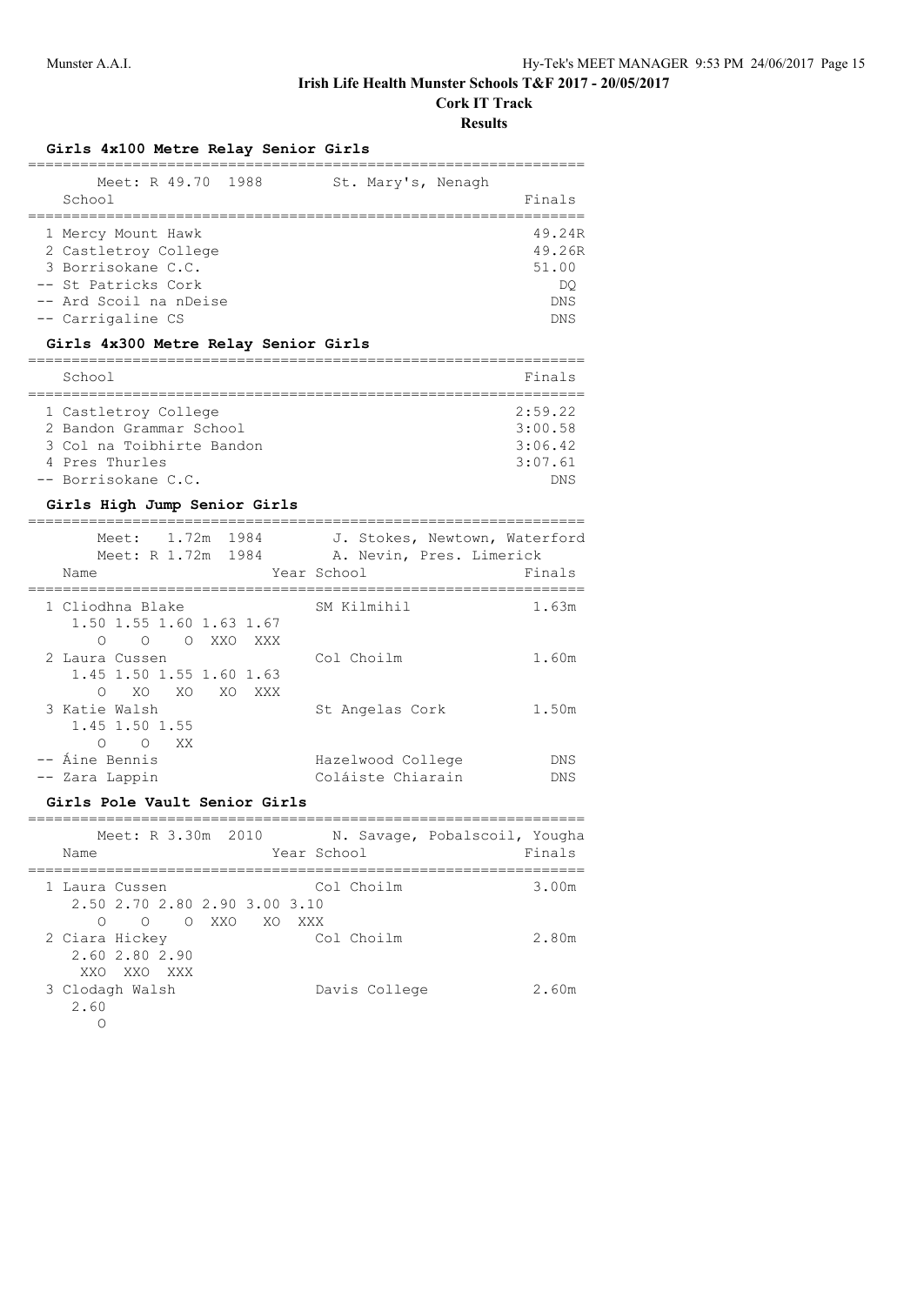**Cork IT Track**

**Results**

# **Girls 4x100 Metre Relay Senior Girls**

| Meet: R 49.70 1988<br>School                                                                                                                                                   | St. Mary's, Nenagh | Finals                                                       |
|--------------------------------------------------------------------------------------------------------------------------------------------------------------------------------|--------------------|--------------------------------------------------------------|
| 1 Mercy Mount Hawk<br>2 Castletroy College<br>3 Borrisokane C.C.<br>-- St Patricks Cork<br>-- Ard Scoil na nDeise<br>-- Carrigaline CS<br>Girls 4x300 Metre Relay Senior Girls |                    | 49.24R<br>49.26R<br>51.00<br>DO.<br><b>DNS</b><br><b>DNS</b> |
| School                                                                                                                                                                         |                    | Finals                                                       |
| 1 Castletroy College<br>2 Bandon Grammar School<br>3 Col na Toibhirte Bandon<br>4 Pres Thurles<br>-- Borrisokane C.C.                                                          |                    | 2:59.22<br>3:00.58<br>3:06.42<br>3:07.61<br>DNS              |

# **Girls High Jump Senior Girls**

| 1.72m 1984<br>Meet:<br>Meet: R 1.72m 1984<br>Name                                  | J. Stokes, Newtown, Waterford<br>A. Nevin, Pres. Limerick<br>Year School | Finals     |
|------------------------------------------------------------------------------------|--------------------------------------------------------------------------|------------|
| 1 Cliodhna Blake<br>1.50 1.55 1.60 1.63 1.67<br>$\bigcirc$<br>O XXO<br>∩<br>XXX    | SM Kilmihil                                                              | 1.63m      |
| 2 Laura Cussen<br>1.45 1.50 1.55 1.60 1.63<br>XO<br>XO<br>$\bigcirc$<br>XO.<br>XXX | Col Choilm                                                               | 1.60m      |
| 3 Katie Walsh<br>1.45 1.50 1.55<br>$\bigcap$<br>$\bigcirc$<br>XX                   | St Angelas Cork                                                          | 1.50m      |
| -- Áine Bennis<br>-- Zara Lappin                                                   | Hazelwood College<br>Coláiste Chiarain                                   | DNS<br>DNS |

# **Girls Pole Vault Senior Girls**

| Name | Meet: R 3.30m 2010                                   | Year School                | N. Savage, Pobalscoil, Yougha<br>Finals |
|------|------------------------------------------------------|----------------------------|-----------------------------------------|
|      | 1 Laura Cussen<br>2.50 2.70 2.80 2.90 3.00 3.10<br>∩ | Col Choilm<br>O OXXO XOXXX | 3.00m                                   |
|      | 2 Ciara Hickey<br>2.60 2.80 2.90<br>XXO XXO XXX      | Col Choilm                 | 2.80m                                   |
| 2.60 | 3 Clodagh Walsh                                      | Davis College              | 2.60m                                   |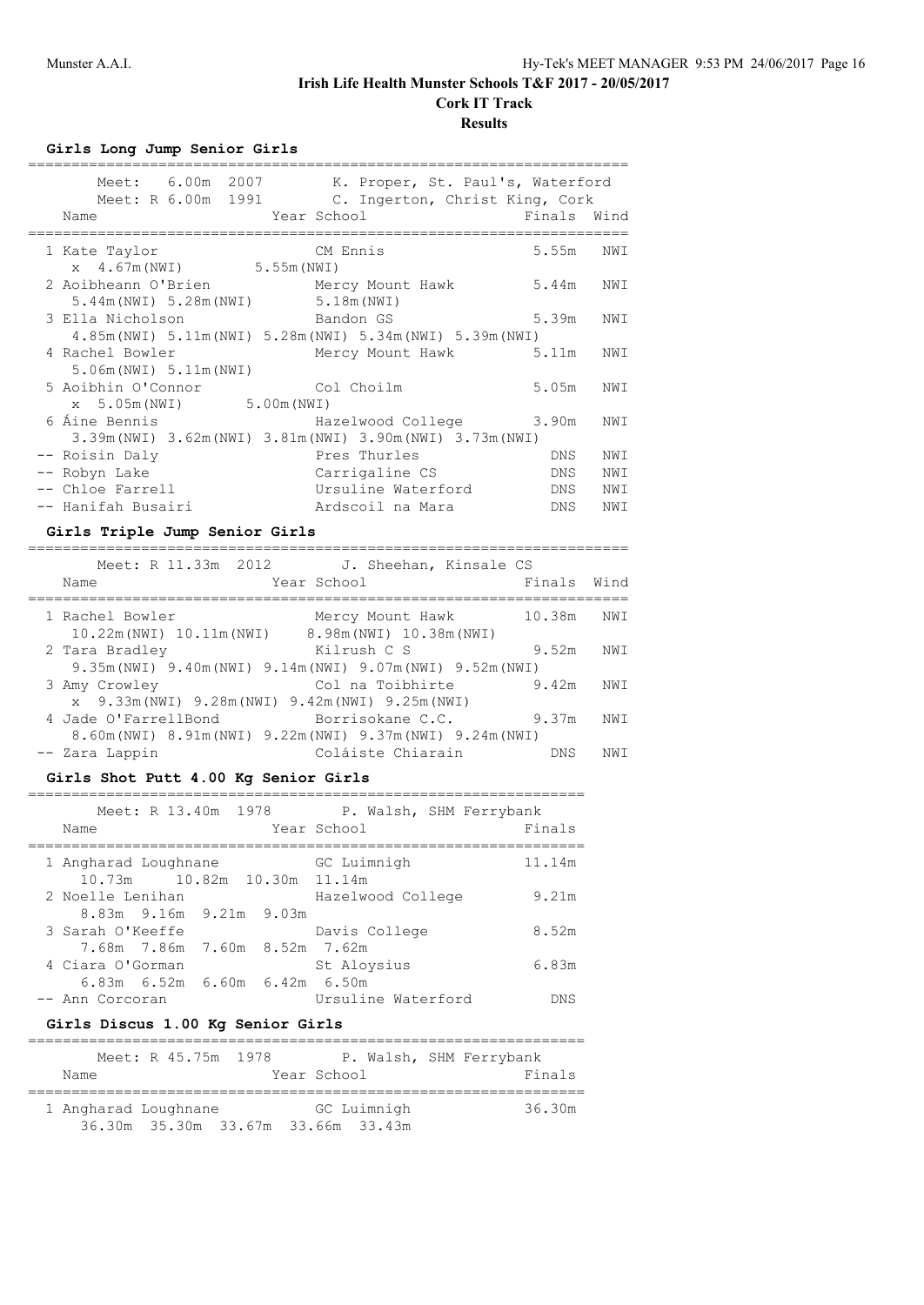# **Results**

**Girls Long Jump Senior Girls**

| Meet: 6.00m 2007<br>Meet: R 6.00m 1991                      |                         | K. Proper, St. Paul's, Waterford<br>C. Ingerton, Christ King, Cork |     |
|-------------------------------------------------------------|-------------------------|--------------------------------------------------------------------|-----|
| Name                                                        | Year School             | Finals Wind                                                        |     |
| 1 Kate Taylor                                               | CM Ennis                | 5.55m                                                              | NWI |
| x 4.67m (NWI) 5.55m (NWI)                                   |                         |                                                                    |     |
| 2 Aoibheann O'Brien Mercy Mount Hawk                        |                         | 5.44m                                                              | NWI |
| 5.44m (NWI) 5.28m (NWI) 5.18m (NWI)                         |                         |                                                                    |     |
| 3 Ella Nicholson                                            | Bandon GS               | 5.39m                                                              | NWI |
| 4.85m (NWI) 5.11m (NWI) 5.28m (NWI) 5.34m (NWI) 5.39m (NWI) |                         |                                                                    |     |
| 4 Rachel Bowler                                             |                         | Mercy Mount Hawk 5.11m                                             | NWI |
| 5.06m (NWI) 5.11m (NWI)                                     |                         |                                                                    |     |
| 5 Aoibhin O'Connor                                          | Col Choilm              | 5.05m                                                              | NWI |
| x 5.05m (NWI) 5.00m (NWI)                                   |                         |                                                                    |     |
| 6 Áine Bennis                                               | Hazelwood College 3.90m |                                                                    | NWI |
| 3.39m(NWI) 3.62m(NWI) 3.81m(NWI) 3.90m(NWI) 3.73m(NWI)      |                         |                                                                    |     |
| -- Roisin Daly                                              | Pres Thurles            | DNS                                                                | NWI |
| -- Robyn Lake                                               | Carrigaline CS          | <b>DNS</b>                                                         | NWI |
| -- Chloe Farrell                                            | Ursuline Waterford      | DNS                                                                | NWI |
| -- Hanifah Busairi                                          | Ardscoil na Mara        | <b>DNS</b>                                                         | NWI |
|                                                             |                         |                                                                    |     |

# **Girls Triple Jump Senior Girls**

| Meet: R 11.33m 2012<br>Name                                                                     | J. Sheehan, Kinsale CS<br>Year School      | Finals | Wind |
|-------------------------------------------------------------------------------------------------|--------------------------------------------|--------|------|
| 1 Rachel Bowler<br>10.22m (NWI) 10.11m (NWI)                                                    | Mercy Mount Hawk<br>8.98m(NWI) 10.38m(NWI) | 10.38m | NWI  |
| 2 Tara Bradley<br>$9.35m(NWI)$ $9.40m(NWI)$ $9.14m(NWI)$ $9.07m(NWI)$ $9.52m(NWI)$              | Kilrush C S                                | 9.52m  | NW T |
| 3 Amy Crowley<br>$x = 9.33$ m (NWI) $9.28$ m (NWI) $9.42$ m (NWI) $9.25$ m (NWI)                | Col na Toibhirte                           | 9.42m  | NW T |
| 4 Jade O'FarrellBond Borrisokane C.C.<br>8.60m(NWI) 8.91m(NWI) 9.22m(NWI) 9.37m(NWI) 9.24m(NWI) |                                            | 9.37m  | NW T |
| -- Zara Lappin                                                                                  | Coláiste Chiarain                          | DN S   | NW T |

# **Girls Shot Putt 4.00 Kg Senior Girls**

| Meet: R 13.40m 1978<br>Name                                 | P. Walsh, SHM Ferrybank<br>Year School | Finals |
|-------------------------------------------------------------|----------------------------------------|--------|
| 1 Angharad Loughnane                                        | GC Luimnigh                            | 11.14m |
| 2 Noelle Lenihan<br>8.83m 9.16m 9.21m 9.03m                 | Hazelwood College                      | 9.21m  |
| 3 Sarah O'Keeffe<br>7.68m 7.86m 7.60m 8.52m 7.62m           | Davis College                          | 8.52m  |
| 4 Ciara O'Gorman<br>$6.83m$ $6.52m$ $6.60m$ $6.42m$ $6.50m$ | St Aloysius                            | 6.83m  |
| -- Ann Corcoran                                             | Ursuline Waterford                     | DN S   |

# **Girls Discus 1.00 Kg Senior Girls**

|                      | Meet: R 45.75m 1978 |                                    |             | P. Walsh, SHM Ferrybank |        |
|----------------------|---------------------|------------------------------------|-------------|-------------------------|--------|
| Name                 |                     |                                    | Year School |                         | Finals |
| 1 Angharad Loughnane |                     | 36.30m 35.30m 33.67m 33.66m 33.43m | GC Luimnigh |                         | 36.30m |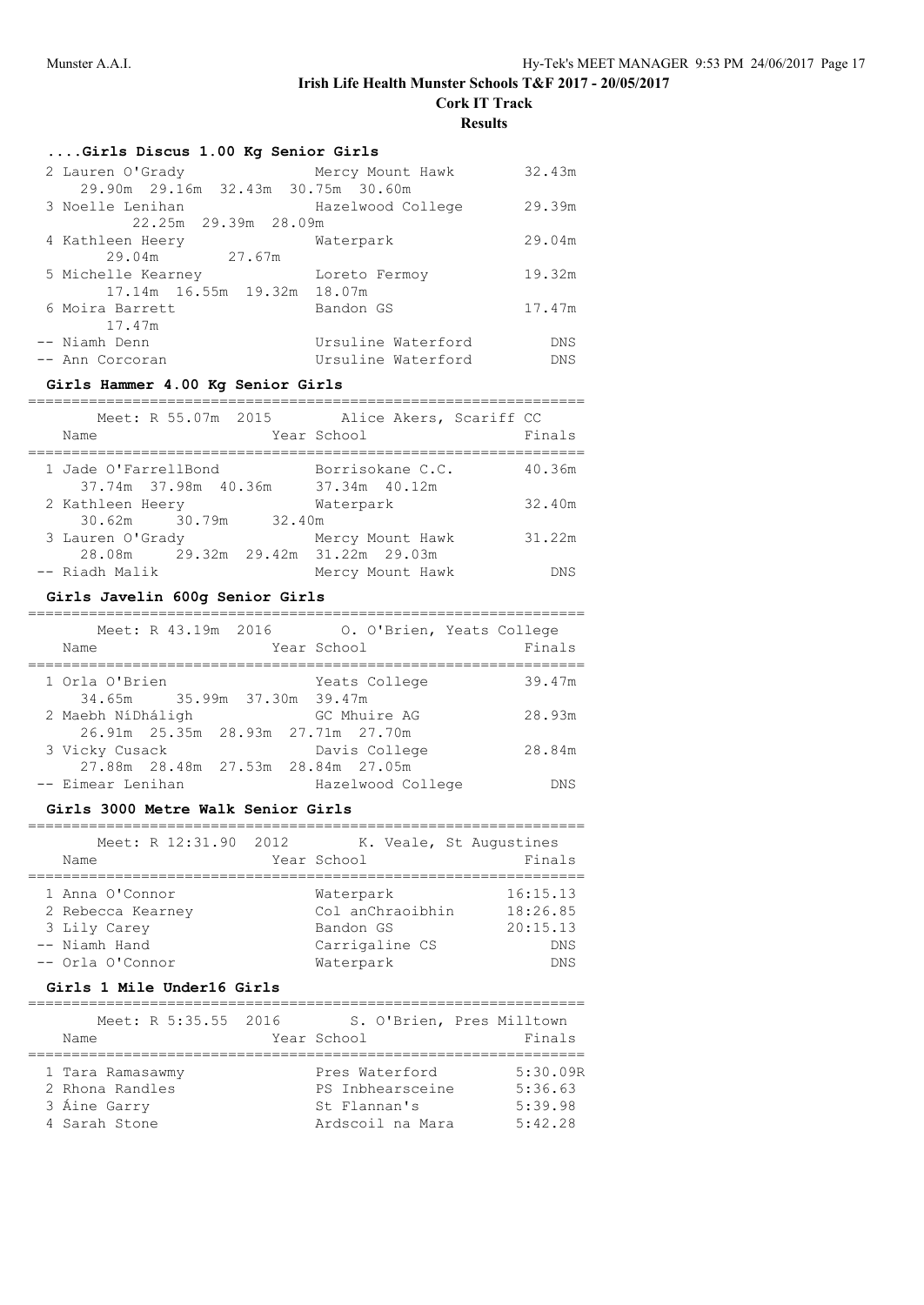# **Results**

| Girls Discus 1.00 Kg Senior Girls |  |  |  |  |
|-----------------------------------|--|--|--|--|
|-----------------------------------|--|--|--|--|

| 2 Lauren O'Grady<br>29.90m 29.16m 32.43m 30.75m 30.60m | Mercy Mount Hawk                         | 32.43m             |
|--------------------------------------------------------|------------------------------------------|--------------------|
| 3 Noelle Lenihan<br>22.25m 29.39m 28.09m               | Hazelwood College                        | 29.39m             |
| 4 Kathleen Heery<br>29.04m<br>27.67m                   | Waterpark                                | 29.04m             |
| 5 Michelle Kearney<br>17.14m 16.55m 19.32m 18.07m      | Loreto Fermoy                            | 19.32m             |
| 6 Moira Barrett<br>17.47m                              | Bandon GS                                | 17.47m             |
| -- Niamh Denn<br>-- Ann Corcoran                       | Ursuline Waterford<br>Ursuline Waterford | DNS.<br><b>DNS</b> |

# **Girls Hammer 4.00 Kg Senior Girls**

| Meet: R 55.07m 2015<br>Name        | Alice Akers, Scariff CC<br>Year School | Finals |
|------------------------------------|----------------------------------------|--------|
| 1 Jade O'FarrellBond               | Borrisokane C.C.                       | 40.36m |
| 37.74m 37.98m 40.36m               | 37.34m 40.12m                          |        |
| 2 Kathleen Heery                   | Waterpark                              | 32.40m |
| 30.62m 30.79m<br>32.40m            |                                        |        |
| 3 Lauren O'Grady                   | Mercy Mount Hawk                       | 31.22m |
| 28.08m 29.32m 29.42m 31.22m 29.03m |                                        |        |
| -- Riadh Malik                     | Mercy Mount Hawk                       | DNS    |

# **Girls Javelin 600g Senior Girls**

| Meet: R 43.19m 2016<br>Name                              | O. O'Brien, Yeats College<br>Year School | Finals |
|----------------------------------------------------------|------------------------------------------|--------|
| 1 Orla O'Brien<br>34.65m 35.99m 37.30m 39.47m            | Yeats College                            | 39.47m |
| 2 Maebh NíDháligh<br>26.91m 25.35m 28.93m 27.71m 27.70m  | GC Mhuire AG                             | 28.93m |
| 3 Vicky Cusack<br>27.88m  28.48m  27.53m  28.84m  27.05m | Davis College                            | 28.84m |
| -- Eimear Lenihan                                        | Hazelwood College                        | DNS    |

#### **Girls 3000 Metre Walk Senior Girls**

| Meet: R 12:31.90 2012<br>Name                        | K. Veale, St Augustines<br>Year School     | Finals                           |
|------------------------------------------------------|--------------------------------------------|----------------------------------|
| 1 Anna O'Connor<br>2 Rebecca Kearney<br>3 Lily Carey | Waterpark<br>Col anChraoibhin<br>Bandon GS | 16:15.13<br>18:26.85<br>20:15.13 |
| -- Niamh Hand<br>-- Orla O'Connor                    | Carrigaline CS<br>Waterpark                | <b>DNS</b><br><b>DNS</b>         |

#### **Girls 1 Mile Under16 Girls**

| Name                                                                 | Meet: R 5:35.55 2016 | Year School   | S. O'Brien, Pres Milltown                              | Finals                                    |
|----------------------------------------------------------------------|----------------------|---------------|--------------------------------------------------------|-------------------------------------------|
| 1 Tara Ramasawmy<br>2 Rhona Randles<br>3 Áine Garry<br>4 Sarah Stone |                      | St. Flannan's | Pres Waterford<br>PS Inbhearsceine<br>Ardscoil na Mara | 5:30.09R<br>5:36.63<br>5:39.98<br>5:42.28 |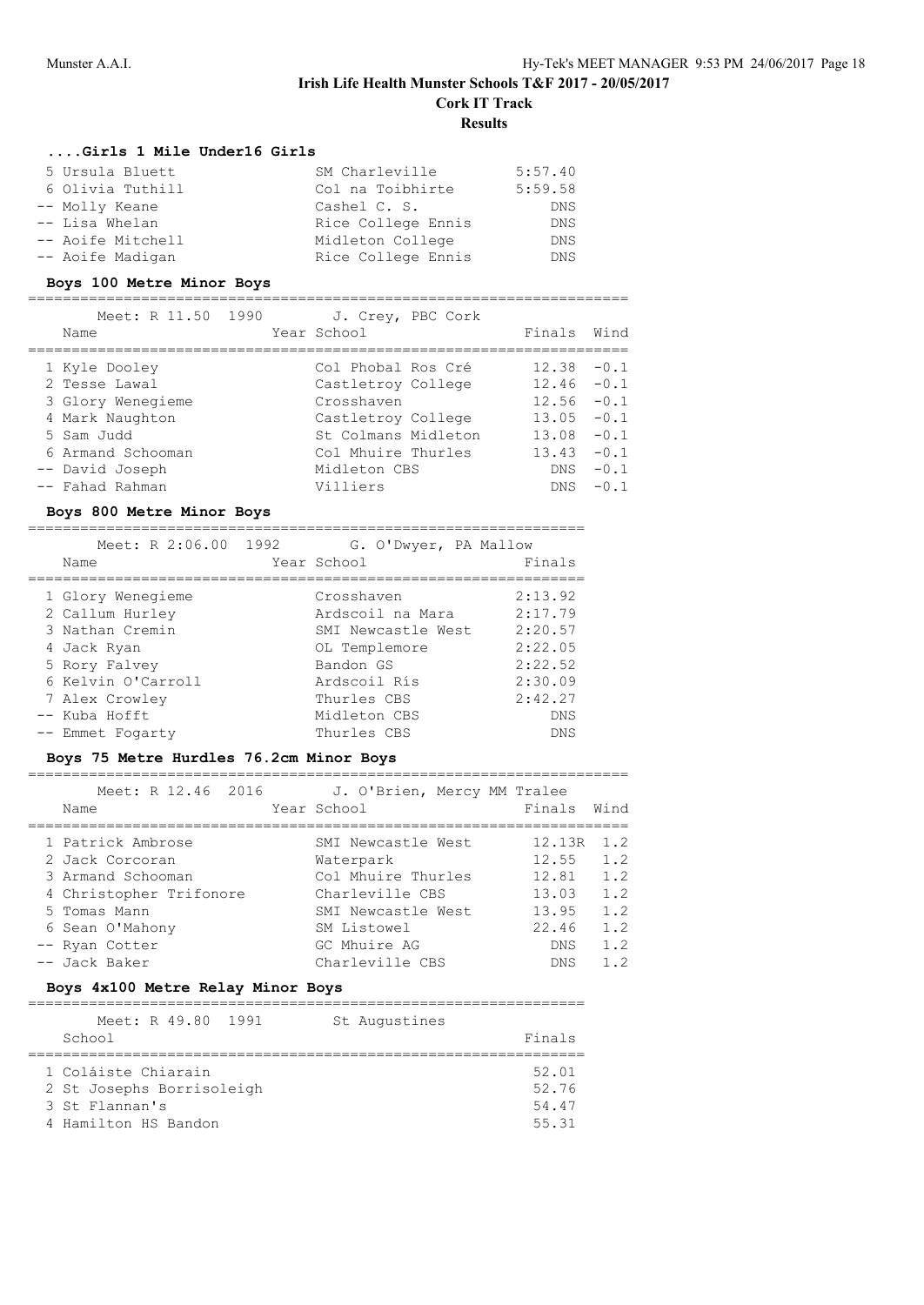# **Results**

#### **....Girls 1 Mile Under16 Girls**

| 5 Ursula Bluett   | SM Charleville     | 5:57.40    |
|-------------------|--------------------|------------|
| 6 Olivia Tuthill  | Col na Toibhirte   | 5:59.58    |
| -- Molly Keane    | Cashel C. S.       | DNS        |
| -- Lisa Whelan    | Rice College Ennis | <b>DNS</b> |
| -- Aoife Mitchell | Midleton College   | <b>DNS</b> |
| -- Aoife Madigan  | Rice College Ennis | DNS.       |

# **Boys 100 Metre Minor Boys**

| Meet: R 11.50 1990<br>Name | J. Crey, PBC Cork<br>Year School | Finals | Wind   |
|----------------------------|----------------------------------|--------|--------|
| 1 Kyle Dooley              | Col Phobal Ros Cré               | 12.38  | $-0.1$ |
| 2 Tesse Lawal              | Castletroy College               | 12.46  | $-0.1$ |
| 3 Glory Wenegieme          | Crosshaven                       | 12.56  | $-0.1$ |
| 4 Mark Naughton            | Castletroy College               | 13.05  | $-0.1$ |
| 5 Sam Judd                 | St. Colmans Midleton             | 13.08  | $-0.1$ |
| 6 Armand Schooman          | Col Mhuire Thurles               | 13.43  | $-0.1$ |
| -- David Joseph            | Midleton CBS                     | DNS.   | $-0.1$ |
| -- Fahad Rahman            | Villiers                         | DNS.   | $-0.1$ |

#### **Boys 800 Metre Minor Boys**

================================================================

| Meet: R 2:06.00 1992 | G. O'Dwyer, PA Mallow |            |
|----------------------|-----------------------|------------|
| Name                 | Year School           | Finals     |
|                      |                       |            |
| 1 Glory Wenegieme    | Crosshaven            | 2:13.92    |
| 2 Callum Hurley      | Ardscoil na Mara      | 2:17.79    |
| 3 Nathan Cremin      | SMI Newcastle West    | 2:20.57    |
| 4 Jack Ryan          | OL Templemore         | 2:22.05    |
| 5 Rory Falvey        | Bandon GS             | 2:22.52    |
| 6 Kelvin O'Carroll   | Ardscoil Rís          | 2:30.09    |
| 7 Alex Crowley       | Thurles CBS           | 2:42.27    |
| -- Kuba Hofft        | Midleton CBS          | <b>DNS</b> |
| -- Emmet Fogarty     | Thurles CBS           | <b>DNS</b> |

# **Boys 75 Metre Hurdles 76.2cm Minor Boys**

| Meet: R 12.46 2016<br>Name | J. O'Brien, Mercy MM Tralee<br>Year School | Finals     | Wind |
|----------------------------|--------------------------------------------|------------|------|
|                            |                                            |            |      |
| 1 Patrick Ambrose          | SMI Newcastle West                         | 12.13R     | 1.2  |
| 2 Jack Corcoran            | Waterpark                                  | 12.55      | 1.2  |
| 3 Armand Schooman          | Col Mhuire Thurles                         | 12.81      | 1.2  |
| 4 Christopher Trifonore    | Charleville CBS                            | 13.03      | 1.2  |
| 5 Tomas Mann               | SMI Newcastle West                         | 13.95      | 1.2  |
| 6 Sean O'Mahony            | SM Listowel                                | 22.46      | 1.2  |
| -- Ryan Cotter             | GC Mhuire AG                               | <b>DNS</b> | 1.2  |
| -- Jack Baker              | Charleville CBS                            | <b>DNS</b> | 1.2  |

#### **Boys 4x100 Metre Relay Minor Boys**

| Meet: R 49.80 1991<br>School                                                               | St Augustines | Finals                           |
|--------------------------------------------------------------------------------------------|---------------|----------------------------------|
| 1 Coláiste Chiarain<br>2 St Josephs Borrisoleigh<br>3 St Flannan's<br>4 Hamilton HS Bandon |               | 52.01<br>52.76<br>54.47<br>55.31 |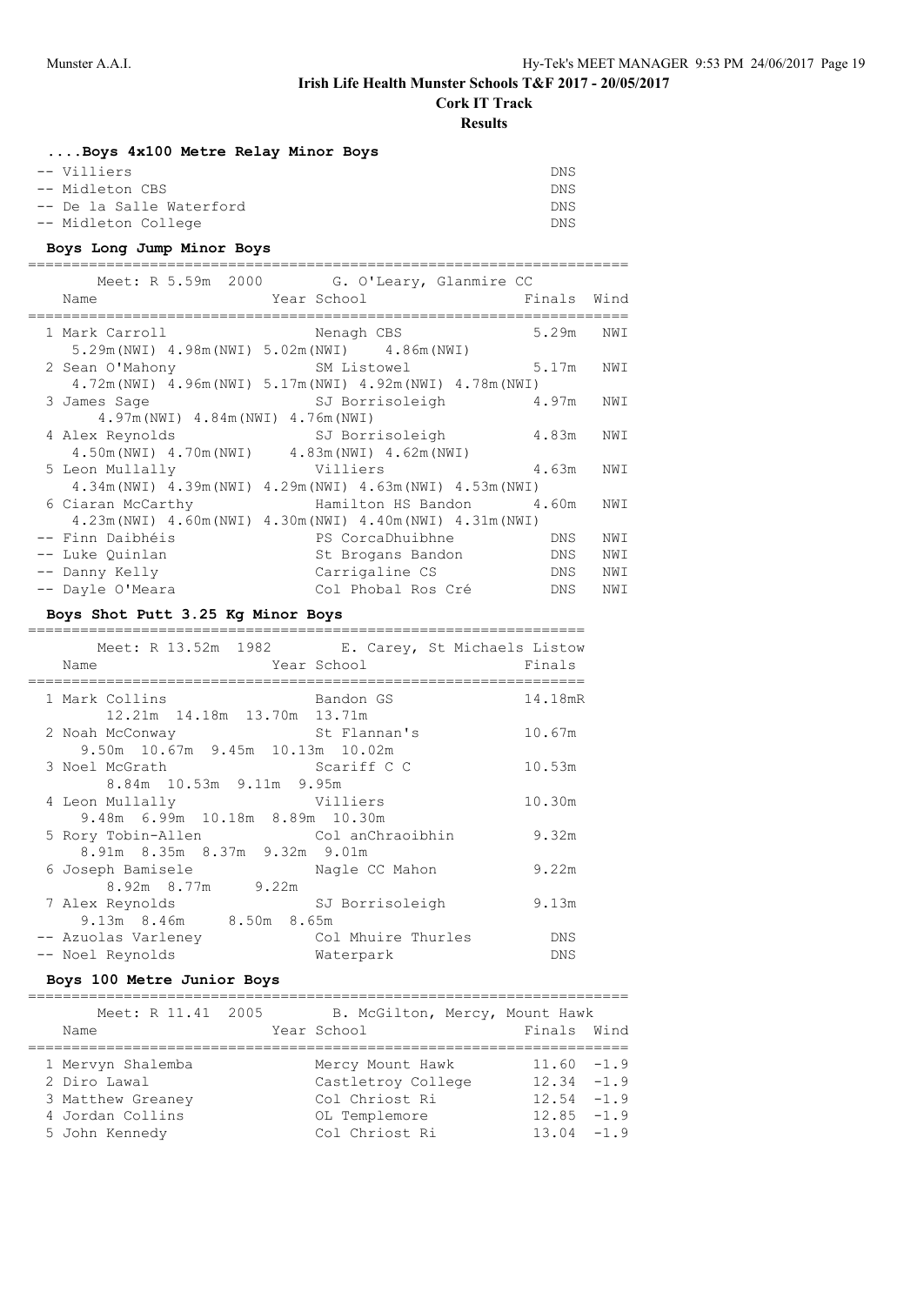**Cork IT Track**

**Results**

| Boys 4x100 Metre Relay Minor Boys |            |
|-----------------------------------|------------|
| -- Villiers                       | DNS        |
| -- Midleton CBS                   | <b>DNS</b> |
| -- De la Salle Waterford          | DNS        |
| -- Midleton College               | <b>DNS</b> |

# **Boys Long Jump Minor Boys**

|                                        | Meet: R 5.59m 2000 G. O'Leary, Glanmire CC                                 |            |      |
|----------------------------------------|----------------------------------------------------------------------------|------------|------|
| Name                                   | Year School                                                                | Finals     | Wind |
| 1 Mark Carroll                         | Nenagh CBS                                                                 | 5.29m      | NWI  |
|                                        | $5.29$ m (NWI) $4.98$ m (NWI) $5.02$ m (NWI) $4.86$ m (NWI)                |            |      |
| 2 Sean O'Mahony                        | SM Listowel                                                                | 5.17m      | NWI  |
|                                        | 4.72m(NWI) 4.96m(NWI) 5.17m(NWI) 4.92m(NWI) 4.78m(NWI)                     |            |      |
| 3 James Sage                           | SJ Borrisoleigh                                                            | 4.97m      | NWI  |
| $4.97m(NWI)$ $4.84m(NWI)$ $4.76m(NWI)$ |                                                                            |            |      |
| 4 Alex Reynolds                        | SJ Borrisoleigh                                                            | 4.83m      | NWI  |
|                                        | $4.50$ m (NWI) $4.70$ m (NWI) $4.83$ m (NWI) $4.62$ m (NWI)                |            |      |
| 5 Leon Mullally                        | Villiers                                                                   | 4.63m      | NWI  |
|                                        | 4.34m (NWI) 4.39m (NWI) 4.29m (NWI) 4.63m (NWI) 4.53m (NWI)                |            |      |
| 6 Ciaran McCarthy                      | Hamilton HS Bandon 4.60m                                                   |            | NWI  |
|                                        | $4.23$ m (NWI) $4.60$ m (NWI) $4.30$ m (NWI) $4.40$ m (NWI) $4.31$ m (NWI) |            |      |
| -- Finn Daibhéis                       | PS CorcaDhuibhne                                                           | DNS        | NWI  |
| -- Luke Quinlan                        | St Brogans Bandon                                                          | DNS        | NWI  |
| -- Danny Kelly                         | Carrigaline CS                                                             | <b>DNS</b> | NWI  |
| -- Dayle O'Meara                       | Col Phobal Ros Cré                                                         | DNS        | NWI  |

# **Boys Shot Putt 3.25 Kg Minor Boys**

| Meet: R 13.52m 1982 E. Carey, St Michaels Listow<br>Name | Year School        | Finals     |
|----------------------------------------------------------|--------------------|------------|
|                                                          |                    |            |
| 1 Mark Collins                                           | Bandon GS          | 14.18mR    |
| 12.21m 14.18m 13.70m 13.71m                              |                    |            |
| 2 Noah McConway                                          | St Flannan's       | 10.67m     |
| 9.50m 10.67m 9.45m 10.13m 10.02m                         |                    |            |
| 3 Noel McGrath                                           | Scariff C C        | 10.53m     |
| 8.84m 10.53m 9.11m 9.95m                                 |                    |            |
| Villiers<br>4 Leon Mullally                              |                    | 10.30m     |
| 9.48m 6.99m 10.18m 8.89m 10.30m                          |                    |            |
| 5 Rory Tobin-Allen                                       | Col anChraoibhin   | 9.32m      |
| 8.91m 8.35m 8.37m 9.32m 9.01m                            |                    |            |
| 6 Joseph Bamisele                                        | Nagle CC Mahon     | 9.22m      |
| 8.92m 8.77m 9.22m                                        |                    |            |
| 7 Alex Reynolds                                          | SJ Borrisoleigh    | 9.13m      |
| 9.13m 8.46m 8.50m 8.65m                                  |                    |            |
| -- Azuolas Varleney                                      | Col Mhuire Thurles | <b>DNS</b> |
| -- Noel Reynolds                                         | Waterpark          | <b>DNS</b> |

# **Boys 100 Metre Junior Boys**

| Meet: R 11.41 2005 | B. McGilton, Mercy, Mount Hawk |               |  |
|--------------------|--------------------------------|---------------|--|
| Name               | Year School                    | Finals Wind   |  |
|                    |                                |               |  |
| 1 Mervyn Shalemba  | Mercy Mount Hawk               | $11.60 - 1.9$ |  |
| 2 Diro Lawal       | Castletroy College             | $12.34 - 1.9$ |  |
| 3 Matthew Greaney  | Col Chriost Ri                 | $12.54 - 1.9$ |  |
| 4 Jordan Collins   | OL Templemore                  | $12.85 - 1.9$ |  |
| 5 John Kennedy     | Col Chriost Ri                 | $13.04 - 1.9$ |  |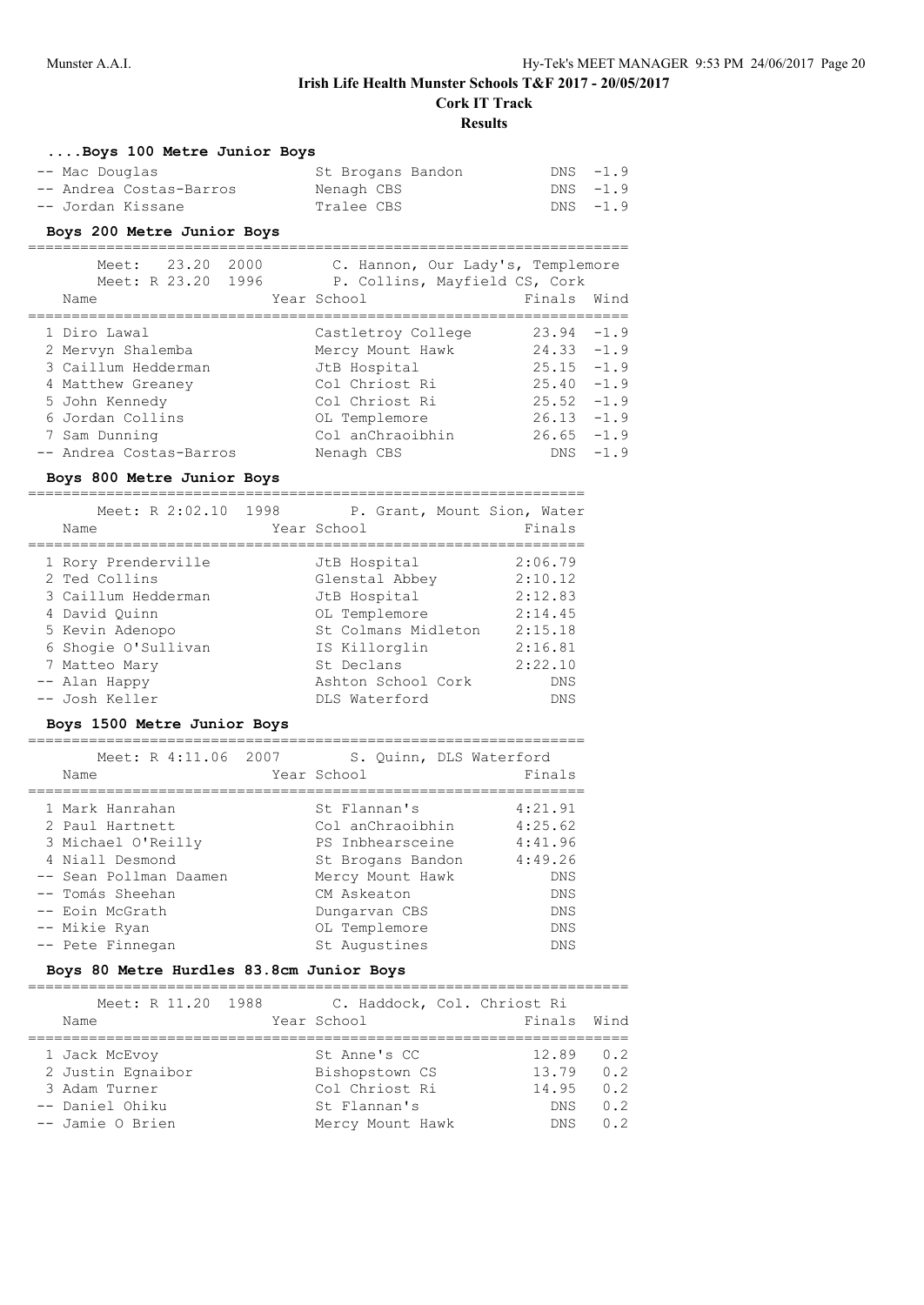**Cork IT Track**

### **Results**

| Boys 100 Metre Junior Boys |                   |             |
|----------------------------|-------------------|-------------|
| -- Mac Douglas             | St Brogans Bandon | $DNS - 1.9$ |
| -- Andrea Costas-Barros    | Nenagh CBS        | $DNS - 1.9$ |
| -- Jordan Kissane          | Tralee CBS        | $DNS - 1.9$ |

# **Boys 200 Metre Junior Boys**

| 23.20<br>Meet:<br>Meet: R 23.20 | 2000<br>1996 | C. Hannon, Our Lady's, Templemore<br>P. Collins, Mayfield CS, Cork |               |        |
|---------------------------------|--------------|--------------------------------------------------------------------|---------------|--------|
| Name                            |              | Year School                                                        | Finals Wind   |        |
|                                 |              |                                                                    |               |        |
| 1 Diro Lawal                    |              | Castletroy College                                                 | $23.94 -1.9$  |        |
| 2 Mervyn Shalemba               |              | Mercy Mount Hawk                                                   | $24.33 - 1.9$ |        |
| 3 Caillum Hedderman             |              | JtB Hospital                                                       | $25.15 - 1.9$ |        |
| 4 Matthew Greaney               |              | Col Chriost Ri                                                     | $25.40 - 1.9$ |        |
| 5 John Kennedy                  |              | Col Chriost Ri                                                     | 25.52         | $-1.9$ |
| 6 Jordan Collins                |              | OL Templemore                                                      | $26.13 - 1.9$ |        |
| 7 Sam Dunning                   |              | Col anChraoibhin                                                   | 26.65         | $-1.9$ |
| -- Andrea Costas-Barros         |              | Nenagh CBS                                                         | DNS.          | $-1.9$ |
|                                 |              |                                                                    |               |        |

### **Boys 800 Metre Junior Boys**

| Meet: R 2:02.10 1998<br>Name | P. Grant, Mount Sion, Water<br>Year School | Finals     |
|------------------------------|--------------------------------------------|------------|
| 1 Rory Prenderville          | JtB Hospital                               | 2:06.79    |
| 2 Ted Collins                | Glenstal Abbey                             | 2:10.12    |
| 3 Caillum Hedderman          | JtB Hospital                               | 2:12.83    |
| 4 David Ouinn                | OL Templemore                              | 2:14.45    |
| 5 Kevin Adenopo              | St Colmans Midleton                        | 2:15.18    |
| 6 Shoqie O'Sullivan          | IS Killorglin                              | 2:16.81    |
| 7 Matteo Mary                | St Declans                                 | 2:22.10    |
| -- Alan Happy                | Ashton School Cork                         | <b>DNS</b> |
| -- Josh Keller               | DLS Waterford                              | <b>DNS</b> |

#### **Boys 1500 Metre Junior Boys**

#### ================================================================

| Meet: R 4:11.06 2007   | S. Quinn, DLS Waterford |            |
|------------------------|-------------------------|------------|
| Name                   | Year School             | Finals     |
|                        |                         |            |
| 1 Mark Hanrahan        | St Flannan's            | 4:21.91    |
| 2 Paul Hartnett        | Col anChraoibhin        | 4:25.62    |
| 3 Michael O'Reilly     | PS Inbhearsceine        | 4:41.96    |
| 4 Niall Desmond        | St Brogans Bandon       | 4:49.26    |
| -- Sean Pollman Daamen | Mercy Mount Hawk        | <b>DNS</b> |
| -- Tomás Sheehan       | CM Askeaton             | <b>DNS</b> |
| -- Eoin McGrath        | Dungarvan CBS           | <b>DNS</b> |
| -- Mikie Ryan          | OL Templemore           | <b>DNS</b> |
| -- Pete Finnegan       | St Augustines           | <b>DNS</b> |
|                        |                         |            |

#### **Boys 80 Metre Hurdles 83.8cm Junior Boys**

| Meet: R 11.20 1988 | C. Haddock, Col. Chriost Ri |             |     |
|--------------------|-----------------------------|-------------|-----|
| Name               | Year School                 | Finals Wind |     |
|                    |                             |             |     |
| 1 Jack McEvoy      | St Anne's CC                | 12.89       | 0.2 |
| 2 Justin Eqnaibor  | Bishopstown CS              | 13.79       | 0.2 |
| 3 Adam Turner      | Col Chriost Ri              | 14.95       | 0.2 |
| -- Daniel Ohiku    | St Flannan's                | <b>DNS</b>  | 0.2 |
| -- Jamie O Brien   | Mercy Mount Hawk            | DNS.        | 0.2 |
|                    |                             |             |     |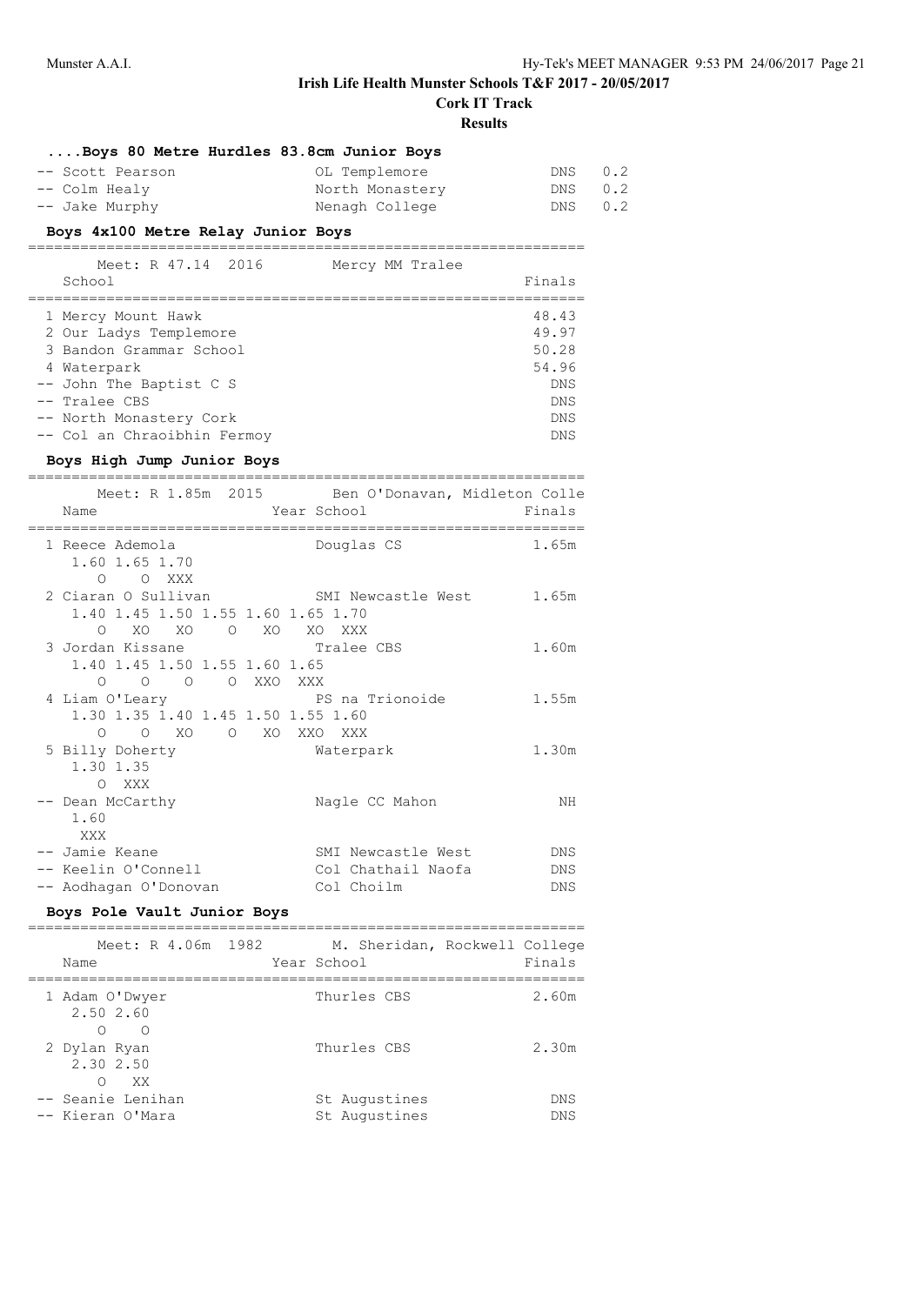**Cork IT Track**

**Results**

| Boys 80 Metre Hurdles 83.8cm Junior Boys<br>-- Scott Pearson                                              | OL Templemore                                                   | 0.2<br>DNS                              |
|-----------------------------------------------------------------------------------------------------------|-----------------------------------------------------------------|-----------------------------------------|
| -- Colm Healy                                                                                             | North Monastery                                                 | 0.2<br>DNS                              |
| -- Jake Murphy                                                                                            | Nenagh College                                                  | 0.2<br>DNS                              |
| Boys 4x100 Metre Relay Junior Boys                                                                        |                                                                 |                                         |
| Meet: R 47.14<br>2016                                                                                     | Mercy MM Tralee                                                 |                                         |
| School                                                                                                    |                                                                 | Finals                                  |
| 1 Mercy Mount Hawk                                                                                        |                                                                 | 48.43                                   |
| 2 Our Ladys Templemore                                                                                    |                                                                 | 49.97                                   |
| 3 Bandon Grammar School                                                                                   |                                                                 | 50.28                                   |
| 4 Waterpark                                                                                               |                                                                 | 54.96                                   |
| -- John The Baptist C S                                                                                   |                                                                 | DNS                                     |
| -- Tralee CBS                                                                                             |                                                                 | DNS                                     |
| -- North Monastery Cork                                                                                   |                                                                 | DNS                                     |
| -- Col an Chraoibhin Fermoy                                                                               |                                                                 | DNS                                     |
| Boys High Jump Junior Boys<br>;====================                                                       |                                                                 |                                         |
| Name                                                                                                      | Meet: R 1.85m 2015 Ben O'Donavan, Midleton Colle<br>Year School | Finals                                  |
| 1 Reece Ademola<br>1.60 1.65 1.70<br>O O XXX                                                              | Douglas CS                                                      | 1.65m                                   |
| 2 Ciaran O Sullivan<br>1.40 1.45 1.50 1.55 1.60 1.65 1.70<br>XO.<br>XO<br>$\circ$                         | SMI Newcastle West 1.65m<br>O XO XO XXX                         |                                         |
| 3 Jordan Kissane<br>1.40 1.45 1.50 1.55 1.60 1.65<br>$\bigcirc$<br>O XXO XXX<br>$\circ$<br>$\overline{O}$ | Tralee CBS                                                      | 1.60m                                   |
| 4 Liam O'Leary<br>1.30 1.35 1.40 1.45 1.50 1.55 1.60<br>XO<br>$\circ$ $\circ$                             | PS na Trionoide<br>O XO XXO XXX                                 | 1.55m                                   |
| 5 Billy Doherty<br>1.30 1.35<br>O XXX                                                                     | Waterpark                                                       | 1.30m                                   |
| -- Dean McCarthy<br>1.60<br>XXX                                                                           | Nagle CC Mahon                                                  | ΝH                                      |
| -- Jamie Keane                                                                                            | SMI Newcastle West                                              | DNS                                     |
| -- Keelin O'Connell                                                                                       | Col Chathail Naofa                                              | DNS                                     |
| -- Aodhagan O'Donovan<br>Boys Pole Vault Junior Boys                                                      | Col Choilm                                                      | DNS                                     |
| 1982<br>Meet: R 4.06m                                                                                     | -----------------------------<br>M. Sheridan, Rockwell College  |                                         |
| Name<br>=====================                                                                             | Year School<br>----------------------                           | Finals<br>. _ _ _ _ _ _ _ _ _ _ _ _ _ _ |
| 1 Adam O'Dwyer<br>2.50 2.60<br>$\circ$<br>$\bigcirc$                                                      | Thurles CBS                                                     | 2.60m                                   |
| 2 Dylan Ryan<br>2.30 2.50<br>XX<br>$\circ$                                                                | Thurles CBS                                                     | 2.30m                                   |
| -- Seanie Lenihan                                                                                         | St Augustines                                                   | DNS                                     |
| -- Kieran O'Mara                                                                                          | St Augustines                                                   | DNS                                     |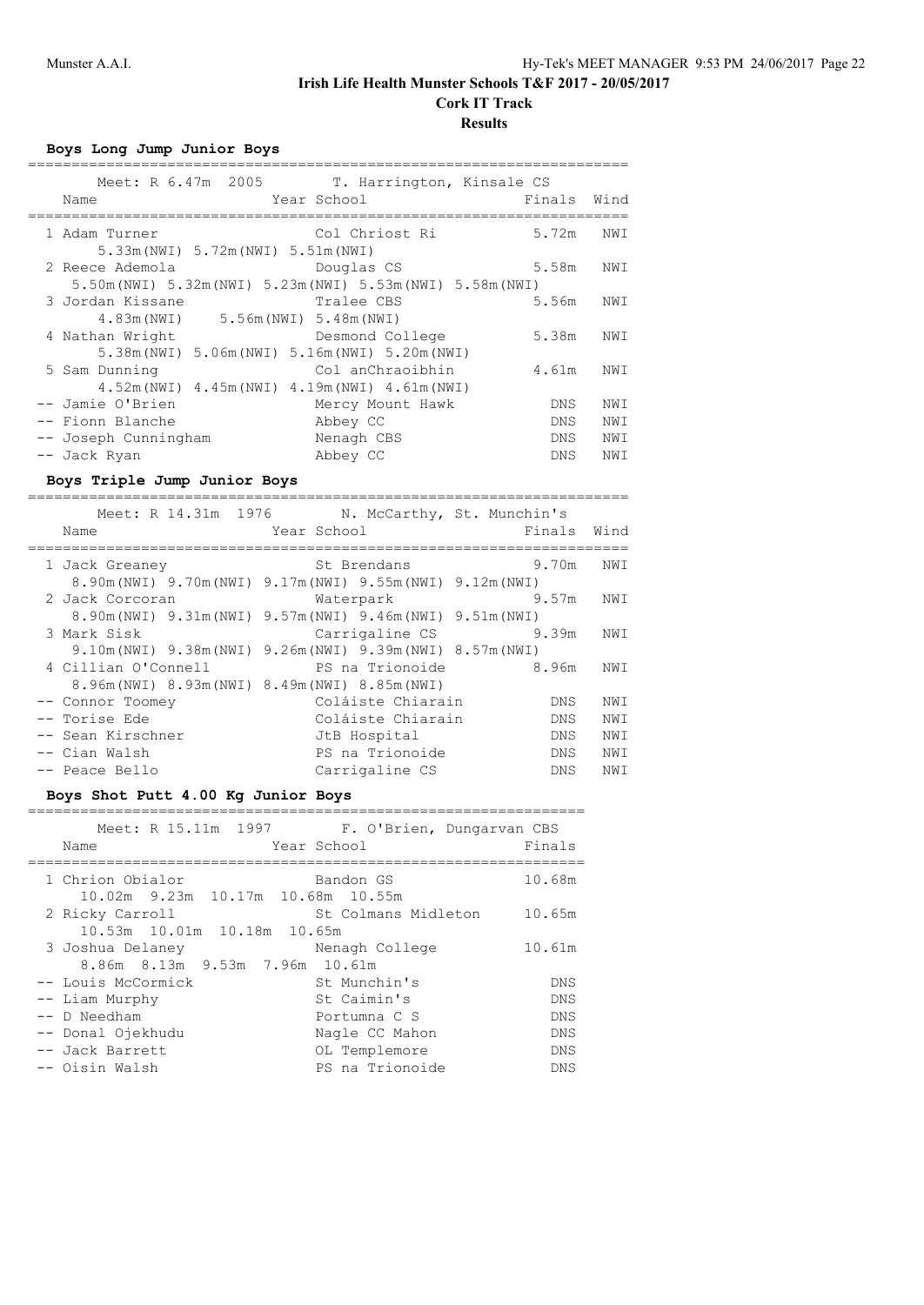# **Cork IT Track**

# **Results**

# **Boys Long Jump Junior Boys**

| Name                                                    | Meet: R 6.47m 2005 T. Harrington, Kinsale CS<br>Year School          | Finals     | Wind |
|---------------------------------------------------------|----------------------------------------------------------------------|------------|------|
| 1 Adam Turner<br>5.33m (NWI) 5.72m (NWI) 5.51m (NWI)    | Col Chriost Ri                                                       | 5.72m      | NWI  |
| 2 Reece Ademola                                         | Douglas CS<br>5.50m(NWI) 5.32m(NWI) 5.23m(NWI) 5.53m(NWI) 5.58m(NWI) | 5.58m      | NWI  |
| 3 Jordan Kissane<br>4.83m (NWI) 5.56m (NWI) 5.48m (NWI) | Tralee CBS                                                           | 5.56m      | NWI  |
| 4 Nathan Wright                                         | Desmond College<br>5.38m (NWI) 5.06m (NWI) 5.16m (NWI) 5.20m (NWI)   | 5.38m      | NWI  |
| 5 Sam Dunning                                           | Col anChraoibhin<br>4.52m (NWI) 4.45m (NWI) 4.19m (NWI) 4.61m (NWI)  | 4.61m      | NWI  |
| -- Jamie O'Brien                                        | Mercy Mount Hawk                                                     | <b>DNS</b> | NWI  |
| -- Fionn Blanche                                        | Abbey CC                                                             | <b>DNS</b> | NWI  |
| -- Joseph Cunningham                                    | Nenagh CBS                                                           | DNS.       | NWI  |
| -- Jack Ryan                                            | Abbey CC                                                             | DNS        | NWI  |
|                                                         |                                                                      |            |      |

# **Boys Triple Jump Junior Boys**

=====================================================================

|                                                                  | Meet: R 14.31m 1976 N. McCarthy, St. Munchin's |                      |      |
|------------------------------------------------------------------|------------------------------------------------|----------------------|------|
| Name                                                             | Year School                                    | Finals               | Wind |
| 1 Jack Greaney                                                   | St Brendans                                    | 9.70m                | NWI  |
| 8.90m(NWI) 9.70m(NWI) 9.17m(NWI) 9.55m(NWI) 9.12m(NWI)           |                                                |                      |      |
| 2 Jack Corcoran                                                  | Waterpark                                      | 9.57m                | NWI  |
| 8.90m(NWI) 9.31m(NWI) 9.57m(NWI) 9.46m(NWI) 9.51m(NWI)           |                                                |                      |      |
| 3 Mark Sisk                                                      |                                                | Carrigaline CS 9.39m | NWI  |
| $9.10m(NWI)$ $9.38m(NWI)$ $9.26m(NWI)$ $9.39m(NWI)$ $8.57m(NWI)$ |                                                |                      |      |
|                                                                  |                                                |                      | NWI  |
| 8.96m(NWI) 8.93m(NWI) 8.49m(NWI) 8.85m(NWI)                      |                                                |                      |      |
| -- Connor Toomey                                                 | Coláiste Chiarain                              | <b>DNS</b>           | NWI  |
| -- Torise Ede                                                    | Coláiste Chiarain                              | DNS                  | NWI  |
| -- Sean Kirschner                                                | JtB Hospital                                   | DNS                  | NWI  |
| -- Cian Walsh                                                    | PS na Trionoide                                | <b>DNS</b>           | NWI  |
| -- Peace Bello                                                   | Carrigaline CS                                 | <b>DNS</b>           | NWI  |

### **Boys Shot Putt 4.00 Kg Junior Boys**

| Meet: R 15.11m 1997<br>Name                           | F. O'Brien, Dungarvan CBS<br>Year School | Finals     |
|-------------------------------------------------------|------------------------------------------|------------|
| 1 Chrion Obialor<br>10.02m 9.23m 10.17m 10.68m 10.55m | Bandon GS                                | 10.68m     |
| 2 Ricky Carroll<br>10.53m 10.01m 10.18m 10.65m        | St Colmans Midleton                      | 10.65m     |
| 3 Joshua Delaney<br>8.86m 8.13m 9.53m 7.96m 10.61m    | Nenagh College                           | 10.61m     |
| -- Louis McCormick                                    | St Munchin's                             | <b>DNS</b> |
| -- Liam Murphy                                        | St Caimin's                              | <b>DNS</b> |
| -- D Needham                                          | Portumna C S                             | <b>DNS</b> |
| -- Donal Ojekhudu                                     | Nagle CC Mahon                           | <b>DNS</b> |
| -- Jack Barrett                                       | OL Templemore                            | DNS        |
| -- Oisin Walsh                                        | PS na Trionoide                          | DNS        |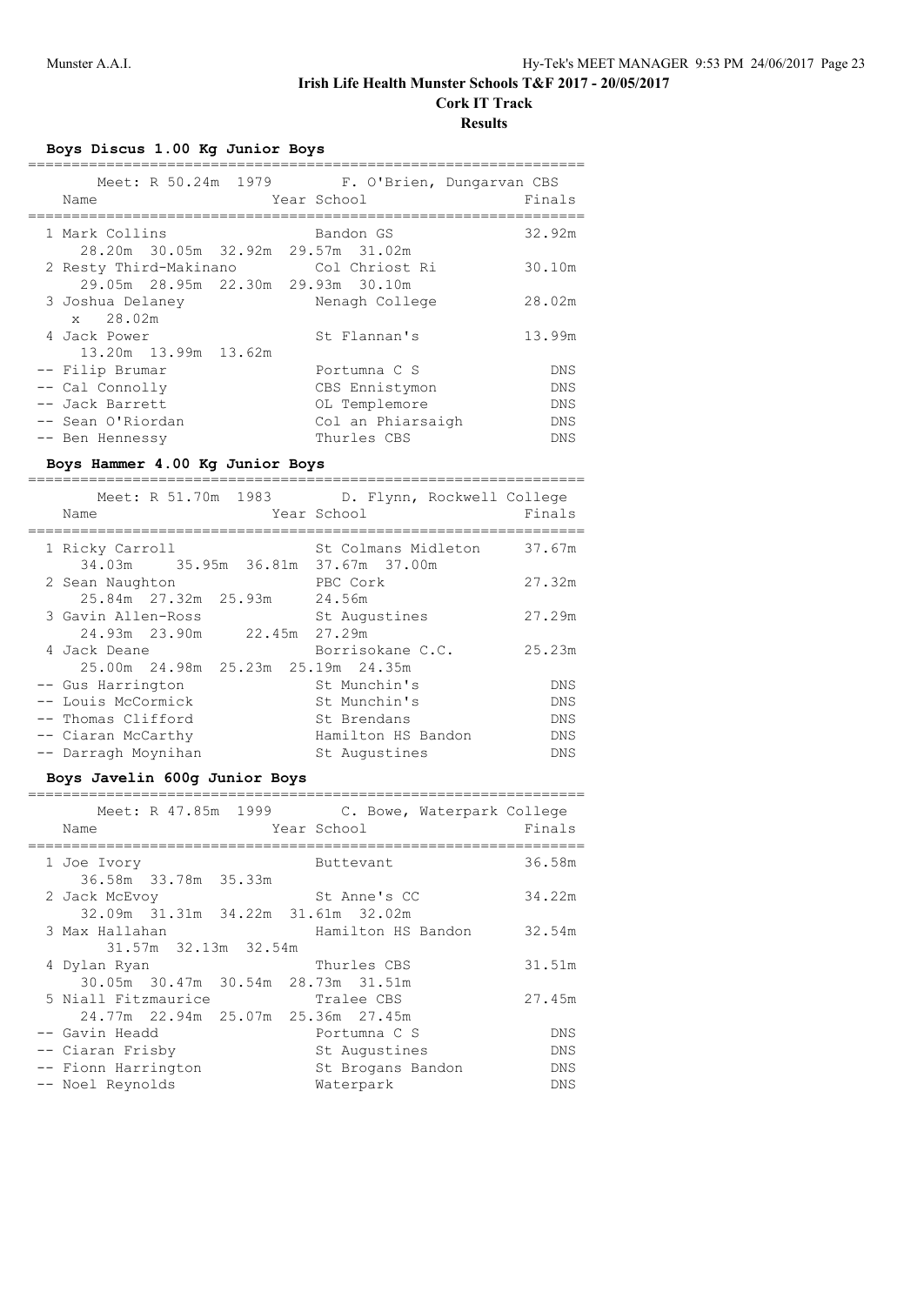**Cork IT Track**

**Results**

#### **Boys Discus 1.00 Kg Junior Boys**

| Meet: R 50.24m 1979<br>Name                                                                   | Year School                                                                         | F. O'Brien, Dungarvan CBS<br>Finals                         |
|-----------------------------------------------------------------------------------------------|-------------------------------------------------------------------------------------|-------------------------------------------------------------|
| 1 Mark Collins<br>28.20m 30.05m 32.92m 29.57m 31.02m                                          | Bandon GS                                                                           | 32.92m                                                      |
| 2 Resty Third-Makinano<br>29.05m 28.95m 22.30m 29.93m 30.10m                                  | Col Chriost Ri                                                                      | 30.10m                                                      |
| 3 Joshua Delaney<br>x 28.02m                                                                  | Nenagh College                                                                      | 28.02m                                                      |
| 4 Jack Power<br>13.20m 13.99m 13.62m                                                          | St. Flannan's                                                                       | 13.99m                                                      |
| -- Filip Brumar<br>-- Cal Connolly<br>-- Jack Barrett<br>-- Sean O'Riordan<br>-- Ben Hennessy | Portumna C S<br>CBS Ennistymon<br>OL Templemore<br>Col an Phiarsaigh<br>Thurles CBS | <b>DNS</b><br><b>DNS</b><br><b>DNS</b><br><b>DNS</b><br>DNS |
|                                                                                               |                                                                                     |                                                             |

#### **Boys Hammer 4.00 Kg Junior Boys**

================================================================ Meet: R 51.70m 1983 D. Flynn, Rockwell College Name **Year School** Finals ================================================================ 1 Ricky Carroll St Colmans Midleton 37.67m 34.03m 35.95m 36.81m 37.67m 37.00m 2 Sean Naughton PBC Cork 27.32m 25.84m 27.32m 25.93m 24.56m 3 Gavin Allen-Ross St Augustines 27.29m 3 Gavin Allen-Ross St Augu<br>
24.93m 23.90m 22.45m 27.29m 4 Jack Deane Borrisokane C.C. 25.23m 25.00m 24.98m 25.23m 25.19m 24.35m -- Gus Harrington St Munchin's DNS -- Louis McCormick St Munchin's DNS -- Thomas Clifford St Brendans DNS -- Ciaran McCarthy Hamilton HS Bandon DNS -- Darragh Moynihan St Augustines DNS

#### **Boys Javelin 600g Junior Boys**

| Meet: R 47.85m 1999<br>Name                               | C. Bowe, Waterpark College<br>Year School | Finals     |
|-----------------------------------------------------------|-------------------------------------------|------------|
| 1 Joe Ivory<br>36.58m 33.78m 35.33m                       | Buttevant                                 | 36.58m     |
| 2 Jack McEvoy<br>32.09m 31.31m 34.22m 31.61m 32.02m       | St Anne's CC                              | 34.22m     |
| 3 Max Hallahan<br>31.57m 32.13m 32.54m                    | Hamilton HS Bandon                        | 32.54m     |
| 4 Dylan Ryan<br>30.05m 30.47m 30.54m 28.73m 31.51m        | Thurles CBS                               | 31.51m     |
| 5 Niall Fitzmaurice<br>24.77m 22.94m 25.07m 25.36m 27.45m | Tralee CBS                                | 27.45m     |
| -- Gavin Headd                                            | Portumna C S                              | <b>DNS</b> |
| -- Ciaran Frisby                                          | St Augustines                             | DNS        |
| -- Fionn Harrington                                       | St Brogans Bandon                         | DNS        |
| -- Noel Reynolds                                          | Waterpark                                 | <b>DNS</b> |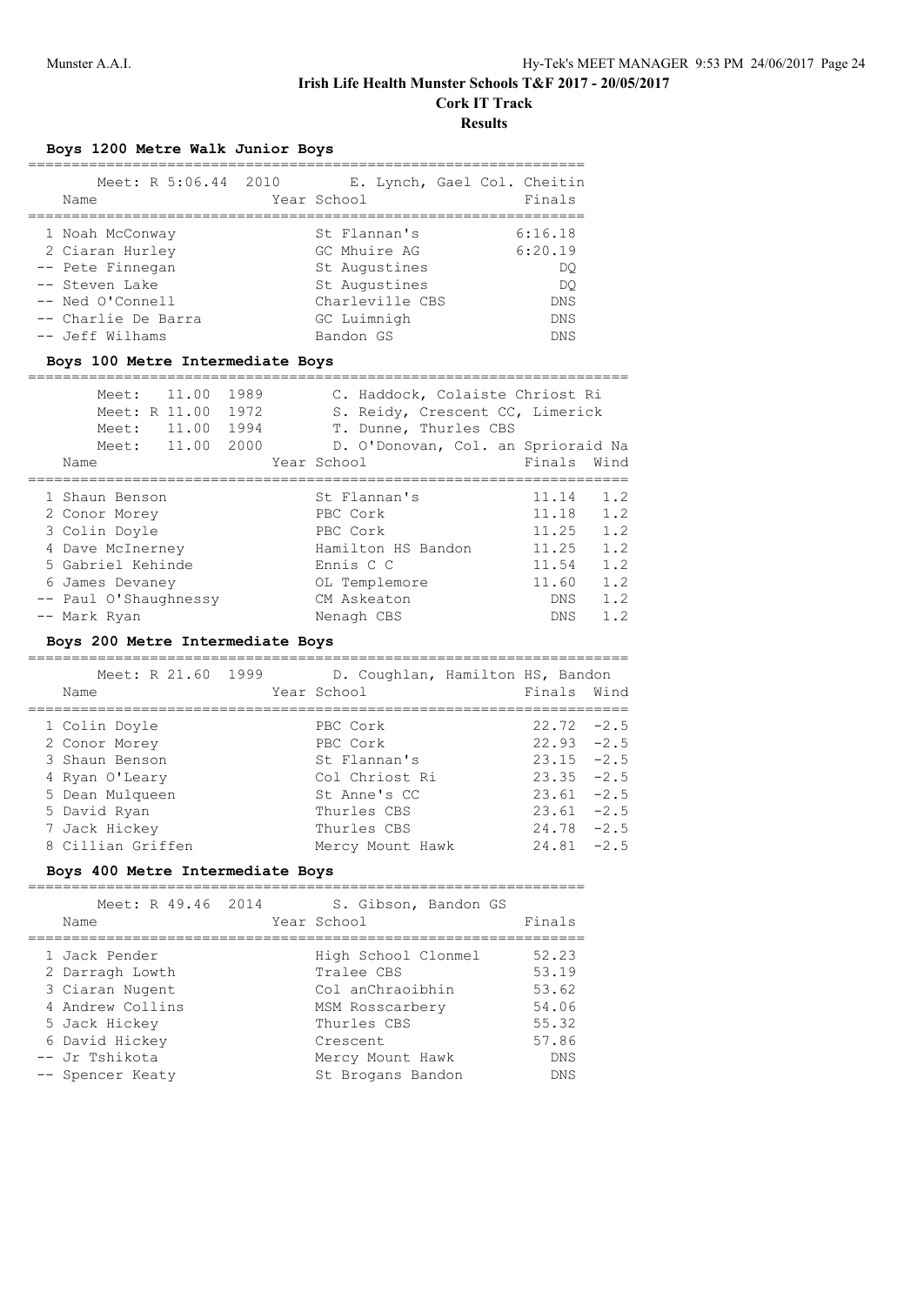**Cork IT Track**

**Results**

# **Boys 1200 Metre Walk Junior Boys**

| Name                                                                                                                                                                                      | Meet: R 5:06.44 2010 E. Lynch, Gael Col. Cheitin<br>Year School                                                                                  | Finals                                                           |                                                      |
|-------------------------------------------------------------------------------------------------------------------------------------------------------------------------------------------|--------------------------------------------------------------------------------------------------------------------------------------------------|------------------------------------------------------------------|------------------------------------------------------|
| 1 Noah McConway<br>2 Ciaran Hurley<br>-- Pete Finnegan<br>-- Steven Lake<br>-- Ned O'Connell<br>-- Charlie De Barra<br>-- Jeff Wilhams<br>Boys 100 Metre Intermediate Boys                | St Flannan's<br>GC Mhuire AG<br>St Augustines<br>St Augustines<br>Charleville CBS<br>GC Luimnigh<br>Bandon GS                                    | 6:16.18<br>6:20.19<br>DO.<br>DO<br>DNS<br><b>DNS</b><br>DNS      |                                                      |
| Meet: 11.00 1989<br>Meet: R 11.00 1972<br>Meet: 11.00 1994<br>Meet: 11.00 2000<br>Name                                                                                                    | C. Haddock, Colaiste Chriost Ri<br>S. Reidy, Crescent CC, Limerick<br>T. Dunne, Thurles CBS<br>D. O'Donovan, Col. an Sprioraid Na<br>Year School | Wind<br>Finals                                                   |                                                      |
| 1 Shaun Benson<br>2 Conor Morey<br>3 Colin Doyle<br>4 Dave McInerney<br>5 Gabriel Kehinde<br>6 James Devaney<br>-- Paul O'Shaughnessy<br>-- Mark Ryan<br>Boys 200 Metre Intermediate Boys | St Flannan's<br>PBC Cork<br>PBC Cork<br>Hamilton HS Bandon<br>Ennis C C<br>OL Templemore<br>CM Askeaton<br>Nenagh CBS                            | 11.14<br>11.18<br>11.25<br>11.25<br>11.54<br>11.60<br>DNS<br>DNS | 1.2<br>1.2<br>1.2<br>1.2<br>1.2<br>1.2<br>1.2<br>1.2 |
|                                                                                                                                                                                           |                                                                                                                                                  |                                                                  |                                                      |

| Meet: R 21.60 1999<br>Name | D. Coughlan, Hamilton HS, Bandon<br>Year School | Finals Wind   |        |
|----------------------------|-------------------------------------------------|---------------|--------|
|                            |                                                 |               |        |
| 1 Colin Doyle              | PBC Cork                                        | $22.72 - 2.5$ |        |
| 2 Conor Morey              | PBC Cork                                        | $22.93 - 2.5$ |        |
| 3 Shaun Benson             | St Flannan's                                    | $23.15 -2.5$  |        |
| 4 Ryan O'Leary             | Col Chriost Ri                                  | $23.35 -2.5$  |        |
| 5 Dean Mulqueen            | St Anne's CC                                    | $23.61 - 2.5$ |        |
| 5 David Ryan               | Thurles CBS                                     | 23.61         | $-2.5$ |
| 7 Jack Hickey              | Thurles CBS                                     | $24.78 - 2.5$ |        |
| 8 Cillian Griffen          | Mercy Mount Hawk                                | 24.81         | $-2.5$ |

# **Boys 400 Metre Intermediate Boys**

| Meet: R 49.46 2014<br>Name                                                               | S. Gibson, Bandon GS<br>Year School                                                     | Finals                                    |
|------------------------------------------------------------------------------------------|-----------------------------------------------------------------------------------------|-------------------------------------------|
| 1 Jack Pender<br>2 Darragh Lowth<br>3 Ciaran Nugent<br>4 Andrew Collins<br>5 Jack Hickey | High School Clonmel<br>Tralee CBS<br>Col anChraoibhin<br>MSM Rosscarbery<br>Thurles CBS | 52.23<br>53.19<br>53.62<br>54.06<br>55.32 |
| 6 David Hickey<br>-- Jr Tshikota<br>-- Spencer Keaty                                     | Crescent<br>Mercy Mount Hawk<br>St Brogans Bandon                                       | 57.86<br><b>DNS</b><br><b>DNS</b>         |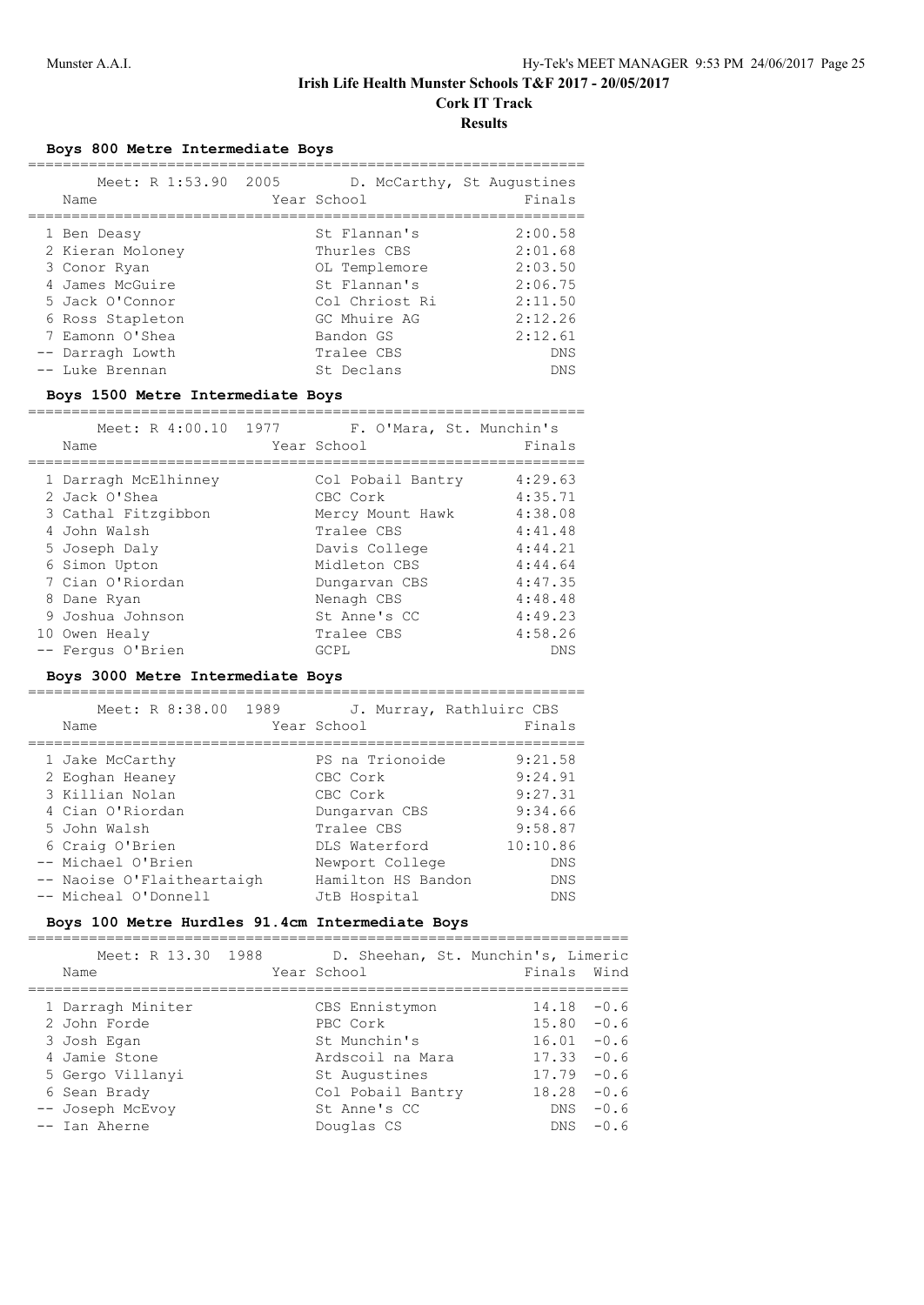**Cork IT Track**

**Results**

================================================================

# **Boys 800 Metre Intermediate Boys**

| Meet: R 1:53.90 2005<br>Name | Year School    | D. McCarthy, St Augustines<br>Finals |
|------------------------------|----------------|--------------------------------------|
| 1 Ben Deasy                  | St. Flannan's  | 2:00.58                              |
| 2 Kieran Moloney             | Thurles CBS    | 2:01.68                              |
| 3 Conor Ryan                 | OL Templemore  | 2:03.50                              |
| 4 James McGuire              | St. Flannan's  | 2:06.75                              |
| 5 Jack O'Connor              | Col Chriost Ri | 2:11.50                              |
| 6 Ross Stapleton             | GC Mhuire AG   | 2:12.26                              |
| 7 Eamonn O'Shea              | Bandon GS      | 2:12.61                              |
| -- Darragh Lowth             | Tralee CBS     | <b>DNS</b>                           |
| -- Luke Brennan              | St. Declans    | <b>DNS</b>                           |
|                              |                |                                      |

### **Boys 1500 Metre Intermediate Boys**

| Meet: R 4:00.10 1977<br>Name | F. O'Mara, St. Munchin's<br>Year School | Finals  |
|------------------------------|-----------------------------------------|---------|
| 1 Darragh McElhinney         | Col Pobail Bantry                       | 4:29.63 |
| 2 Jack O'Shea                | CBC Cork                                | 4:35.71 |
| 3 Cathal Fitzgibbon          | Mercy Mount Hawk                        | 4:38.08 |
| 4 John Walsh                 | Tralee CBS                              | 4:41.48 |
| 5 Joseph Daly                | Davis College                           | 4:44.21 |
| 6 Simon Upton                | Midleton CBS                            | 4:44.64 |
| 7 Cian O'Riordan             | Dungarvan CBS                           | 4:47.35 |
| 8 Dane Ryan                  | Nenagh CBS                              | 4:48.48 |
| 9 Joshua Johnson             | St Anne's CC                            | 4:49.23 |
| 10 Owen Healy                | Tralee CBS                              | 4:58.26 |
| -- Ferqus O'Brien            | GCPL                                    | DNS     |

# **Boys 3000 Metre Intermediate Boys**

| Meet: R 8:38.00 1989<br>Name | J. Murray, Rathluirc CBS<br>Year School | Finals     |
|------------------------------|-----------------------------------------|------------|
| 1 Jake McCarthy              | PS na Trionoide                         | 9:21.58    |
| 2 Eoghan Heaney              | CBC Cork                                | 9:24.91    |
| 3 Killian Nolan              | CBC Cork                                | 9:27.31    |
| 4 Cian O'Riordan             | Dungarvan CBS                           | 9:34.66    |
| 5 John Walsh                 | Tralee CBS                              | 9:58.87    |
| 6 Craig O'Brien              | DLS Waterford                           | 10:10.86   |
| -- Michael O'Brien           | Newport College                         | <b>DNS</b> |
| -- Naoise O'Flaitheartaigh   | Hamilton HS Bandon                      | <b>DNS</b> |
| -- Micheal O'Donnell         | JtB Hospital                            | <b>DNS</b> |

# **Boys 100 Metre Hurdles 91.4cm Intermediate Boys**

| Meet: R 13.30 1988<br>D. Sheehan, St. Munchin's, Limeric<br>Finals<br>Year School<br>Name<br>1 Darragh Miniter<br>CBS Ennistymon<br>14.18<br>2 John Forde<br>PBC Cork<br>15.80<br>St Munchin's<br>16.01<br>3 Josh Egan<br>4 Jamie Stone<br>Ardscoil na Mara<br>17.33<br>5 Gergo Villanyi<br>St Augustines<br>17.79<br>Col Pobail Bantry<br>18.28<br>6 Sean Brady<br>-- Joseph McEvoy<br>St Anne's CC<br>DNS. |  |  |                                                                              |
|--------------------------------------------------------------------------------------------------------------------------------------------------------------------------------------------------------------------------------------------------------------------------------------------------------------------------------------------------------------------------------------------------------------|--|--|------------------------------------------------------------------------------|
|                                                                                                                                                                                                                                                                                                                                                                                                              |  |  | Wind                                                                         |
| -- Ian Aherne<br>Douglas CS<br>DNS.                                                                                                                                                                                                                                                                                                                                                                          |  |  | $-0.6$<br>$-0.6$<br>$-0.6$<br>$-0.6$<br>$-0.6$<br>$-0.6$<br>$-0.6$<br>$-0.6$ |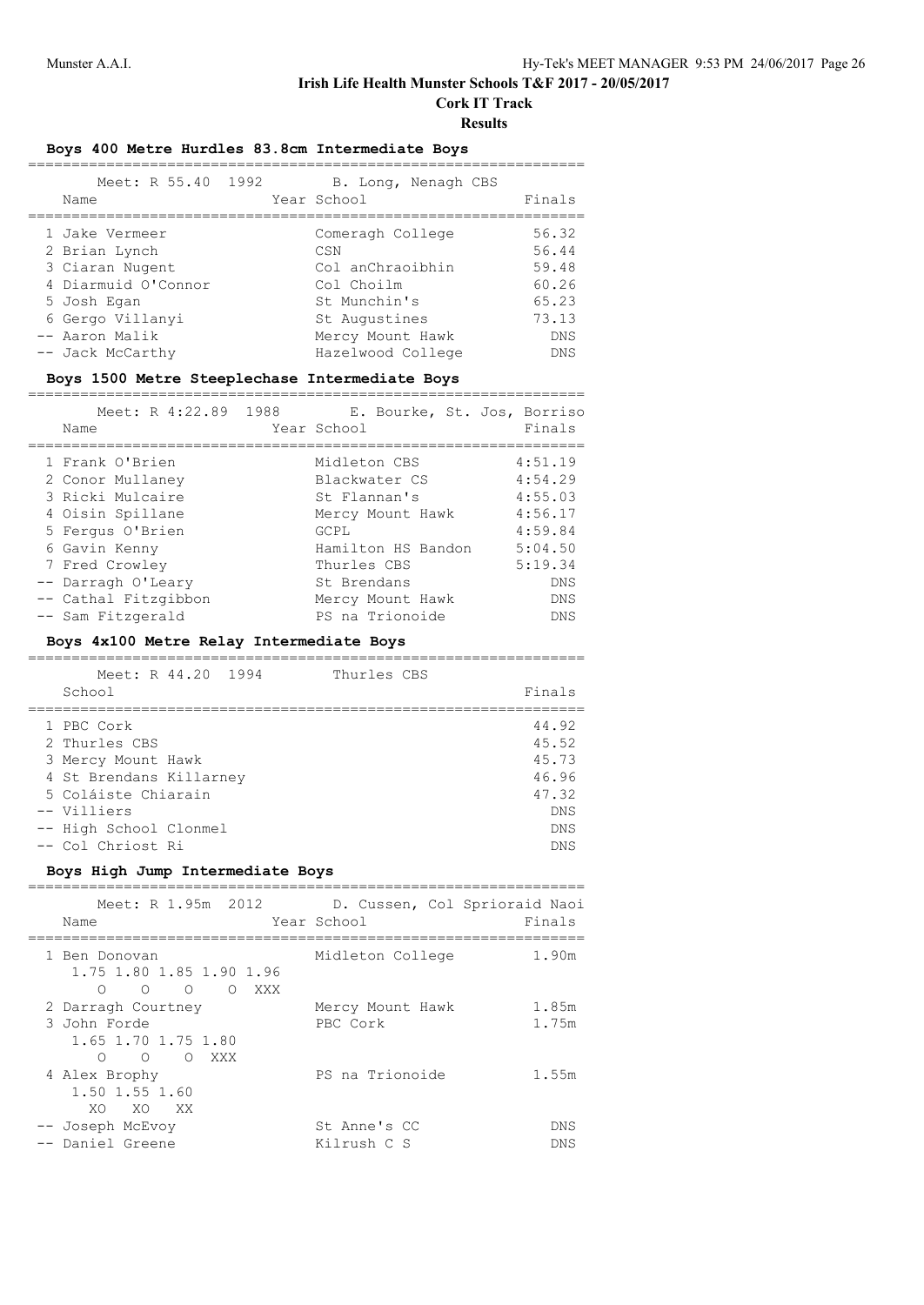**Cork IT Track**

**Results**

#### **Boys 400 Metre Hurdles 83.8cm Intermediate Boys**

| =========                                                                                                                                                                                                                                         |                                                                                                                                                                                             |                                                                                 |
|---------------------------------------------------------------------------------------------------------------------------------------------------------------------------------------------------------------------------------------------------|---------------------------------------------------------------------------------------------------------------------------------------------------------------------------------------------|---------------------------------------------------------------------------------|
| Meet: R 55.40 1992<br>Year School<br>Name                                                                                                                                                                                                         | B. Long, Nenagh CBS                                                                                                                                                                         | Finals                                                                          |
| 1 Jake Vermeer<br>2 Brian Lynch<br>3 Ciaran Nugent<br>4 Diarmuid O'Connor<br>5 Josh Egan<br>6 Gergo Villanyi<br>-- Aaron Malik<br>-- Jack McCarthy                                                                                                | Comeragh College<br>CSN<br>Col anChraoibhin<br>Col Choilm<br>St Munchin's<br>St Augustines<br>Mercy Mount Hawk<br>Hazelwood College                                                         | 56.32<br>56.44<br>59.48<br>60.26<br>65.23<br>73.13<br><b>DNS</b><br>DNS         |
| Boys 1500 Metre Steeplechase Intermediate Boys<br>=====================                                                                                                                                                                           |                                                                                                                                                                                             |                                                                                 |
| Meet: R 4:22.89 1988<br>Name<br>.=================                                                                                                                                                                                                | E. Bourke, St. Jos, Borriso<br>Year School                                                                                                                                                  | Finals                                                                          |
| 1 Frank O'Brien<br>2 Conor Mullaney<br>3 Ricki Mulcaire<br>4 Oisin Spillane<br>5 Fergus O'Brien<br>6 Gavin Kenny<br>7 Fred Crowley<br>-- Darragh O'Leary<br>-- Cathal Fitzgibbon<br>-- Sam Fitzgerald<br>Boys 4x100 Metre Relay Intermediate Boys | Midleton CBS<br>Blackwater CS 4:54.29<br>St Flannan's<br>Mercy Mount Hawk<br><b>GCPL</b><br>Hamilton HS Bandon 5:04.50<br>Thurles CBS<br>St Brendans<br>Mercy Mount Hawk<br>PS na Trionoide | 4:51.19<br>4:55.03<br>4:56.17<br>4:59.84<br>5:19.34<br>DNS<br>DNS<br><b>DNS</b> |
| Meet: R 44.20 1994 Thurles CBS                                                                                                                                                                                                                    |                                                                                                                                                                                             |                                                                                 |
| School                                                                                                                                                                                                                                            |                                                                                                                                                                                             | Finals                                                                          |
| 1 PBC Cork<br>2 Thurles CBS<br>3 Mercy Mount Hawk<br>4 St Brendans Killarney                                                                                                                                                                      |                                                                                                                                                                                             | 44.92<br>45.52<br>45.73<br>46.96                                                |

 5 Coláiste Chiarain 47.32 -- Villiers DNS<br>-- High School Clonmel<br>DNS -- High School Clonmel<br>-- Col Chriost Ri

-- Col Chriost Ri

# **Boys High Jump Intermediate Boys**

| Meet: R 1.95m 2012<br>Name                                                                            | D. Cussen, Col Sprioraid Naoi<br>Year School | Finals     |
|-------------------------------------------------------------------------------------------------------|----------------------------------------------|------------|
| 1 Ben Donovan<br>1.75 1.80 1.85 1.90 1.96<br>$\circ$ $\circ$ $\circ$<br>XXX X<br>$\Omega$<br>$\Omega$ | Midleton College                             | 1.90m      |
| 2 Darragh Courtney                                                                                    | Mercy Mount Hawk                             | 1.85m      |
| 3 John Forde<br>1.65 1.70 1.75 1.80<br>$\circ$ $\circ$<br>$\bigcirc$<br>XXX                           | PBC Cork                                     | 1.75m      |
| 4 Alex Brophy<br>1.50 1.55 1.60<br>XO XO<br>XX)                                                       | PS na Trionoide                              | 1.55m      |
| -- Joseph McEvoy<br>Daniel Greene                                                                     | St Anne's CC<br>Kilrush C S                  | DNS<br>DNS |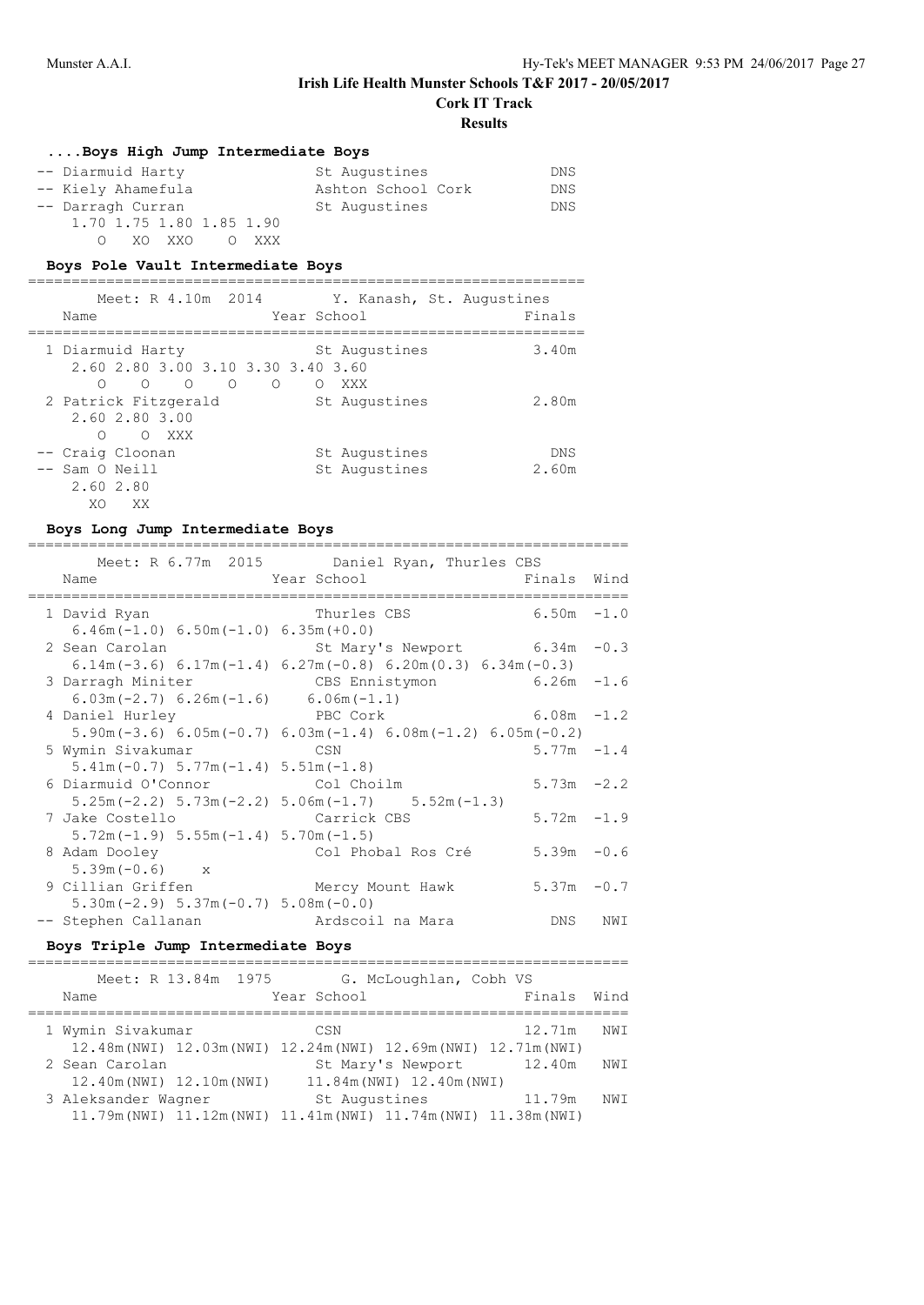# **Cork IT Track**

# **Results**

#### **....Boys High Jump Intermediate Boys**

| -- Diarmuid Harty        | St Augustines      | DNS |
|--------------------------|--------------------|-----|
| -- Kiely Ahamefula       | Ashton School Cork | DNS |
| -- Darragh Curran        | St Augustines      | DNS |
| 1.70 1.75 1.80 1.85 1.90 |                    |     |
| O XO XXO<br>O XXX        |                    |     |

# **Boys Pole Vault Intermediate Boys**

| Meet: R 4.10m 2014<br>Name                                                | Y. Kanash, St. Augustines<br>Year School            | Finals        |
|---------------------------------------------------------------------------|-----------------------------------------------------|---------------|
| 1 Diarmuid Harty                                                          | St Augustines<br>2.60 2.80 3.00 3.10 3.30 3.40 3.60 | 3.40m         |
| $\Omega$<br>∩<br>$\bigcirc$<br>2 Patrick Fitzgerald<br>2.60 2.80 3.00     | $\Omega$<br>$\Omega$<br>XXX<br>∩<br>St Augustines   | 2.80m         |
| O XXX<br>∩<br>-- Craig Cloonan<br>-- Sam O Neill<br>2.60 2.80<br>XO<br>ХX | St Augustines<br>St Augustines                      | DN S<br>2.60m |

#### **Boys Long Jump Intermediate Boys**

|                                                 | Meet: R 6.77m 2015 Daniel Ryan, Thurles CBS                                        |               |     |
|-------------------------------------------------|------------------------------------------------------------------------------------|---------------|-----|
| Name                                            | Year School <b>Finals</b> Wind                                                     |               |     |
| 1 David Ryan                                    | Thurles CBS                                                                        | $6.50m - 1.0$ |     |
| $6.46m(-1.0) 6.50m(-1.0) 6.35m(+0.0)$           |                                                                                    |               |     |
| 2 Sean Carolan                                  | St Mary's Newport 6.34m -0.3                                                       |               |     |
|                                                 | 6.14m $(-3.6)$ 6.17m $(-1.4)$ 6.27m $(-0.8)$ 6.20m $(0.3)$ 6.34m $(-0.3)$          |               |     |
| 3 Darragh Miniter                               | CBS Ennistymon 6.26m -1.6                                                          |               |     |
| $6.03m(-2.7) 6.26m(-1.6) 6.06m(-1.1)$           |                                                                                    |               |     |
| 4 Daniel Hurley                                 | <b>EXECUTE:</b> PBC Cork                                                           | $6.08m - 1.2$ |     |
|                                                 | $5.90$ m( $-3.6$ ) 6.05m( $-0.7$ ) 6.03m( $-1.4$ ) 6.08m( $-1.2$ ) 6.05m( $-0.2$ ) |               |     |
| 5 Wymin Sivakumar                               | <b>CSN</b>                                                                         | $5.77m - 1.4$ |     |
| $5.41m(-0.7)$ $5.77m(-1.4)$ $5.51m(-1.8)$       |                                                                                    |               |     |
| 6 Diarmuid O'Connor Col Choilm                  |                                                                                    | $5.73m -2.2$  |     |
|                                                 | $5.25m(-2.2)$ $5.73m(-2.2)$ $5.06m(-1.7)$ $5.52m(-1.3)$                            |               |     |
| 7 Jake Costello                                 | Carrick CBS                                                                        | $5.72m - 1.9$ |     |
| $5.72m(-1.9)$ $5.55m(-1.4)$ $5.70m(-1.5)$       |                                                                                    |               |     |
| 8 Adam Dooley                                   | Col Phobal Ros Cré                                                                 | $5.39m - 0.6$ |     |
| $5.39m(-0.6)$ x                                 |                                                                                    |               |     |
| 9 Cillian Griffen Mercy Mount Hawk              |                                                                                    | $5.37m - 0.7$ |     |
| $5.30$ m (-2.9) $5.37$ m (-0.7) $5.08$ m (-0.0) |                                                                                    |               |     |
| -- Stephen Callanan                             | Ardscoil na Mara                                                                   | DNS           | NWI |
|                                                 |                                                                                    |               |     |

#### **Boys Triple Jump Intermediate Boys** =====================================================================

| Meet: R 13.84m 1975       | G. McLoughlan, Cobh VS                                           |        |      |
|---------------------------|------------------------------------------------------------------|--------|------|
| Name                      | Year School                                                      | Finals | Wind |
|                           |                                                                  |        |      |
| 1 Wymin Sivakumar         | CSN                                                              | 12.71m | NWI  |
|                           | 12.48m (NWI) 12.03m (NWI) 12.24m (NWI) 12.69m (NWI) 12.71m (NWI) |        |      |
| 2 Sean Carolan            | St Mary's Newport                                                | 12.40m | NWI  |
| 12.40m (NWI) 12.10m (NWI) | 11.84m (NWI) 12.40m (NWI)                                        |        |      |
| 3 Aleksander Wagner       | St Augustines                                                    | 11.79m | NWI  |
|                           | 11.79m (NWI) 11.12m (NWI) 11.41m (NWI) 11.74m (NWI) 11.38m (NWI) |        |      |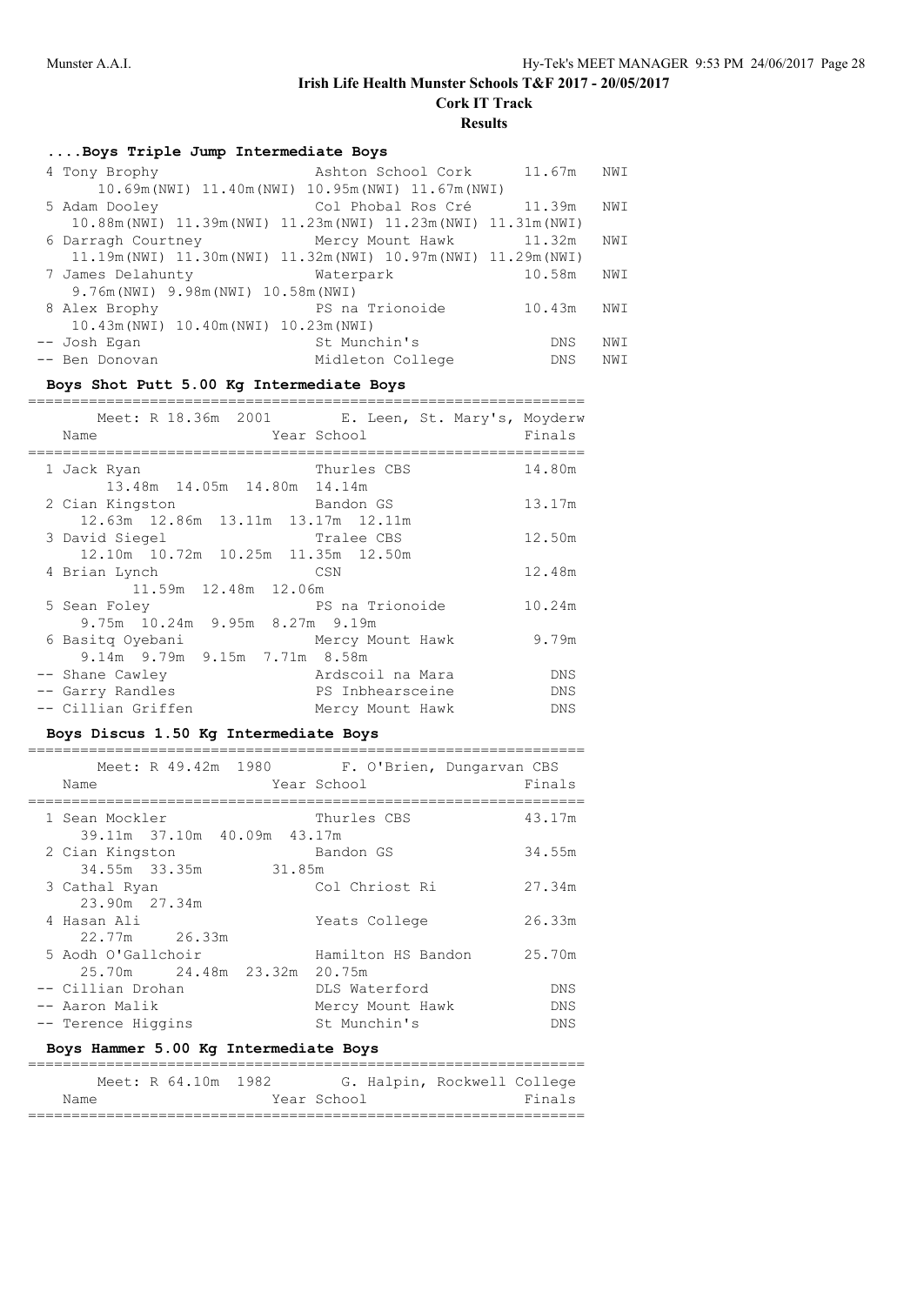**Cork IT Track**

# **Results**

# **....Boys Triple Jump Intermediate Boys**

| 4 Tony Brophy                              | Ashton School Cork 11.67m                                        |            | NWI |
|--------------------------------------------|------------------------------------------------------------------|------------|-----|
|                                            | 10.69m (NWI) 11.40m (NWI) 10.95m (NWI) 11.67m (NWI)              |            |     |
| 5 Adam Dooley                              | Col Phobal Ros Cré 11.39m                                        |            | NWI |
|                                            | 10.88m (NWI) 11.39m (NWI) 11.23m (NWI) 11.23m (NWI) 11.31m (NWI) |            |     |
| 6 Darragh Courtney Mercy Mount Hawk 11.32m |                                                                  |            | NWI |
|                                            | 11.19m (NWI) 11.30m (NWI) 11.32m (NWI) 10.97m (NWI) 11.29m (NWI) |            |     |
| 7 James Delahunty                          | Waterpark                                                        | 10.58m     | NWI |
| 9.76m (NWI) 9.98m (NWI) 10.58m (NWI)       |                                                                  |            |     |
| 8 Alex Brophy                              | PS na Trionoide                                                  | 10.43m     | NWI |
| 10.43m (NWI) 10.40m (NWI) 10.23m (NWI)     |                                                                  |            |     |
| -- Josh Egan                               | St Munchin's                                                     | <b>DNS</b> | NWI |
| -- Ben Donovan                             | Midleton College                                                 | <b>DNS</b> | NWI |

# **Boys Shot Putt 5.00 Kg Intermediate Boys**

| Meet: R 18.36m 2001 E. Leen, St. Mary's, Moyderw<br>Name | Year School      | Finals |
|----------------------------------------------------------|------------------|--------|
| 1 Jack Ryan<br>13.48m 14.05m 14.80m 14.14m               | Thurles CBS      | 14.80m |
| 2 Cian Kingston<br>12.63m 12.86m 13.11m 13.17m 12.11m    | Bandon GS        | 13.17m |
| 3 David Siegel<br>12.10m  10.72m  10.25m  11.35m  12.50m | Tralee CBS       | 12.50m |
| 4 Brian Lynch<br>11.59m 12.48m 12.06m                    | CSN              | 12.48m |
| 5 Sean Foley<br>9.75m 10.24m 9.95m 8.27m 9.19m           | PS na Trionoide  | 10.24m |
| 6 Basitq Oyebani<br>9.14m 9.79m 9.15m 7.71m 8.58m        | Mercy Mount Hawk | 9.79m  |
| -- Shane Cawley                                          | Ardscoil na Mara | DNS    |
| -- Garry Randles                                         | PS Inbhearsceine | DNS    |
| -- Cillian Griffen                                       | Mercy Mount Hawk | DNS    |

#### **Boys Discus 1.50 Kg Intermediate Boys**

| Meet: R 49.42m 1980<br>Name                       | F. O'Brien, Dungarvan CBS<br>Year School | Finals     |
|---------------------------------------------------|------------------------------------------|------------|
| 1 Sean Mockler<br>39.11m 37.10m 40.09m 43.17m     | Thurles CBS                              | 43.17m     |
| 2 Cian Kingston<br>34.55m 33.35m 31.85m           | Bandon GS                                | 34.55m     |
| 3 Cathal Ryan<br>23.90m 27.34m                    | Col Chriost Ri                           | 27.34m     |
| 4 Hasan Ali<br>22.77m 26.33m                      | Yeats College                            | 26.33m     |
| 5 Aodh O'Gallchoir<br>25.70m 24.48m 23.32m 20.75m | Hamilton HS Bandon                       | 25.70m     |
| -- Cillian Drohan                                 | DLS Waterford                            | DNS        |
| -- Aaron Malik                                    | Mercy Mount Hawk                         | DNS        |
| -- Terence Higgins                                | St Munchin's                             | <b>DNS</b> |
| Boys Hammer 5.00 Kg Intermediate Boys             |                                          |            |

#### **Boys Hammer 5.00 Kg Intermediate Boys**

|      |  | Meet: R 64.10m 1982 |  |             |  | G. Halpin, Rockwell College |        |
|------|--|---------------------|--|-------------|--|-----------------------------|--------|
| Name |  |                     |  | Year School |  |                             | Finals |
|      |  |                     |  |             |  |                             |        |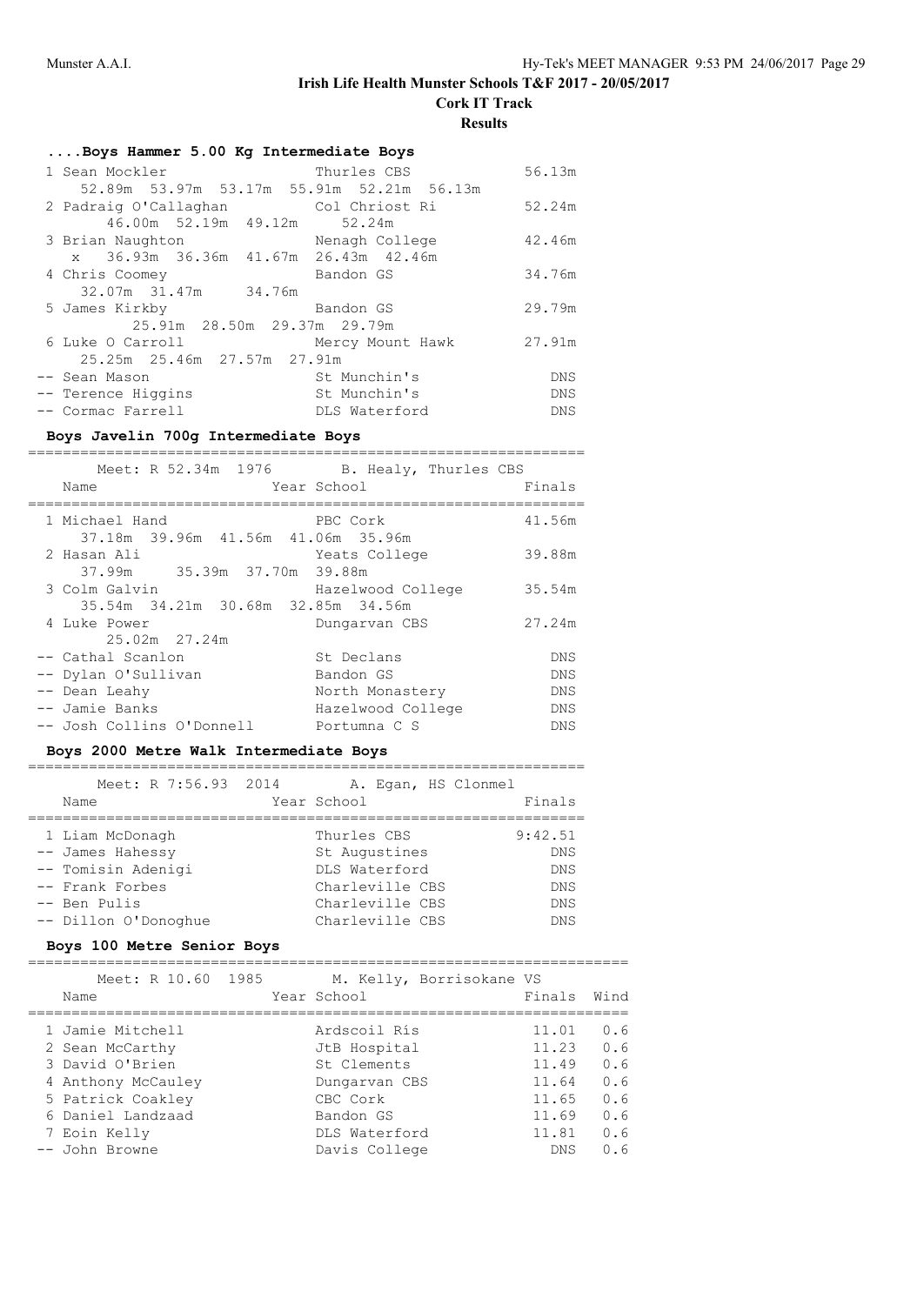**Results**

| Boys Hammer 5.00 Kg Intermediate Boys                |            |
|------------------------------------------------------|------------|
| Thurles CBS<br>1 Sean Mockler                        | 56.13m     |
| 52.89m 53.97m 53.17m 55.91m 52.21m 56.13m            |            |
| 2 Padraig O'Callaghan Col Chriost Ri                 | 52.24m     |
| 46.00m 52.19m 49.12m 52.24m                          |            |
| 3 Brian Naughton Menagh College                      | 42.46m     |
| x 36.93m 36.36m 41.67m 26.43m 42.46m                 |            |
| 4 Chris Coomey<br>Bandon GS                          | 34.76m     |
| 32.07m 31.47m 34.76m                                 |            |
| 5 James Kirkby 1986 1986<br>Bandon GS                | 29.79m     |
| 25.91m 28.50m 29.37m 29.79m                          |            |
| 6 Luke O Carroll Luke March 1999<br>Mercy Mount Hawk | 27.91m     |
| 25.25m 25.46m 27.57m 27.91m                          |            |
| St Munchin's<br>-- Sean Mason                        | DNS.       |
| St Munchin's<br>-- Terence Higgins                   | DNS.       |
| -- Cormac Farrell<br>DLS Waterford                   | <b>DNS</b> |

# **Boys Javelin 700g Intermediate Boys**

| Meet: R 52.34m 1976 B. Healy, Thurles CBS<br>Name    | Year School       | Finals     |
|------------------------------------------------------|-------------------|------------|
| 1 Michael Hand<br>37.18m 39.96m 41.56m 41.06m 35.96m | PBC Cork          | 41.56m     |
| 2 Hasan Ali<br>37.99m 35.39m 37.70m 39.88m           | Yeats College     | 39.88m     |
| 3 Colm Galvin<br>35.54m 34.21m 30.68m 32.85m 34.56m  | Hazelwood College | 35.54m     |
| 4 Luke Power<br>25.02m 27.24m                        | Dungarvan CBS     | 27.24m     |
| -- Cathal Scanlon                                    | St Declans        | DNS        |
| -- Dylan O'Sullivan                                  | Bandon GS         | <b>DNS</b> |
| -- Dean Leahy                                        | North Monastery   | <b>DNS</b> |
| -- Jamie Banks                                       | Hazelwood College | DNS        |
| -- Josh Collins O'Donnell                            | Portumna C S      | <b>DNS</b> |

# **Boys 2000 Metre Walk Intermediate Boys**

|  | Meet: R 7:56.93 2014 |  |  | A. Egan, HS Clonmel |  |
|--|----------------------|--|--|---------------------|--|
|  |                      |  |  |                     |  |

| Name                 | Year School     | Finals     |
|----------------------|-----------------|------------|
| 1 Liam McDonagh      | Thurles CBS     | 9:42.51    |
| -- James Hahessy     | St Augustines   | DNS        |
| -- Tomisin Adenigi   | DLS Waterford   | <b>DNS</b> |
| -- Frank Forbes      | Charleville CBS | <b>DNS</b> |
| -- Ben Pulis         | Charleville CBS | <b>DNS</b> |
| -- Dillon O'Donoghue | Charleville CBS | <b>DNS</b> |

# **Boys 100 Metre Senior Boys**

|  | Meet: R 10.60 1985<br>Name | M. Kelly, Borrisokane VS<br>Year School | Finals     | Wind |
|--|----------------------------|-----------------------------------------|------------|------|
|  | 1 Jamie Mitchell           | Ardscoil Rís                            | 11.01      | 0.6  |
|  | 2 Sean McCarthy            | JtB Hospital                            | 11.23      | 0.6  |
|  | 3 David O'Brien            | St. Clements                            | 11.49      | 0.6  |
|  | 4 Anthony McCauley         | Dungarvan CBS                           | 11.64      | 0.6  |
|  | 5 Patrick Coakley          | CBC Cork                                | 11.65      | 0.6  |
|  | 6 Daniel Landzaad          | Bandon GS                               | 11.69      | 0.6  |
|  | 7 Eoin Kelly               | DLS Waterford                           | 11.81      | 0.6  |
|  | -- John Browne             | Davis College                           | <b>DNS</b> | 0.6  |
|  |                            |                                         |            |      |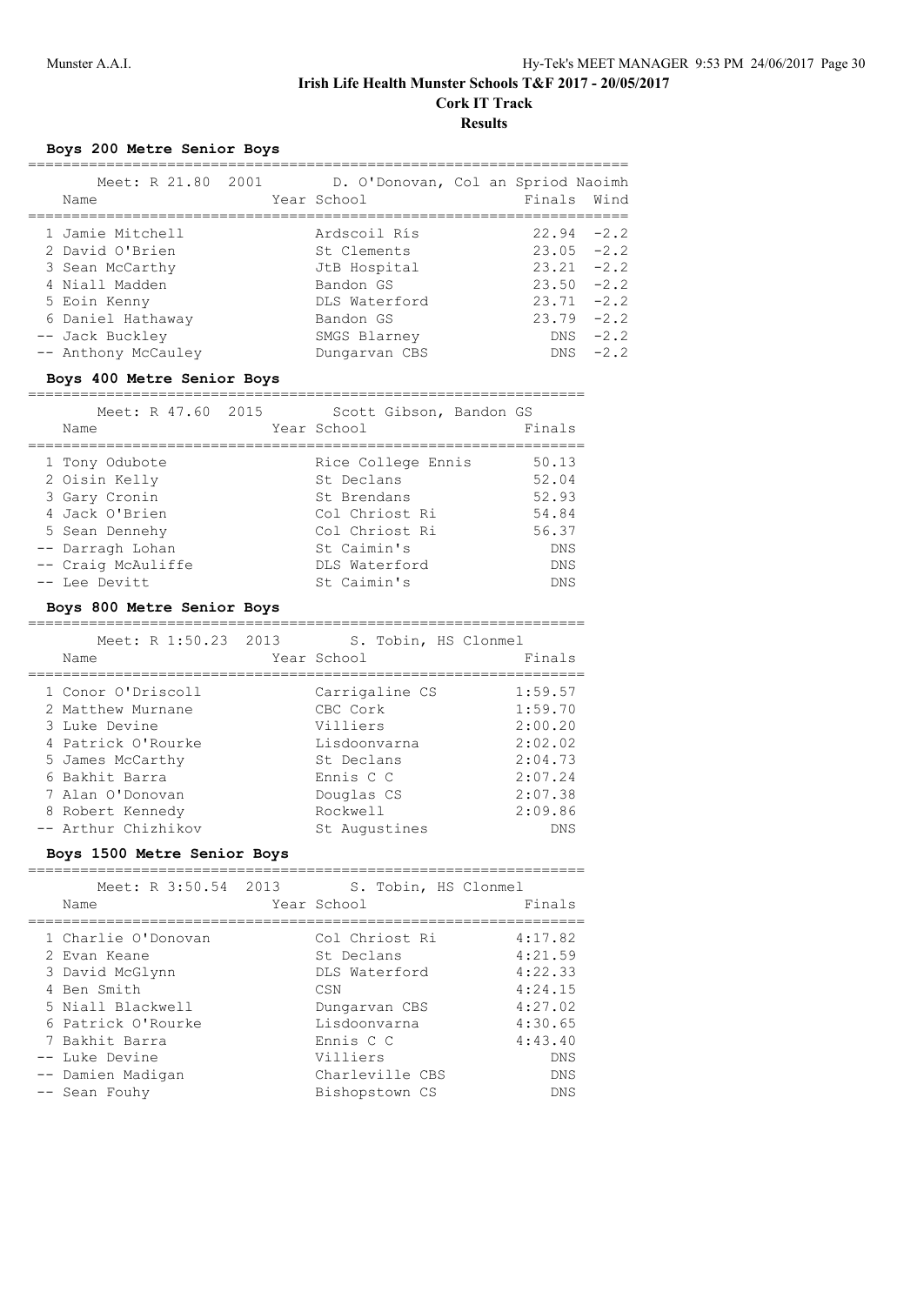**Results**

# **Boys 200 Metre Senior Boys**

| Meet: R 21.80 2001<br>Name | D. O'Donovan, Col an Spriod Naoimh<br>Year School | Finals Wind   |             |
|----------------------------|---------------------------------------------------|---------------|-------------|
| 1 Jamie Mitchell           | Ardscoil Rís                                      | $22.94 - 2.2$ |             |
| 2 David O'Brien            | St Clements                                       | $23.05 -2.2$  |             |
| 3 Sean McCarthy            | JtB Hospital                                      | $23.21 -2.2$  |             |
| 4 Niall Madden             | Bandon GS                                         | $23.50 -2.2$  |             |
| 5 Eoin Kenny               | DLS Waterford                                     | $23.71 -2.2$  |             |
| 6 Daniel Hathaway          | Bandon GS                                         | $23.79 - 2.2$ |             |
| -- Jack Buckley            | SMGS Blarney                                      |               | $DNS -2.2$  |
| -- Anthony McCauley        | Dungarvan CBS                                     |               | $DNS - 2.2$ |
|                            |                                                   |               |             |

# **Boys 400 Metre Senior Boys**

| Meet: R 47.60 2015 | Scott Gibson, Bandon GS |            |
|--------------------|-------------------------|------------|
| Name               | Year School             | Finals     |
|                    |                         |            |
| 1 Tony Odubote     | Rice College Ennis      | 50.13      |
| 2 Oisin Kelly      | St Declans              | 52.04      |
| 3 Gary Cronin      | St Brendans             | 52.93      |
| 4 Jack O'Brien     | Col Chriost Ri          | 54.84      |
| 5 Sean Dennehy     | Col Chriost Ri          | 56.37      |
| -- Darragh Lohan   | St Caimin's             | <b>DNS</b> |
| -- Craig McAuliffe | DLS Waterford           | <b>DNS</b> |
| -- Lee Devitt      | St Caimin's             | <b>DNS</b> |

#### **Boys 800 Metre Senior Boys**

| Meet: R 1:50.23 2013<br>Name | S. Tobin, HS Clonmel<br>Year School | Finals     |
|------------------------------|-------------------------------------|------------|
| 1 Conor O'Driscoll           | Carrigaline CS                      | 1:59.57    |
| 2 Matthew Murnane            | CBC Cork                            | 1:59.70    |
| 3 Luke Devine                | Villiers                            | 2:00.20    |
| 4 Patrick O'Rourke           | Lisdoonvarna                        | 2:02.02    |
| 5 James McCarthy             | St Declans                          | 2:04.73    |
| 6 Bakhit Barra               | Ennis C C                           | 2:07.24    |
| 7 Alan O'Donovan             | Douglas CS                          | 2:07.38    |
| 8 Robert Kennedy             | Rockwell                            | 2:09.86    |
| -- Arthur Chizhikov          | St Augustines                       | <b>DNS</b> |

# **Boys 1500 Metre Senior Boys**

| Meet: R 3:50.54 2013<br>Name | S. Tobin, HS Clonmel<br>Year School | Finals     |
|------------------------------|-------------------------------------|------------|
| 1 Charlie O'Donovan          | Col Chriost Ri                      | 4:17.82    |
| 2 Evan Keane                 | St Declans                          | 4:21.59    |
| 3 David McGlynn              | DLS Waterford                       | 4:22.33    |
| 4 Ben Smith                  | CSN                                 | 4:24.15    |
| 5 Niall Blackwell            | Dungarvan CBS                       | 4:27.02    |
| 6 Patrick O'Rourke           | Lisdoonvarna                        | 4:30.65    |
| 7 Bakhit Barra               | Ennis C C                           | 4:43.40    |
| -- Luke Devine               | Villiers                            | <b>DNS</b> |
| -- Damien Madigan            | Charleville CBS                     | <b>DNS</b> |
| -- Sean Fouhy                | Bishopstown CS                      | <b>DNS</b> |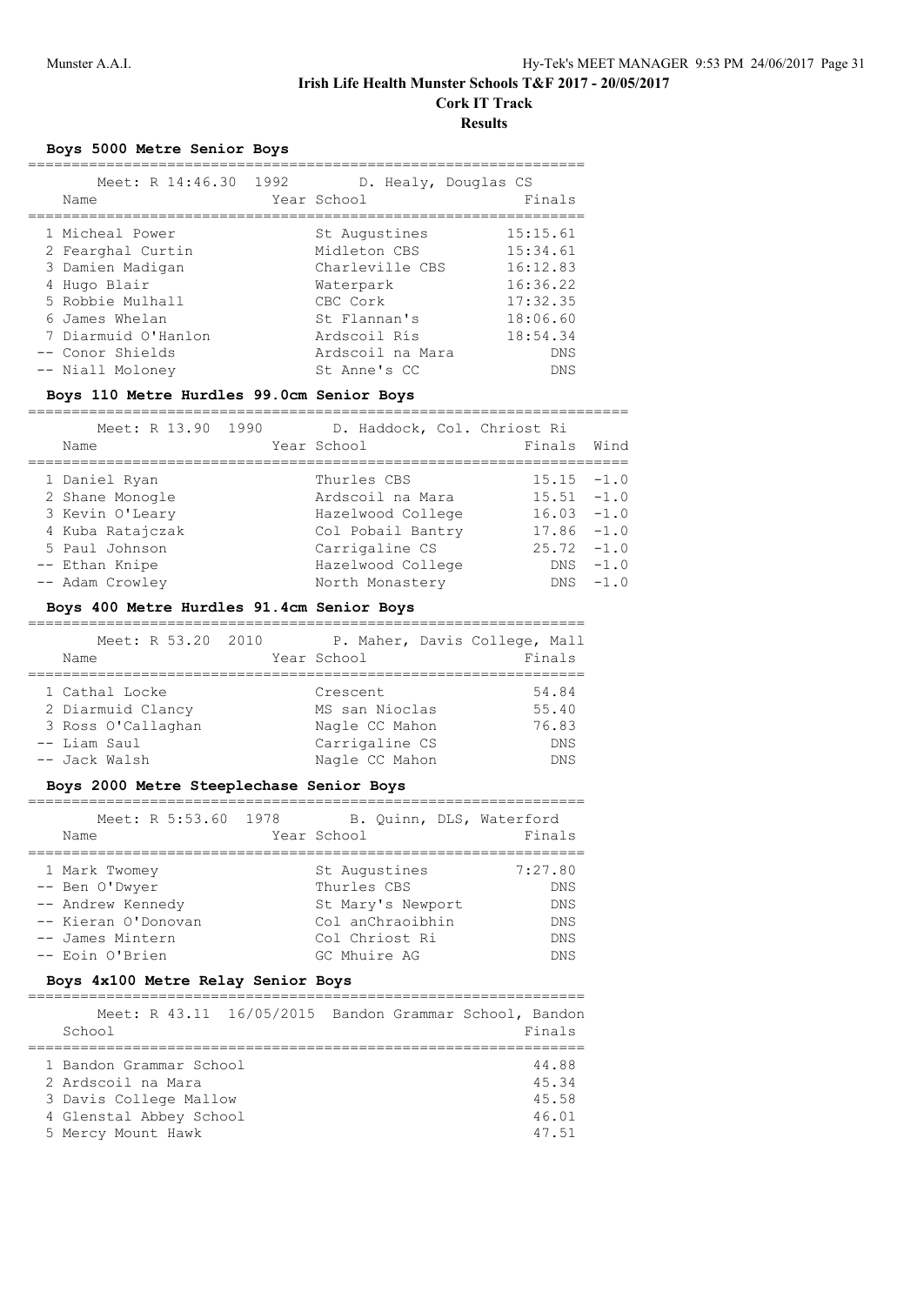# **Cork IT Track**

# **Results**

# **Boys 5000 Metre Senior Boys**

| Meet: R 14:46.30 1992 | D. Healy, Douglas CS |            |
|-----------------------|----------------------|------------|
| Name                  | Year School          | Finals     |
| 1 Micheal Power       | St Augustines        | 15:15.61   |
| 2 Fearghal Curtin     | Midleton CBS         | 15:34.61   |
| 3 Damien Madigan      | Charleville CBS      | 16:12.83   |
| 4 Hugo Blair          | Waterpark            | 16:36.22   |
| 5 Robbie Mulhall      | CBC Cork             | 17:32.35   |
| 6 James Whelan        | St Flannan's         | 18:06.60   |
| 7 Diarmuid O'Hanlon   | Ardscoil Rís         | 18:54.34   |
| -- Conor Shields      | Ardscoil na Mara     | <b>DNS</b> |
| -- Niall Moloney      | St Anne's CC         | <b>DNS</b> |

# **Boys 110 Metre Hurdles 99.0cm Senior Boys**

| Meet: R 13.90 1990<br>Name |  | D. Haddock, Col. Chriost Ri<br>Year School | Finals        | Wind       |
|----------------------------|--|--------------------------------------------|---------------|------------|
|                            |  |                                            |               |            |
| 1 Daniel Ryan              |  | Thurles CBS                                | $15.15 - 1.0$ |            |
| 2 Shane Monogle            |  | Ardscoil na Mara                           | $15.51 - 1.0$ |            |
| 3 Kevin O'Leary            |  | Hazelwood College                          | $16.03 - 1.0$ |            |
| 4 Kuba Ratajczak           |  | Col Pobail Bantry                          | $17.86 - 1.0$ |            |
| 5 Paul Johnson             |  | Carrigaline CS                             | $25.72 - 1.0$ |            |
| -- Ethan Knipe             |  | Hazelwood College                          |               | $DNS -1.0$ |
| -- Adam Crowley            |  | North Monastery                            | DNS           | $-1.0$     |

#### **Boys 400 Metre Hurdles 91.4cm Senior Boys**

| Meet: R 53.20 2010<br>Name |  | Year School    | P. Maher, Davis College, Mall<br>Finals |            |
|----------------------------|--|----------------|-----------------------------------------|------------|
|                            |  |                |                                         |            |
| 1 Cathal Locke             |  | Crescent       | 54.84                                   |            |
| 2 Diarmuid Clancy          |  | MS san Nioclas | 55.40                                   |            |
| 3 Ross O'Callaghan         |  | Nagle CC Mahon | 76.83                                   |            |
| -- Liam Saul               |  | Carrigaline CS |                                         | DNS        |
| -- Jack Walsh              |  | Nagle CC Mahon |                                         | <b>DNS</b> |
|                            |  |                |                                         |            |

# **Boys 2000 Metre Steeplechase Senior Boys**

| Meet: R 5:53.60 1978<br>Name | B. Quinn, DLS, Waterford<br>Year School | Finals     |
|------------------------------|-----------------------------------------|------------|
| 1 Mark Twomey                | St Augustines                           | 7:27.80    |
| -- Ben O'Dwyer               | Thurles CBS                             | <b>DNS</b> |
| -- Andrew Kennedy            | St Mary's Newport                       | <b>DNS</b> |
| -- Kieran O'Donovan          | Col anChraoibhin                        | <b>DNS</b> |
| -- James Mintern             | Col Chriost Ri                          | <b>DNS</b> |
| -- Eoin O'Brien              | GC Mhuire AG                            | <b>DNS</b> |

# **Boys 4x100 Metre Relay Senior Boys**

| Meet: R 43.11 16/05/2015 Bandon Grammar School, Bandon<br>School |  |  | Finals |
|------------------------------------------------------------------|--|--|--------|
|                                                                  |  |  |        |
| 1 Bandon Grammar School                                          |  |  | 44.88  |
| 2 Ardscoil na Mara                                               |  |  | 45.34  |
| 3 Davis College Mallow                                           |  |  | 45.58  |
| 4 Glenstal Abbey School                                          |  |  | 46.01  |
| 5 Mercy Mount Hawk                                               |  |  | 47.51  |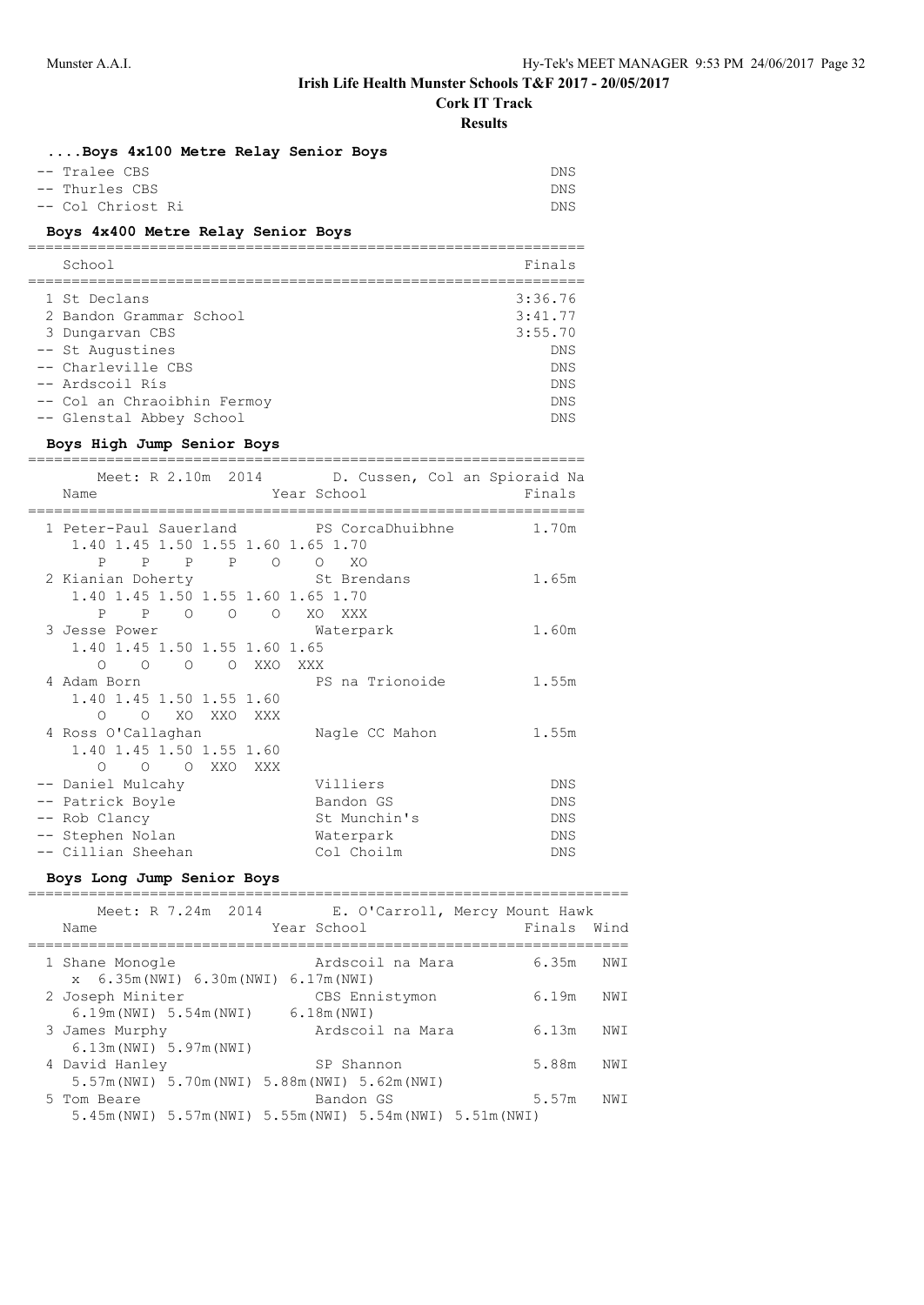# **Cork IT Track**

**Results**

| Boys 4x100 Metre Relay Senior Boys |     |
|------------------------------------|-----|
| -- Tralee CBS                      | DNS |
| -- Thurles CBS                     | DNS |
| -- Col Chriost Ri                  | DNS |

# **Boys 4x400 Metre Relay Senior Boys**

| School                      | Finals     |
|-----------------------------|------------|
| 1 St Declans                | 3:36.76    |
| 2 Bandon Grammar School     | 3:41.77    |
| 3 Dungarvan CBS             | 3:55.70    |
| -- St Augustines            | <b>DNS</b> |
| -- Charleville CBS          | <b>DNS</b> |
| -- Ardscoil Rís             | <b>DNS</b> |
| -- Col an Chraoibhin Fermoy | <b>DNS</b> |
| -- Glenstal Abbey School    | <b>DNS</b> |

# **Boys High Jump Senior Boys**

| Name                                                                    | Meet: R 2.10m 2014 D. Cussen, Col an Spioraid Na<br>Year School | Finals     |
|-------------------------------------------------------------------------|-----------------------------------------------------------------|------------|
|                                                                         |                                                                 |            |
| 1 Peter-Paul Sauerland PS CorcaDhuibhne 1.70m                           |                                                                 |            |
| 1.40 1.45 1.50 1.55 1.60 1.65 1.70                                      |                                                                 |            |
| $\mathbf{P}$<br>$\Omega$<br>P<br>$P \qquad \qquad$<br>$P \qquad \qquad$ | $\circ$<br>XO                                                   |            |
| 2 Kianian Doherty 6 St Brendans                                         |                                                                 | 1.65m      |
| 1.40 1.45 1.50 1.55 1.60 1.65 1.70                                      |                                                                 |            |
|                                                                         |                                                                 |            |
| $\circ$<br>$\overline{O}$<br>$\overline{O}$<br>P P                      | XO<br>XXX                                                       |            |
| 3 Jesse Power                                                           | Waterpark                                                       | 1.60m      |
| 1.40 1.45 1.50 1.55 1.60 1.65                                           |                                                                 |            |
| O XXO XXX<br>$\bigcirc$<br>$\circ$<br>$\overline{O}$                    |                                                                 |            |
| 4 Adam Born                                                             | PS na Trionoide                                                 | 1.55m      |
| 1.40 1.45 1.50 1.55 1.60                                                |                                                                 |            |
| XO<br>XXO<br>$\circ$<br>$\circ$<br>XXX                                  |                                                                 |            |
| 4 Ross O'Callaghan                                                      | Nagle CC Mahon                                                  | 1.55m      |
| 1.40 1.45 1.50 1.55 1.60                                                |                                                                 |            |
| O O O XXO<br>XXX                                                        |                                                                 |            |
| -- Daniel Mulcahy                                                       | Villiers                                                        | <b>DNS</b> |
| -- Patrick Boyle                                                        | Bandon GS                                                       | <b>DNS</b> |
| -- Rob Clancy                                                           | St Munchin's                                                    | DNS        |
| -- Stephen Nolan                                                        | Waterpark                                                       | DNS        |
| -- Cillian Sheehan                                                      | Col Choilm                                                      | DNS        |
|                                                                         |                                                                 |            |

# **Boys Long Jump Senior Boys**

| Name                                                                                                                           | Meet: R 7.24m 2014 E. O'Carroll, Mercy Mount Hawk<br>Year School | Finals | Wind |
|--------------------------------------------------------------------------------------------------------------------------------|------------------------------------------------------------------|--------|------|
| 1 Shane Monogle<br>$x = 6.35$ m (NWI) $6.30$ m (NWI) $6.17$ m (NWI)                                                            | Ardscoil na Mara                                                 | 6.35m  | NWI  |
| 2 Joseph Miniter                                                                                                               | CBS Ennistymon<br>6.18m(NWI)                                     | 6.19m  | NWI  |
| 6.19m(NWI) 5.54m(NWI)<br>3 James Murphy                                                                                        | Ardscoil na Mara                                                 | 6.13m  | NWI  |
| 6.13m(NWI) 5.97m(NWI)<br>4 David Hanley                                                                                        | SP Shannon                                                       | 5.88m  | NWI  |
| 5.57m (NWI) 5.70m (NWI) 5.88m (NWI) 5.62m (NWI)<br>5 Tom Beare<br>$5.45m(NWI)$ 5.57m (NWI) 5.55m (NWI) 5.54m (NWI) 5.51m (NWI) | Bandon GS                                                        | 5.57m  | NWI  |
|                                                                                                                                |                                                                  |        |      |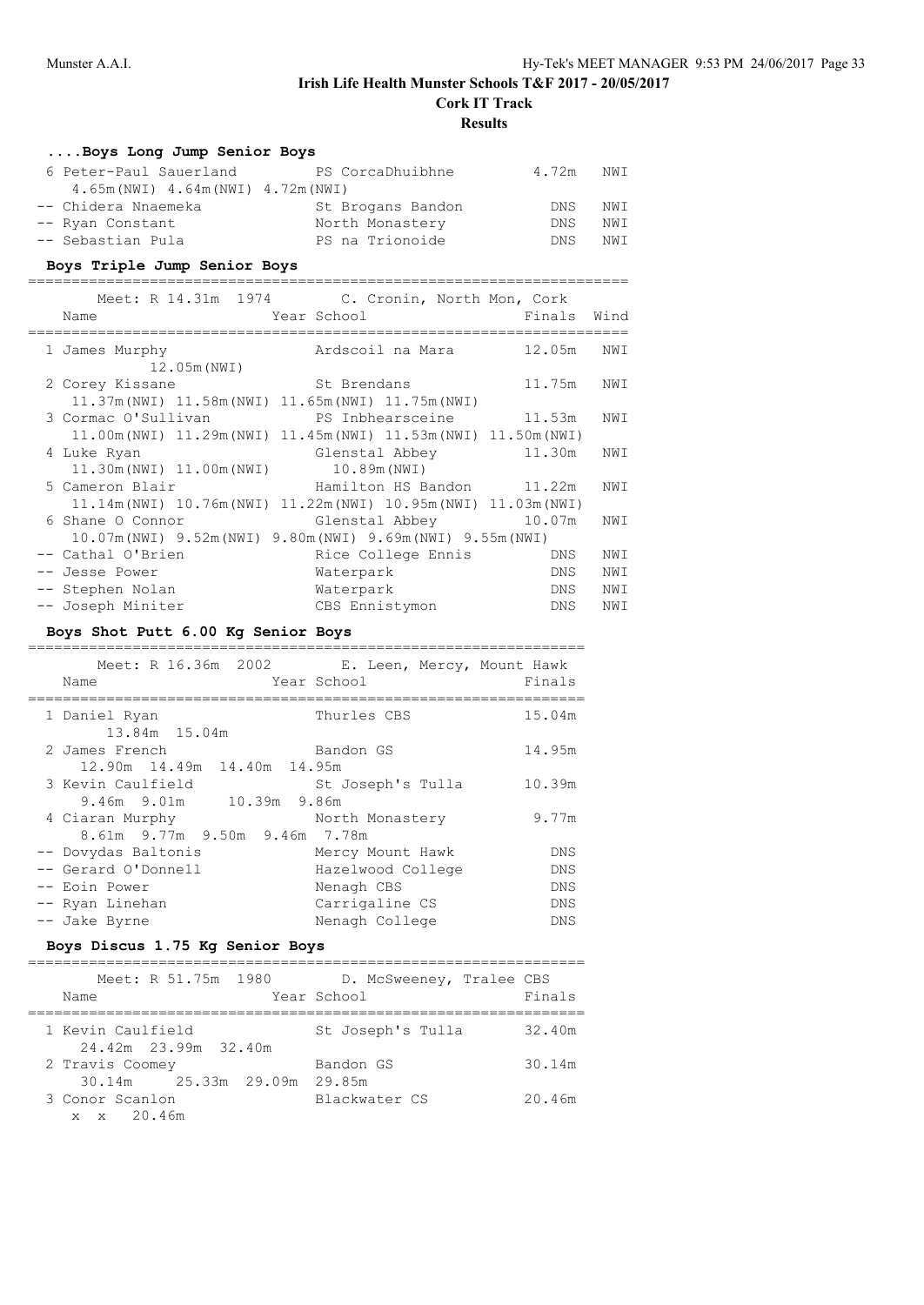**Cork IT Track**

# **Results**

| Boys Long Jump Senior Boys          |                   |       |     |
|-------------------------------------|-------------------|-------|-----|
| 6 Peter-Paul Sauerland              | PS CorcaDhuibhne  | 4.72m | NWI |
| 4.65m (NWI) 4.64m (NWI) 4.72m (NWI) |                   |       |     |
| -- Chidera Nnaemeka                 | St Brogans Bandon | DNS.  | NWI |
| -- Ryan Constant                    | North Monastery   | DNS.  | NWI |
| -- Sebastian Pula                   | PS na Trionoide   | DNS.  | NWI |
|                                     |                   |       |     |

# **Boys Triple Jump Senior Boys**

|                                        | Meet: R 14.31m 1974 C. Cronin, North Mon, Cork                                  |            |      |
|----------------------------------------|---------------------------------------------------------------------------------|------------|------|
| Name                                   | Year School                                                                     | Finals     | Wind |
|                                        |                                                                                 |            |      |
| 1 James Murphy                         | Ardscoil na Mara 12.05m                                                         |            | NWI  |
| 12.05m(NWI)                            |                                                                                 |            |      |
| 2 Corey Kissane                        | St Brendans                                                                     | 11.75m     | NWI  |
|                                        | 11.37m(NWI) 11.58m(NWI) 11.65m(NWI) 11.75m(NWI)                                 |            |      |
|                                        | 3 Cormac O'Sullivan by PS Inbhearsceine 11.53m                                  |            | NWI  |
|                                        | 11.00m (NWI) 11.29m (NWI) 11.45m (NWI) 11.53m (NWI) 11.50m (NWI)                |            |      |
| 4 Luke Ryan                            | Glenstal Abbey                                                                  | 11.30m     | NWI  |
| 11.30m (NWI) 11.00m (NWI) 10.89m (NWI) |                                                                                 |            |      |
| 5 Cameron Blair                        | Hamilton HS Bandon 11.22m                                                       |            | NWI  |
|                                        | $11.14$ m (NWI) $10.76$ m (NWI) $11.22$ m (NWI) $10.95$ m (NWI) $11.03$ m (NWI) |            |      |
| 6 Shane O Connor                       | Glenstal Abbey 10.07m                                                           |            | NWI  |
|                                        | 10.07m (NWI) 9.52m (NWI) 9.80m (NWI) 9.69m (NWI) 9.55m (NWI)                    |            |      |
| -- Cathal O'Brien                      | Rice College Ennis                                                              | DNS        | NWI  |
| -- Jesse Power                         | Waterpark                                                                       | DNS        | NWI  |
| -- Stephen Nolan                       | Waterpark                                                                       | DNS.       | NWI  |
| -- Joseph Miniter                      | CBS Ennistymon                                                                  | <b>DNS</b> | NWI  |

# **Boys Shot Putt 6.00 Kg Senior Boys**

| Meet: R 16.36m 2002<br>Name    | E. Leen, Mercy, Mount Hawk<br>Year School | Finals     |
|--------------------------------|-------------------------------------------|------------|
| 1 Daniel Ryan<br>13.84m 15.04m | Thurles CBS                               | 15.04m     |
| 2 James French                 | Bandon GS                                 | 14.95m     |
| 12.90m 14.49m 14.40m 14.95m    |                                           |            |
| 3 Kevin Caulfield              | St Joseph's Tulla                         | 10.39m     |
| 9.46m 9.01m 10.39m 9.86m       |                                           |            |
| 4 Ciaran Murphy                | North Monastery                           | 9.77m      |
| 8.61m 9.77m 9.50m 9.46m 7.78m  |                                           |            |
| -- Dovydas Baltonis            | Mercy Mount Hawk                          | <b>DNS</b> |
| -- Gerard O'Donnell            | Hazelwood College                         | <b>DNS</b> |
| -- Eoin Power                  | Nenagh CBS                                | DNS        |
| -- Ryan Linehan                | Carrigaline CS                            | DNS        |
| -- Jake Byrne                  | Nenagh College                            | <b>DNS</b> |
|                                |                                           |            |

# **Boys Discus 1.75 Kg Senior Boys**

| Meet: R 51.75m 1980<br>Name                                         | D. McSweeney, Tralee CBS<br>Year School | Finals |
|---------------------------------------------------------------------|-----------------------------------------|--------|
| 1 Kevin Caulfield<br>24.42m 23.99m 32.40m                           | St Joseph's Tulla                       | 32.40m |
| 2 Travis Coomey                                                     | Bandon GS                               | 30.14m |
| 30.14m 25.33m 29.09m 29.85m<br>3 Conor Scanlon<br>$x \times 20.46m$ | Blackwater CS                           | 20.46m |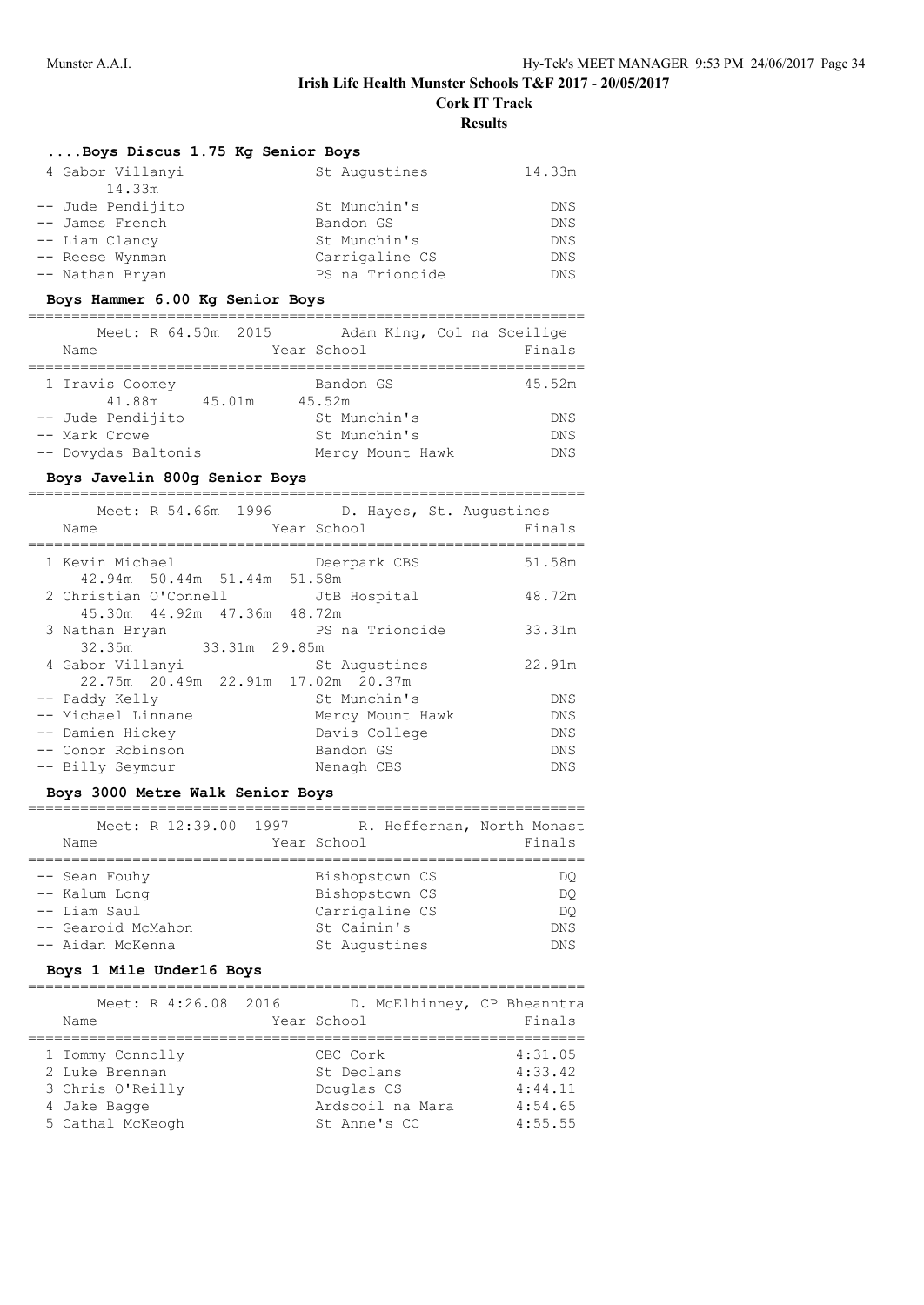**Cork IT Track**

**Results**

| Boys Discus 1.75 Kg Senior Boys |                 |        |  |
|---------------------------------|-----------------|--------|--|
| 4 Gabor Villanyi                | St Augustines   | 14.33m |  |
| 14.33m                          |                 |        |  |
| -- Jude Pendijito               | St Munchin's    | DNS.   |  |
| -- James French                 | Bandon GS       | DNS.   |  |
| -- Liam Clancy                  | St Munchin's    | DNS.   |  |
| -- Reese Wynman                 | Carrigaline CS  | DNS.   |  |
| -- Nathan Bryan                 | PS na Trionoide | DNS.   |  |

# **Boys Hammer 6.00 Kg Senior Boys**

| Meet: R 64.50m 2015<br>Name          | Adam King, Col na Sceilige<br>Year School | Finals                   |
|--------------------------------------|-------------------------------------------|--------------------------|
| 1 Travis Coomey<br>41.88m<br>45.01m  | Bandon GS<br>45.52m                       | 45.52m                   |
| -- Jude Pendijito                    | St Munchin's<br>St Munchin's              | <b>DNS</b>               |
| -- Mark Crowe<br>-- Dovydas Baltonis | Mercy Mount Hawk                          | <b>DNS</b><br><b>DNS</b> |

### **Boys Javelin 800g Senior Boys**

| Meet: R 54.66m 1996<br>Name                             | D. Hayes, St. Augustines<br>Year School | Finals     |
|---------------------------------------------------------|-----------------------------------------|------------|
| 1 Kevin Michael<br>42.94m 50.44m 51.44m 51.58m          | Deerpark CBS                            | 51.58m     |
| 2 Christian O'Connell<br>45.30m  44.92m  47.36m  48.72m | JtB Hospital                            | 48.72m     |
| 3 Nathan Bryan<br>32.35m 33.31m 29.85m                  | PS na Trionoide                         | 33.31m     |
| 4 Gabor Villanyi<br>22.75m 20.49m 22.91m 17.02m 20.37m  | St Augustines                           | 22.91m     |
| -- Paddy Kelly                                          | St Munchin's                            | <b>DNS</b> |
| -- Michael Linnane                                      | Mercy Mount Hawk                        | <b>DNS</b> |
| -- Damien Hickey                                        | Davis College                           | DNS        |
| -- Conor Robinson                                       | Bandon GS                               | <b>DNS</b> |
| -- Billy Seymour                                        | Nenagh CBS                              | <b>DNS</b> |

# **Boys 3000 Metre Walk Senior Boys**

| Meet: R 12:39.00 1997 | R. Heffernan, North Monast |            |
|-----------------------|----------------------------|------------|
| Name                  | Year School                | Finals     |
|                       |                            |            |
| -- Sean Fouhy         | Bishopstown CS             | DO         |
| -- Kalum Long         | Bishopstown CS             | DO         |
| -- Liam Saul          | Carrigaline CS             | DO         |
| -- Gearoid McMahon    | St Caimin's                | <b>DNS</b> |
| -- Aidan McKenna      | St Augustines              | DNS        |

# **Boys 1 Mile Under16 Boys**

| Meet: R 4:26.08 2016<br>Name                                                               | D. McElhinney, CP Bheanntra<br>Year School                               | Finals                                              |
|--------------------------------------------------------------------------------------------|--------------------------------------------------------------------------|-----------------------------------------------------|
| 1 Tommy Connolly<br>2 Luke Brennan<br>3 Chris O'Reilly<br>4 Jake Bagge<br>5 Cathal McKeogh | CBC Cork<br>St Declans<br>Douglas CS<br>Ardscoil na Mara<br>St Anne's CC | 4:31.05<br>4:33.42<br>4:44.11<br>4:54.65<br>4:55.55 |